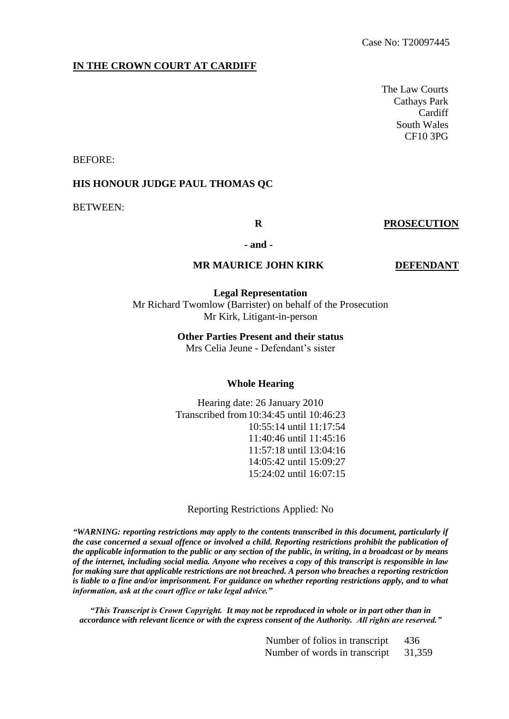## **IN THE CROWN COURT AT CARDIFF**

The Law Courts Cathays Park Cardiff South Wales CF10 3PG

BEFORE:

#### **HIS HONOUR JUDGE PAUL THOMAS QC**

BETWEEN:

#### **R PROSECUTION**

**- and -**

#### **MR MAURICE JOHN KIRK DEFENDANT**

**Legal Representation** Mr Richard Twomlow (Barrister) on behalf of the Prosecution Mr Kirk, Litigant-in-person

#### **Other Parties Present and their status**

Mrs Celia Jeune - Defendant's sister

#### **Whole Hearing**

Hearing date: 26 January 2010 Transcribed from10:34:45 until 10:46:23 10:55:14 until 11:17:54 11:40:46 until 11:45:16 11:57:18 until 13:04:16 14:05:42 until 15:09:27 15:24:02 until 16:07:15

Reporting Restrictions Applied: No

*"WARNING: reporting restrictions may apply to the contents transcribed in this document, particularly if the case concerned a sexual offence or involved a child. Reporting restrictions prohibit the publication of the applicable information to the public or any section of the public, in writing, in a broadcast or by means of the internet, including social media. Anyone who receives a copy of this transcript is responsible in law for making sure that applicable restrictions are not breached. A person who breaches a reporting restriction is liable to a fine and/or imprisonment. For guidance on whether reporting restrictions apply, and to what information, ask at the court office or take legal advice."*

*"This Transcript is Crown Copyright. It may not be reproduced in whole or in part other than in accordance with relevant licence or with the express consent of the Authority. All rights are reserved."*

> Number of folios in transcript 436 Number of words in transcript 31,359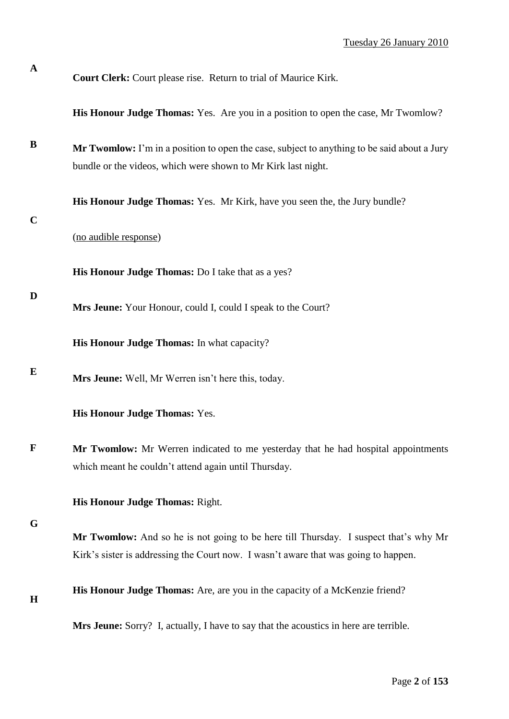**His Honour Judge Thomas:** Yes. Are you in a position to open the case, Mr Twomlow?

**B Mr Twomlow:** I'm in a position to open the case, subject to anything to be said about a Jury bundle or the videos, which were shown to Mr Kirk last night.

**His Honour Judge Thomas:** Yes. Mr Kirk, have you seen the, the Jury bundle?

**C**

**D**

**A**

(no audible response)

**His Honour Judge Thomas:** Do I take that as a yes?

**Mrs Jeune:** Your Honour, could I, could I speak to the Court?

**His Honour Judge Thomas:** In what capacity?

**E Mrs Jeune:** Well, Mr Werren isn't here this, today.

**His Honour Judge Thomas:** Yes.

**F Mr Twomlow:** Mr Werren indicated to me yesterday that he had hospital appointments which meant he couldn't attend again until Thursday.

**His Honour Judge Thomas:** Right.

**G**

**Mr Twomlow:** And so he is not going to be here till Thursday. I suspect that's why Mr Kirk's sister is addressing the Court now. I wasn't aware that was going to happen.

**H**

**His Honour Judge Thomas:** Are, are you in the capacity of a McKenzie friend?

**Mrs Jeune:** Sorry? I, actually, I have to say that the acoustics in here are terrible.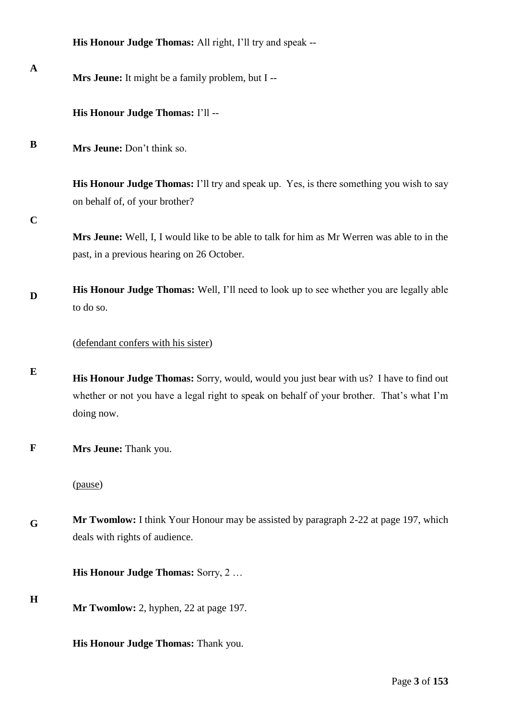|             | His Honour Judge Thomas: All right, I'll try and speak --                                                                                                                                         |
|-------------|---------------------------------------------------------------------------------------------------------------------------------------------------------------------------------------------------|
| A           | Mrs Jeune: It might be a family problem, but I --                                                                                                                                                 |
|             | His Honour Judge Thomas: I'll --                                                                                                                                                                  |
| B           | Mrs Jeune: Don't think so.                                                                                                                                                                        |
|             | <b>His Honour Judge Thomas:</b> I'll try and speak up. Yes, is there something you wish to say<br>on behalf of, of your brother?                                                                  |
| $\mathbf C$ | Mrs Jeune: Well, I, I would like to be able to talk for him as Mr Werren was able to in the<br>past, in a previous hearing on 26 October.                                                         |
| D           | His Honour Judge Thomas: Well, I'll need to look up to see whether you are legally able<br>to do so.                                                                                              |
|             | (defendant confers with his sister)                                                                                                                                                               |
| E           | His Honour Judge Thomas: Sorry, would, would you just bear with us? I have to find out<br>whether or not you have a legal right to speak on behalf of your brother. That's what I'm<br>doing now. |
| $\mathbf F$ | Mrs Jeune: Thank you.                                                                                                                                                                             |
|             | (pause)                                                                                                                                                                                           |
| G           | Mr Twomlow: I think Your Honour may be assisted by paragraph 2-22 at page 197, which<br>deals with rights of audience.                                                                            |
|             | His Honour Judge Thomas: Sorry, 2                                                                                                                                                                 |
| $\mathbf H$ | Mr Twomlow: 2, hyphen, 22 at page 197.                                                                                                                                                            |

**His Honour Judge Thomas:** Thank you.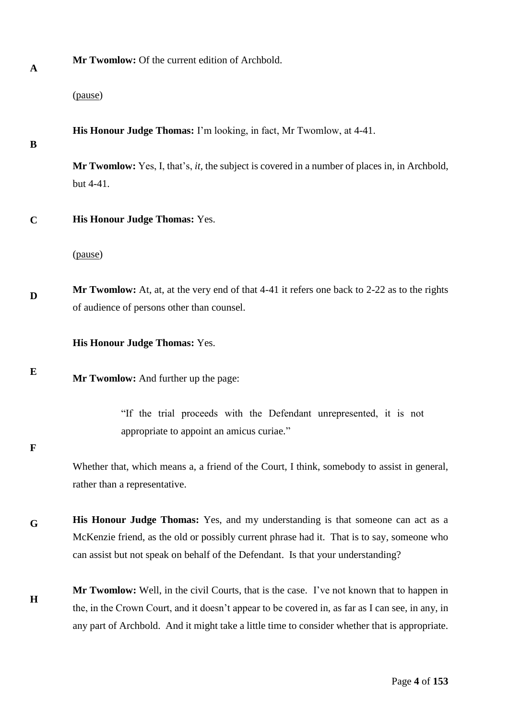| <b>Mr Twomlow:</b> Of the current edition of Archbold. |
|--------------------------------------------------------|
|--------------------------------------------------------|

(pause)

**His Honour Judge Thomas:** I'm looking, in fact, Mr Twomlow, at 4-41.

## **B**

**Mr Twomlow:** Yes, I, that's, *it,* the subject is covered in a number of places in, in Archbold, but 4-41.

**C His Honour Judge Thomas:** Yes.

(pause)

**D Mr Twomlow:** At, at, at the very end of that 4-41 it refers one back to 2-22 as to the rights of audience of persons other than counsel.

**His Honour Judge Thomas:** Yes.

**E Mr Twomlow:** And further up the page:

> "If the trial proceeds with the Defendant unrepresented, it is not appropriate to appoint an amicus curiae."

**F**

Whether that, which means a, a friend of the Court, I think, somebody to assist in general, rather than a representative.

**G His Honour Judge Thomas:** Yes, and my understanding is that someone can act as a McKenzie friend, as the old or possibly current phrase had it. That is to say, someone who can assist but not speak on behalf of the Defendant. Is that your understanding?

**H Mr Twomlow:** Well, in the civil Courts, that is the case. I've not known that to happen in the, in the Crown Court, and it doesn't appear to be covered in, as far as I can see, in any, in any part of Archbold. And it might take a little time to consider whether that is appropriate.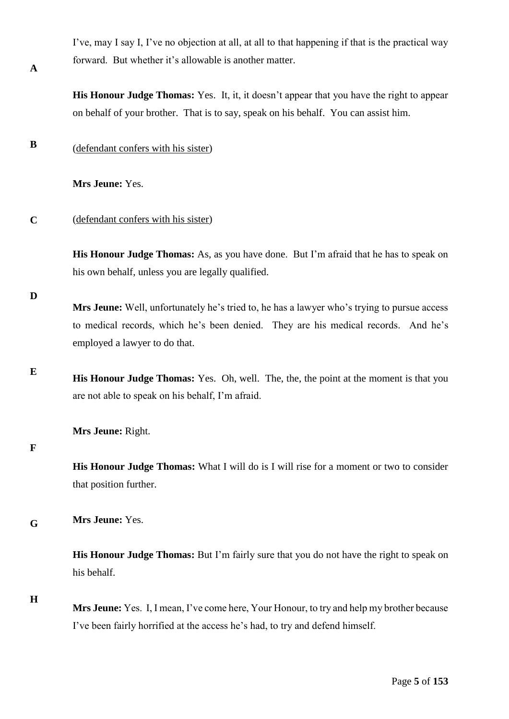I've, may I say I, I've no objection at all, at all to that happening if that is the practical way forward. But whether it's allowable is another matter.

**His Honour Judge Thomas:** Yes. It, it, it doesn't appear that you have the right to appear on behalf of your brother. That is to say, speak on his behalf. You can assist him.

**B** (defendant confers with his sister)

**Mrs Jeune:** Yes.

#### **C** (defendant confers with his sister)

**His Honour Judge Thomas:** As, as you have done. But I'm afraid that he has to speak on his own behalf, unless you are legally qualified.

**D**

**A**

**Mrs Jeune:** Well, unfortunately he's tried to, he has a lawyer who's trying to pursue access to medical records, which he's been denied. They are his medical records. And he's employed a lawyer to do that.

**E His Honour Judge Thomas:** Yes. Oh, well. The, the, the point at the moment is that you are not able to speak on his behalf, I'm afraid.

**Mrs Jeune:** Right.

**F**

**His Honour Judge Thomas:** What I will do is I will rise for a moment or two to consider that position further.

**G Mrs Jeune:** Yes.

> **His Honour Judge Thomas:** But I'm fairly sure that you do not have the right to speak on his behalf.

**H**

**Mrs Jeune:** Yes. I, I mean, I've come here, Your Honour, to try and help my brother because I've been fairly horrified at the access he's had, to try and defend himself.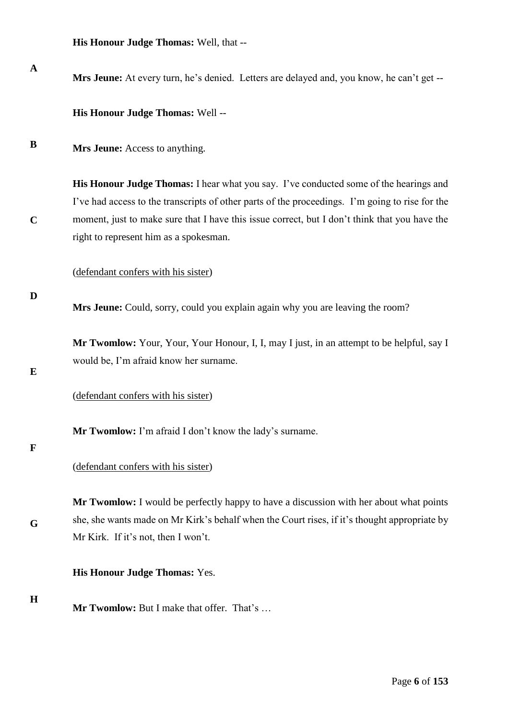**His Honour Judge Thomas:** Well, that --

**A B C D E F G H Mrs Jeune:** At every turn, he's denied. Letters are delayed and, you know, he can't get -- **His Honour Judge Thomas:** Well -- **Mrs Jeune:** Access to anything. **His Honour Judge Thomas:** I hear what you say. I've conducted some of the hearings and I've had access to the transcripts of other parts of the proceedings. I'm going to rise for the moment, just to make sure that I have this issue correct, but I don't think that you have the right to represent him as a spokesman. (defendant confers with his sister) **Mrs Jeune:** Could, sorry, could you explain again why you are leaving the room? **Mr Twomlow:** Your, Your, Your Honour, I, I, may I just, in an attempt to be helpful, say I would be, I'm afraid know her surname. (defendant confers with his sister) **Mr Twomlow:** I'm afraid I don't know the lady's surname. (defendant confers with his sister) **Mr Twomlow:** I would be perfectly happy to have a discussion with her about what points she, she wants made on Mr Kirk's behalf when the Court rises, if it's thought appropriate by Mr Kirk. If it's not, then I won't. **His Honour Judge Thomas:** Yes. **Mr Twomlow:** But I make that offer. That's …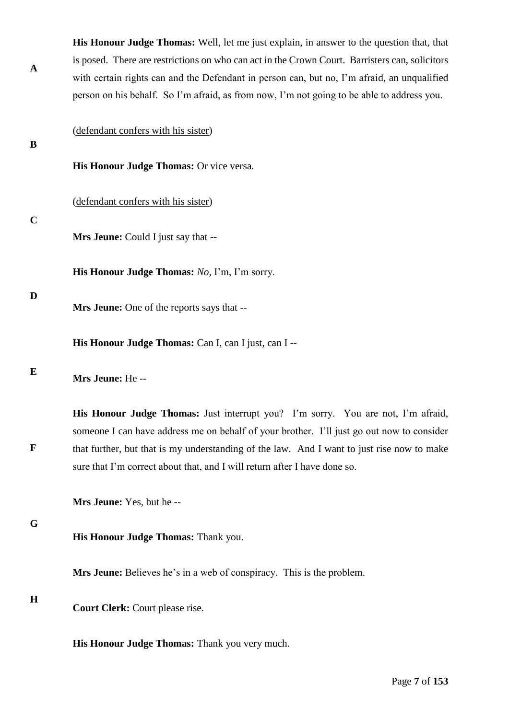|             | <b>His Honour Judge Thomas:</b> Well, let me just explain, in answer to the question that, that                                                                                         |
|-------------|-----------------------------------------------------------------------------------------------------------------------------------------------------------------------------------------|
| $\mathbf A$ | is posed. There are restrictions on who can act in the Crown Court. Barristers can, solicitors                                                                                          |
|             | with certain rights can and the Defendant in person can, but no, I'm afraid, an unqualified                                                                                             |
|             | person on his behalf. So I'm afraid, as from now, I'm not going to be able to address you.                                                                                              |
|             |                                                                                                                                                                                         |
| B           | (defendant confers with his sister)                                                                                                                                                     |
|             | His Honour Judge Thomas: Or vice versa.                                                                                                                                                 |
| $\mathbf C$ | (defendant confers with his sister)                                                                                                                                                     |
|             | Mrs Jeune: Could I just say that --                                                                                                                                                     |
|             | His Honour Judge Thomas: No, I'm, I'm sorry.                                                                                                                                            |
| D           | Mrs Jeune: One of the reports says that --                                                                                                                                              |
|             | His Honour Judge Thomas: Can I, can I just, can I --                                                                                                                                    |
| E           | Mrs Jeune: He --                                                                                                                                                                        |
|             | His Honour Judge Thomas: Just interrupt you? I'm sorry. You are not, I'm afraid,                                                                                                        |
| $\mathbf F$ | someone I can have address me on behalf of your brother. I'll just go out now to consider<br>that further, but that is my understanding of the law. And I want to just rise now to make |
|             | sure that I'm correct about that, and I will return after I have done so.                                                                                                               |
|             | Mrs Jeune: Yes, but he --                                                                                                                                                               |
| G           | His Honour Judge Thomas: Thank you.                                                                                                                                                     |
|             | Mrs Jeune: Believes he's in a web of conspiracy. This is the problem.                                                                                                                   |
| $\mathbf H$ | Court Clerk: Court please rise.                                                                                                                                                         |
|             | His Honour Judge Thomas: Thank you very much.                                                                                                                                           |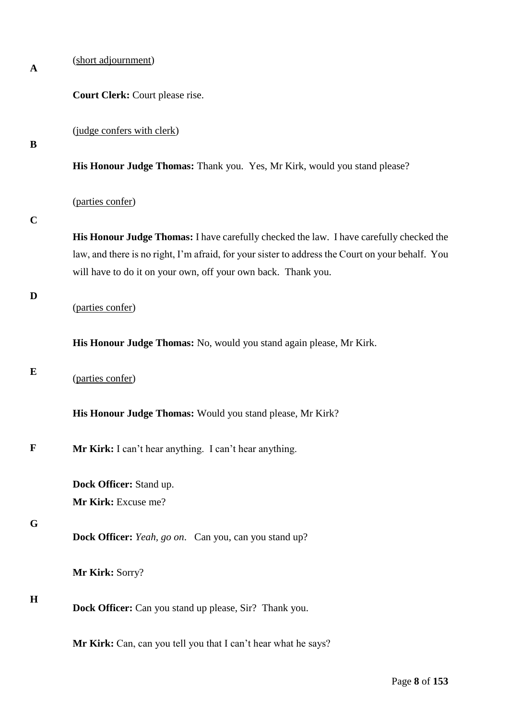| A           | (short adjournment)                                                                                                                                                                                                                                          |
|-------------|--------------------------------------------------------------------------------------------------------------------------------------------------------------------------------------------------------------------------------------------------------------|
|             | Court Clerk: Court please rise.                                                                                                                                                                                                                              |
| B           | (judge confers with clerk)                                                                                                                                                                                                                                   |
|             | His Honour Judge Thomas: Thank you. Yes, Mr Kirk, would you stand please?                                                                                                                                                                                    |
|             | (parties confer)                                                                                                                                                                                                                                             |
| $\mathbf C$ | His Honour Judge Thomas: I have carefully checked the law. I have carefully checked the<br>law, and there is no right, I'm afraid, for your sister to address the Court on your behalf. You<br>will have to do it on your own, off your own back. Thank you. |
| D           | (parties confer)                                                                                                                                                                                                                                             |
|             | His Honour Judge Thomas: No, would you stand again please, Mr Kirk.                                                                                                                                                                                          |
| E           | (parties confer)                                                                                                                                                                                                                                             |
|             | His Honour Judge Thomas: Would you stand please, Mr Kirk?                                                                                                                                                                                                    |
| $\mathbf F$ | Mr Kirk: I can't hear anything. I can't hear anything.                                                                                                                                                                                                       |
|             | Dock Officer: Stand up.<br>Mr Kirk: Excuse me?                                                                                                                                                                                                               |
| G           | Dock Officer: Yeah, go on. Can you, can you stand up?                                                                                                                                                                                                        |
|             | Mr Kirk: Sorry?                                                                                                                                                                                                                                              |
| $\bf H$     | Dock Officer: Can you stand up please, Sir? Thank you.                                                                                                                                                                                                       |
|             | Mr Kirk: Can, can you tell you that I can't hear what he says?                                                                                                                                                                                               |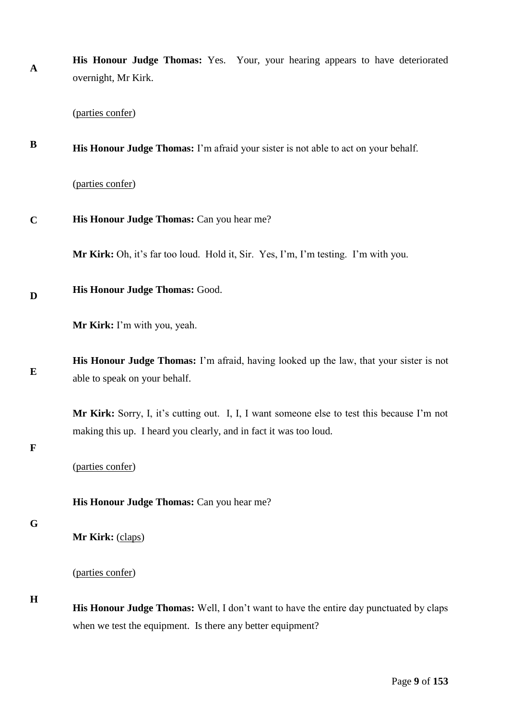| $\mathbf{A}$ | His Honour Judge Thomas: Yes. Your, your hearing appears to have deteriorated<br>overnight, Mr Kirk.                                                             |
|--------------|------------------------------------------------------------------------------------------------------------------------------------------------------------------|
|              | (parties confer)                                                                                                                                                 |
| B            | His Honour Judge Thomas: I'm afraid your sister is not able to act on your behalf.                                                                               |
|              | (parties confer)                                                                                                                                                 |
| $\mathbf C$  | His Honour Judge Thomas: Can you hear me?                                                                                                                        |
|              | Mr Kirk: Oh, it's far too loud. Hold it, Sir. Yes, I'm, I'm testing. I'm with you.                                                                               |
| D            | His Honour Judge Thomas: Good.                                                                                                                                   |
|              | Mr Kirk: I'm with you, yeah.                                                                                                                                     |
| ${\bf E}$    | <b>His Honour Judge Thomas:</b> I'm afraid, having looked up the law, that your sister is not<br>able to speak on your behalf.                                   |
| $\mathbf F$  | Mr Kirk: Sorry, I, it's cutting out. I, I, I want someone else to test this because I'm not<br>making this up. I heard you clearly, and in fact it was too loud. |
|              | (parties confer)                                                                                                                                                 |
| G            | His Honour Judge Thomas: Can you hear me?                                                                                                                        |
|              | Mr Kirk: (claps)                                                                                                                                                 |
| H            | (parties confer)                                                                                                                                                 |
|              | His Honour Judge Thomas: Well, I don't want to have the entire day punctuated by claps<br>when we test the equipment. Is there any better equipment?             |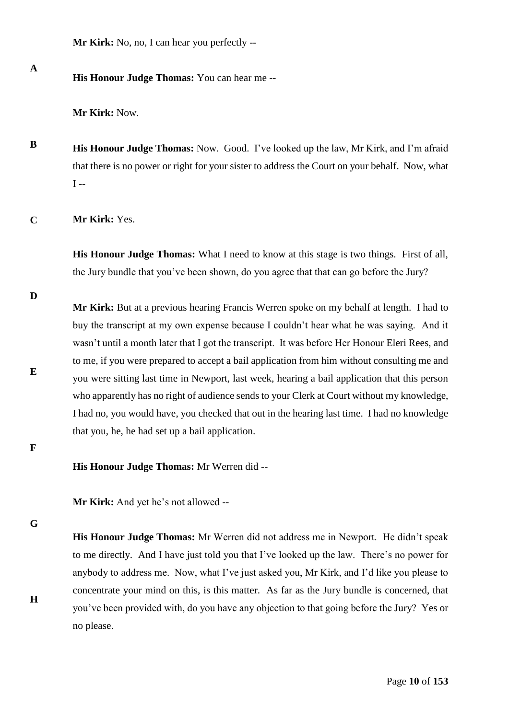**Mr Kirk:** No, no, I can hear you perfectly --

**A**

**His Honour Judge Thomas:** You can hear me --

**Mr Kirk:** Now.

- **B His Honour Judge Thomas:** Now. Good. I've looked up the law, Mr Kirk, and I'm afraid that there is no power or right for your sister to address the Court on your behalf. Now, what  $I -$
- **C Mr Kirk:** Yes.

**His Honour Judge Thomas:** What I need to know at this stage is two things. First of all, the Jury bundle that you've been shown, do you agree that that can go before the Jury?

**D**

**Mr Kirk:** But at a previous hearing Francis Werren spoke on my behalf at length. I had to buy the transcript at my own expense because I couldn't hear what he was saying. And it wasn't until a month later that I got the transcript. It was before Her Honour Eleri Rees, and to me, if you were prepared to accept a bail application from him without consulting me and you were sitting last time in Newport, last week, hearing a bail application that this person who apparently has no right of audience sends to your Clerk at Court without my knowledge, I had no, you would have, you checked that out in the hearing last time. I had no knowledge that you, he, he had set up a bail application.

**F**

**E**

**His Honour Judge Thomas:** Mr Werren did --

**Mr Kirk:** And yet he's not allowed --

**G**

**H**

**His Honour Judge Thomas:** Mr Werren did not address me in Newport. He didn't speak to me directly. And I have just told you that I've looked up the law. There's no power for anybody to address me. Now, what I've just asked you, Mr Kirk, and I'd like you please to concentrate your mind on this, is this matter. As far as the Jury bundle is concerned, that you've been provided with, do you have any objection to that going before the Jury? Yes or no please.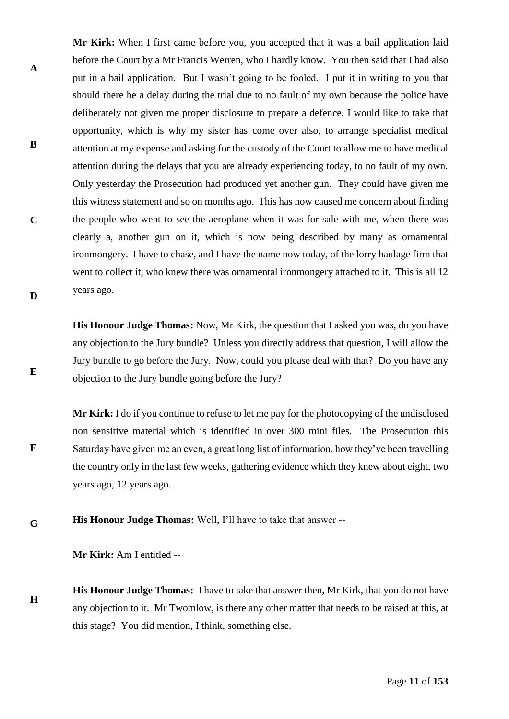**Mr Kirk:** When I first came before you, you accepted that it was a bail application laid before the Court by a Mr Francis Werren, who I hardly know. You then said that I had also put in a bail application. But I wasn't going to be fooled. I put it in writing to you that should there be a delay during the trial due to no fault of my own because the police have deliberately not given me proper disclosure to prepare a defence, I would like to take that opportunity, which is why my sister has come over also, to arrange specialist medical attention at my expense and asking for the custody of the Court to allow me to have medical attention during the delays that you are already experiencing today, to no fault of my own. Only yesterday the Prosecution had produced yet another gun. They could have given me this witness statement and so on months ago. This has now caused me concern about finding the people who went to see the aeroplane when it was for sale with me, when there was clearly a, another gun on it, which is now being described by many as ornamental ironmongery. I have to chase, and I have the name now today, of the lorry haulage firm that went to collect it, who knew there was ornamental ironmongery attached to it. This is all 12 years ago.

**His Honour Judge Thomas:** Now, Mr Kirk, the question that I asked you was, do you have any objection to the Jury bundle? Unless you directly address that question, I will allow the Jury bundle to go before the Jury. Now, could you please deal with that? Do you have any objection to the Jury bundle going before the Jury?

**Mr Kirk:** I do if you continue to refuse to let me pay for the photocopying of the undisclosed non sensitive material which is identified in over 300 mini files. The Prosecution this Saturday have given me an even, a great long list of information, how they've been travelling the country only in the last few weeks, gathering evidence which they knew about eight, two years ago, 12 years ago.

**G His Honour Judge Thomas:** Well, I'll have to take that answer --

**Mr Kirk:** Am I entitled --

**A**

**B**

**C**

**D**

**E**

**F**

**H His Honour Judge Thomas:** I have to take that answer then, Mr Kirk, that you do not have any objection to it. Mr Twomlow, is there any other matter that needs to be raised at this, at this stage? You did mention, I think, something else.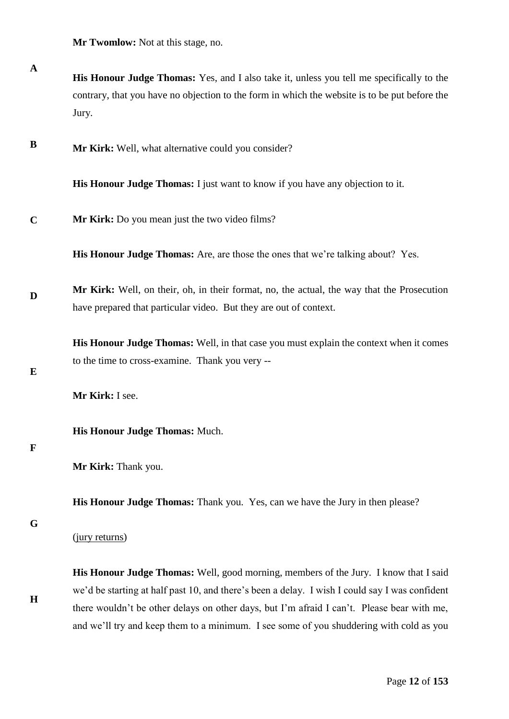**Mr Twomlow:** Not at this stage, no.

**A His Honour Judge Thomas:** Yes, and I also take it, unless you tell me specifically to the contrary, that you have no objection to the form in which the website is to be put before the Jury.

**B Mr Kirk:** Well, what alternative could you consider?

**His Honour Judge Thomas:** I just want to know if you have any objection to it.

**C Mr Kirk:** Do you mean just the two video films?

**His Honour Judge Thomas:** Are, are those the ones that we're talking about? Yes.

**D Mr Kirk:** Well, on their, oh, in their format, no, the actual, the way that the Prosecution have prepared that particular video. But they are out of context.

> **His Honour Judge Thomas:** Well, in that case you must explain the context when it comes to the time to cross-examine. Thank you very --

**E**

**Mr Kirk:** I see.

**His Honour Judge Thomas:** Much.

#### **F**

**His Honour Judge Thomas:** Thank you. Yes, can we have the Jury in then please?

#### **G**

**H**

(jury returns)

**His Honour Judge Thomas:** Well, good morning, members of the Jury. I know that I said we'd be starting at half past 10, and there's been a delay. I wish I could say I was confident there wouldn't be other delays on other days, but I'm afraid I can't. Please bear with me, and we'll try and keep them to a minimum. I see some of you shuddering with cold as you

**Mr Kirk:** Thank you.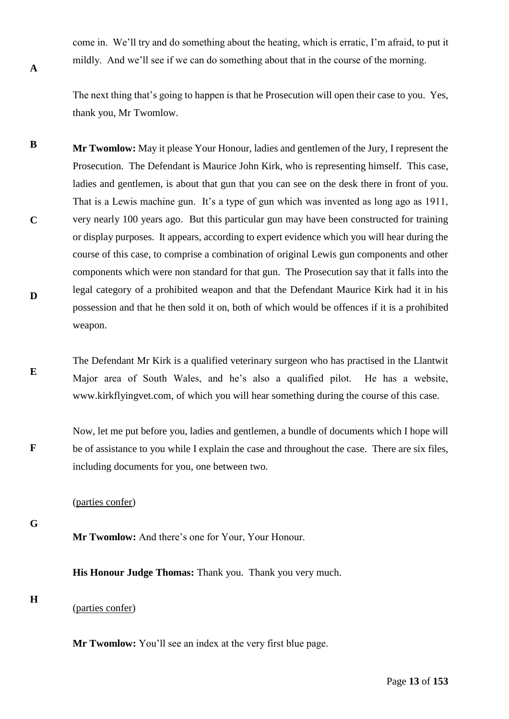come in. We'll try and do something about the heating, which is erratic, I'm afraid, to put it mildly. And we'll see if we can do something about that in the course of the morning.

The next thing that's going to happen is that he Prosecution will open their case to you. Yes, thank you, Mr Twomlow.

- **B C D Mr Twomlow:** May it please Your Honour, ladies and gentlemen of the Jury, I represent the Prosecution. The Defendant is Maurice John Kirk, who is representing himself. This case, ladies and gentlemen, is about that gun that you can see on the desk there in front of you. That is a Lewis machine gun. It's a type of gun which was invented as long ago as 1911, very nearly 100 years ago. But this particular gun may have been constructed for training or display purposes. It appears, according to expert evidence which you will hear during the course of this case, to comprise a combination of original Lewis gun components and other components which were non standard for that gun. The Prosecution say that it falls into the legal category of a prohibited weapon and that the Defendant Maurice Kirk had it in his possession and that he then sold it on, both of which would be offences if it is a prohibited weapon.
- **E** The Defendant Mr Kirk is a qualified veterinary surgeon who has practised in the Llantwit Major area of South Wales, and he's also a qualified pilot. He has a website, www.kirkflyingvet.com, of which you will hear something during the course of this case.

**F** Now, let me put before you, ladies and gentlemen, a bundle of documents which I hope will be of assistance to you while I explain the case and throughout the case. There are six files, including documents for you, one between two.

### (parties confer)

**G**

**A**

**Mr Twomlow:** And there's one for Your, Your Honour.

**His Honour Judge Thomas:** Thank you. Thank you very much.

- **H**
- (parties confer)

**Mr Twomlow:** You'll see an index at the very first blue page.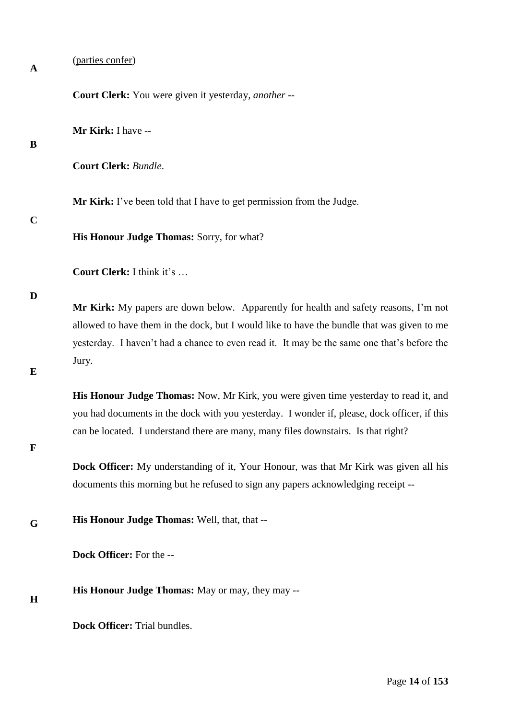**A**

(parties confer)

**Court Clerk:** You were given it yesterday*, another* --

**Mr Kirk:** I have --

## **B**

**Court Clerk:** *Bundle*.

**Mr Kirk:** I've been told that I have to get permission from the Judge.

### **C**

**His Honour Judge Thomas:** Sorry, for what?

**Court Clerk:** I think it's …

#### **D**

**Mr Kirk:** My papers are down below. Apparently for health and safety reasons, I'm not allowed to have them in the dock, but I would like to have the bundle that was given to me yesterday. I haven't had a chance to even read it. It may be the same one that's before the Jury.

## **E**

**His Honour Judge Thomas:** Now, Mr Kirk, you were given time yesterday to read it, and you had documents in the dock with you yesterday. I wonder if, please, dock officer, if this can be located. I understand there are many, many files downstairs. Is that right?

## **F**

**Dock Officer:** My understanding of it, Your Honour, was that Mr Kirk was given all his documents this morning but he refused to sign any papers acknowledging receipt --

**G His Honour Judge Thomas:** Well, that, that --

**Dock Officer:** For the --

**His Honour Judge Thomas:** May or may, they may --

## **H**

**Dock Officer:** Trial bundles.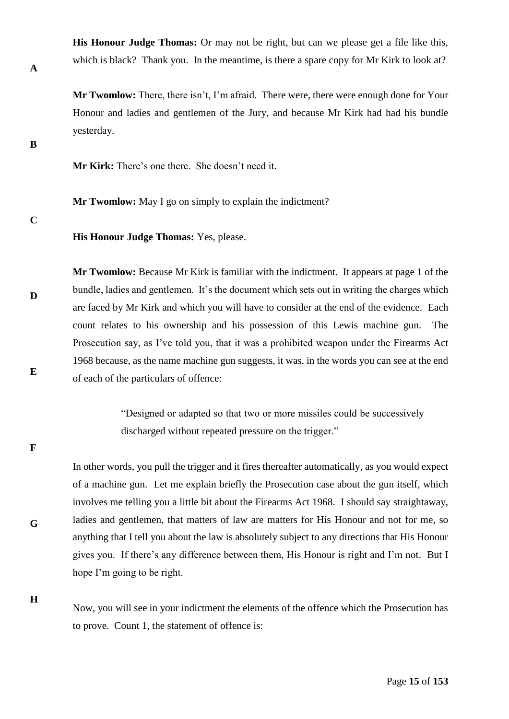**His Honour Judge Thomas:** Or may not be right, but can we please get a file like this, which is black? Thank you. In the meantime, is there a spare copy for Mr Kirk to look at?

**Mr Twomlow:** There, there isn't, I'm afraid. There were, there were enough done for Your Honour and ladies and gentlemen of the Jury, and because Mr Kirk had had his bundle yesterday.

**Mr Kirk:** There's one there. She doesn't need it.

**Mr Twomlow:** May I go on simply to explain the indictment?

**C**

**D**

**E**

**A**

**B**

**His Honour Judge Thomas:** Yes, please.

**Mr Twomlow:** Because Mr Kirk is familiar with the indictment. It appears at page 1 of the bundle, ladies and gentlemen. It's the document which sets out in writing the charges which are faced by Mr Kirk and which you will have to consider at the end of the evidence. Each count relates to his ownership and his possession of this Lewis machine gun. The Prosecution say, as I've told you, that it was a prohibited weapon under the Firearms Act 1968 because, as the name machine gun suggests, it was, in the words you can see at the end of each of the particulars of offence:

> "Designed or adapted so that two or more missiles could be successively discharged without repeated pressure on the trigger."

**F**

**G**

**H**

In other words, you pull the trigger and it fires thereafter automatically, as you would expect of a machine gun. Let me explain briefly the Prosecution case about the gun itself, which involves me telling you a little bit about the Firearms Act 1968. I should say straightaway, ladies and gentlemen, that matters of law are matters for His Honour and not for me, so anything that I tell you about the law is absolutely subject to any directions that His Honour gives you. If there's any difference between them, His Honour is right and I'm not. But I hope I'm going to be right.

Now, you will see in your indictment the elements of the offence which the Prosecution has to prove. Count 1, the statement of offence is: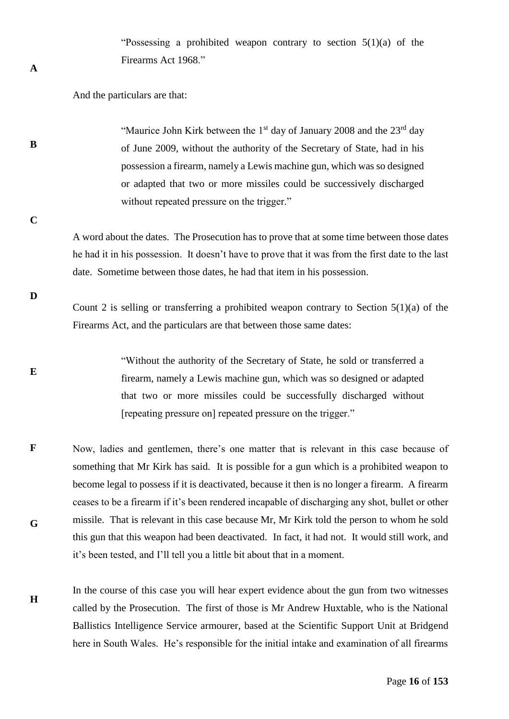"Possessing a prohibited weapon contrary to section  $5(1)(a)$  of the Firearms Act 1968."

And the particulars are that:

"Maurice John Kirk between the  $1<sup>st</sup>$  day of January 2008 and the  $23<sup>rd</sup>$  day of June 2009, without the authority of the Secretary of State, had in his possession a firearm, namely a Lewis machine gun, which was so designed or adapted that two or more missiles could be successively discharged without repeated pressure on the trigger."

**C**

**D**

**E**

**A**

**B**

A word about the dates. The Prosecution has to prove that at some time between those dates he had it in his possession. It doesn't have to prove that it was from the first date to the last date. Sometime between those dates, he had that item in his possession.

Count 2 is selling or transferring a prohibited weapon contrary to Section  $5(1)(a)$  of the Firearms Act, and the particulars are that between those same dates:

"Without the authority of the Secretary of State, he sold or transferred a firearm, namely a Lewis machine gun, which was so designed or adapted that two or more missiles could be successfully discharged without [repeating pressure on] repeated pressure on the trigger."

- **F G** Now, ladies and gentlemen, there's one matter that is relevant in this case because of something that Mr Kirk has said. It is possible for a gun which is a prohibited weapon to become legal to possess if it is deactivated, because it then is no longer a firearm. A firearm ceases to be a firearm if it's been rendered incapable of discharging any shot, bullet or other missile. That is relevant in this case because Mr, Mr Kirk told the person to whom he sold this gun that this weapon had been deactivated. In fact, it had not. It would still work, and it's been tested, and I'll tell you a little bit about that in a moment.
- **H** In the course of this case you will hear expert evidence about the gun from two witnesses called by the Prosecution. The first of those is Mr Andrew Huxtable, who is the National Ballistics Intelligence Service armourer, based at the Scientific Support Unit at Bridgend here in South Wales. He's responsible for the initial intake and examination of all firearms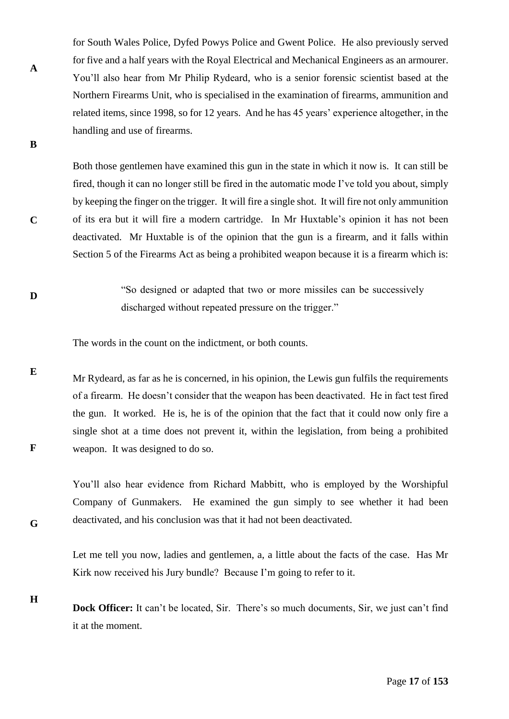for South Wales Police, Dyfed Powys Police and Gwent Police. He also previously served for five and a half years with the Royal Electrical and Mechanical Engineers as an armourer. You'll also hear from Mr Philip Rydeard, who is a senior forensic scientist based at the Northern Firearms Unit, who is specialised in the examination of firearms, ammunition and related items, since 1998, so for 12 years. And he has 45 years' experience altogether, in the handling and use of firearms.

Both those gentlemen have examined this gun in the state in which it now is. It can still be fired, though it can no longer still be fired in the automatic mode I've told you about, simply by keeping the finger on the trigger. It will fire a single shot. It will fire not only ammunition of its era but it will fire a modern cartridge. In Mr Huxtable's opinion it has not been deactivated. Mr Huxtable is of the opinion that the gun is a firearm, and it falls within Section 5 of the Firearms Act as being a prohibited weapon because it is a firearm which is:

"So designed or adapted that two or more missiles can be successively discharged without repeated pressure on the trigger."

The words in the count on the indictment, or both counts.

**A**

**B**

**C**

**D**

**G**

**E F** Mr Rydeard, as far as he is concerned, in his opinion, the Lewis gun fulfils the requirements of a firearm. He doesn't consider that the weapon has been deactivated. He in fact test fired the gun. It worked. He is, he is of the opinion that the fact that it could now only fire a single shot at a time does not prevent it, within the legislation, from being a prohibited weapon. It was designed to do so.

You'll also hear evidence from Richard Mabbitt, who is employed by the Worshipful Company of Gunmakers. He examined the gun simply to see whether it had been deactivated, and his conclusion was that it had not been deactivated.

Let me tell you now, ladies and gentlemen, a, a little about the facts of the case. Has Mr Kirk now received his Jury bundle? Because I'm going to refer to it.

**H Dock Officer:** It can't be located, Sir. There's so much documents, Sir, we just can't find it at the moment.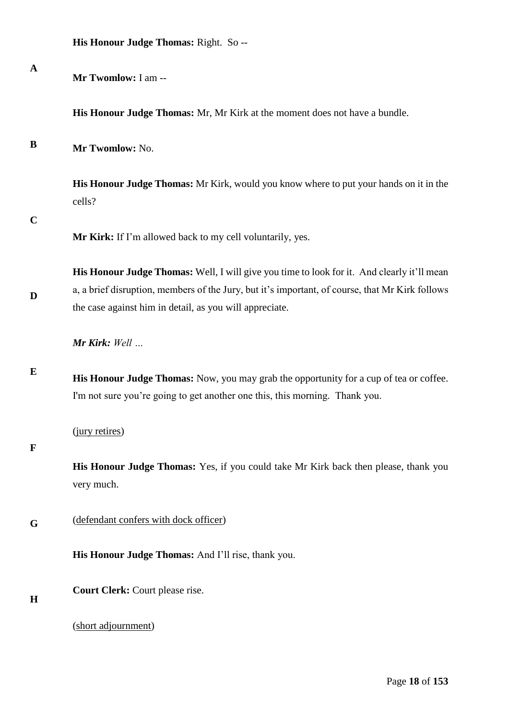|  |  |  | His Honour Judge Thomas: Right. So -- |  |  |
|--|--|--|---------------------------------------|--|--|
|--|--|--|---------------------------------------|--|--|

| $\mathbf A$ | Mr Twomlow: I am --                                                                                                                                                                                                                                      |
|-------------|----------------------------------------------------------------------------------------------------------------------------------------------------------------------------------------------------------------------------------------------------------|
|             | His Honour Judge Thomas: Mr, Mr Kirk at the moment does not have a bundle.                                                                                                                                                                               |
| B           | Mr Twomlow: No.                                                                                                                                                                                                                                          |
|             | His Honour Judge Thomas: Mr Kirk, would you know where to put your hands on it in the<br>cells?                                                                                                                                                          |
| $\mathbf C$ | Mr Kirk: If I'm allowed back to my cell voluntarily, yes.                                                                                                                                                                                                |
| D           | His Honour Judge Thomas: Well, I will give you time to look for it. And clearly it'll mean<br>a, a brief disruption, members of the Jury, but it's important, of course, that Mr Kirk follows<br>the case against him in detail, as you will appreciate. |
|             | Mr Kirk: Well                                                                                                                                                                                                                                            |
| E           | His Honour Judge Thomas: Now, you may grab the opportunity for a cup of tea or coffee.<br>I'm not sure you're going to get another one this, this morning. Thank you.                                                                                    |
| $\mathbf F$ | (jury retires)                                                                                                                                                                                                                                           |
|             | His Honour Judge Thomas: Yes, if you could take Mr Kirk back then please, thank you<br>very much.                                                                                                                                                        |
| G           | (defendant confers with dock officer)                                                                                                                                                                                                                    |
|             | His Honour Judge Thomas: And I'll rise, thank you.                                                                                                                                                                                                       |
| H           | Court Clerk: Court please rise.                                                                                                                                                                                                                          |
|             | (short adjournment)                                                                                                                                                                                                                                      |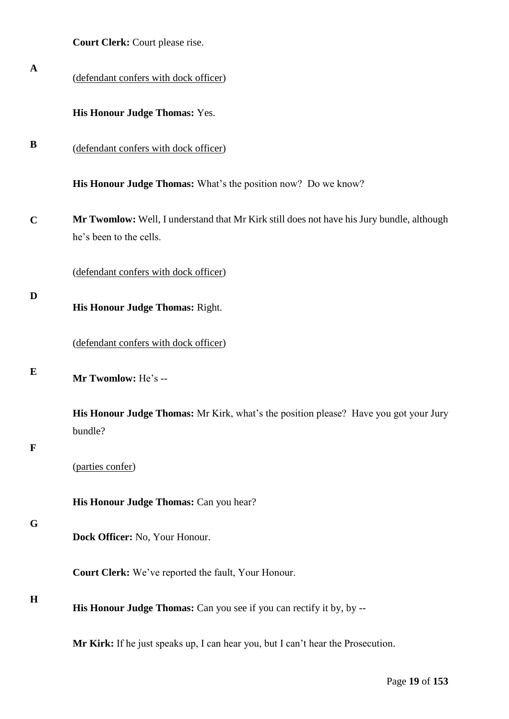| <b>Court Clerk:</b> Court please rise. |  |  |  |  |  |
|----------------------------------------|--|--|--|--|--|
|----------------------------------------|--|--|--|--|--|

| $\mathbf A$ | (defendant confers with dock officer)                                                                                |
|-------------|----------------------------------------------------------------------------------------------------------------------|
|             | His Honour Judge Thomas: Yes.                                                                                        |
| B           | (defendant confers with dock officer)                                                                                |
|             | <b>His Honour Judge Thomas:</b> What's the position now? Do we know?                                                 |
| $\mathbf C$ | Mr Twomlow: Well, I understand that Mr Kirk still does not have his Jury bundle, although<br>he's been to the cells. |
|             | (defendant confers with dock officer)                                                                                |
| D           | His Honour Judge Thomas: Right.                                                                                      |
|             | (defendant confers with dock officer)                                                                                |
| E           | Mr Twomlow: He's --                                                                                                  |
| $\mathbf F$ | <b>His Honour Judge Thomas:</b> Mr Kirk, what's the position please? Have you got your Jury<br>bundle?               |
|             | (parties confer)                                                                                                     |
|             | His Honour Judge Thomas: Can you hear?                                                                               |
| G           | Dock Officer: No, Your Honour.                                                                                       |
|             | Court Clerk: We've reported the fault, Your Honour.                                                                  |
| $\mathbf H$ | His Honour Judge Thomas: Can you see if you can rectify it by, by --                                                 |
|             | Mr Kirk: If he just speaks up, I can hear you, but I can't hear the Prosecution.                                     |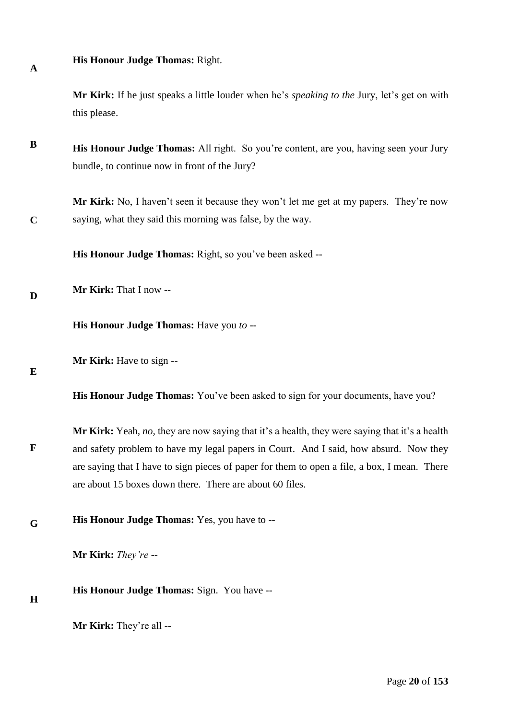**His Honour Judge Thomas:** Right.

**Mr Kirk:** If he just speaks a little louder when he's *speaking to the* Jury, let's get on with this please.

**B His Honour Judge Thomas:** All right. So you're content, are you, having seen your Jury bundle, to continue now in front of the Jury?

**Mr Kirk:** No, I haven't seen it because they won't let me get at my papers. They're now saying, what they said this morning was false, by the way.

**His Honour Judge Thomas:** Right, so you've been asked --

**D Mr Kirk:** That I now --

**His Honour Judge Thomas:** Have you *to* --

**E**

**F**

**H**

**A**

**C**

**Mr Kirk:** Have to sign --

**His Honour Judge Thomas:** You've been asked to sign for your documents, have you?

**Mr Kirk:** Yeah*, no,* they are now saying that it's a health, they were saying that it's a health and safety problem to have my legal papers in Court. And I said, how absurd. Now they are saying that I have to sign pieces of paper for them to open a file, a box, I mean. There are about 15 boxes down there. There are about 60 files.

**G His Honour Judge Thomas:** Yes, you have to --

**Mr Kirk:** *They're --* 

**His Honour Judge Thomas:** Sign. You have --

**Mr Kirk:** They're all --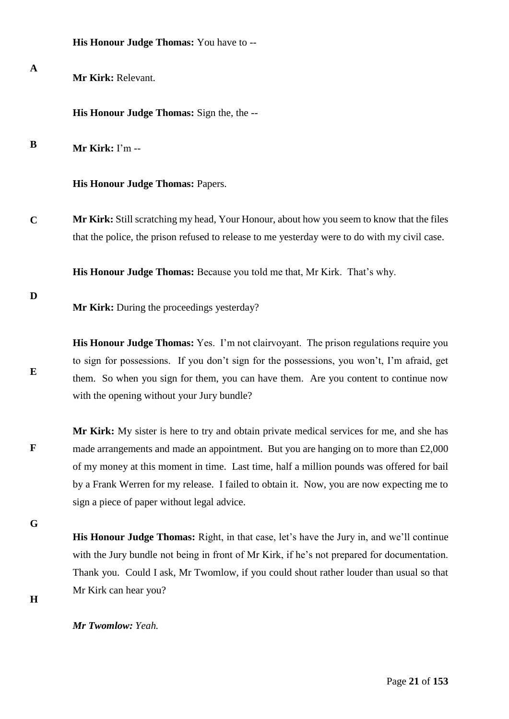|             | His Honour Judge Thomas: You have to --                                                                                                                                                                                                                                                                                                                                                                                     |
|-------------|-----------------------------------------------------------------------------------------------------------------------------------------------------------------------------------------------------------------------------------------------------------------------------------------------------------------------------------------------------------------------------------------------------------------------------|
| $\mathbf A$ | Mr Kirk: Relevant.                                                                                                                                                                                                                                                                                                                                                                                                          |
|             | His Honour Judge Thomas: Sign the, the --                                                                                                                                                                                                                                                                                                                                                                                   |
| B           | Mr Kirk: I'm --                                                                                                                                                                                                                                                                                                                                                                                                             |
|             | His Honour Judge Thomas: Papers.                                                                                                                                                                                                                                                                                                                                                                                            |
| $\mathbf C$ | Mr Kirk: Still scratching my head, Your Honour, about how you seem to know that the files<br>that the police, the prison refused to release to me yesterday were to do with my civil case.                                                                                                                                                                                                                                  |
|             | His Honour Judge Thomas: Because you told me that, Mr Kirk. That's why.                                                                                                                                                                                                                                                                                                                                                     |
| D           | Mr Kirk: During the proceedings yesterday?                                                                                                                                                                                                                                                                                                                                                                                  |
| E           | His Honour Judge Thomas: Yes. I'm not clairvoyant. The prison regulations require you<br>to sign for possessions. If you don't sign for the possessions, you won't, I'm afraid, get<br>them. So when you sign for them, you can have them. Are you content to continue now<br>with the opening without your Jury bundle?                                                                                                    |
| F           | Mr Kirk: My sister is here to try and obtain private medical services for me, and she has<br>made arrangements and made an appointment. But you are hanging on to more than £2,000<br>of my money at this moment in time. Last time, half a million pounds was offered for bail<br>by a Frank Werren for my release. I failed to obtain it. Now, you are now expecting me to<br>sign a piece of paper without legal advice. |
| G           |                                                                                                                                                                                                                                                                                                                                                                                                                             |
|             | <b>His Honour Judge Thomas:</b> Right, in that case, let's have the Jury in, and we'll continue<br>with the Jury bundle not being in front of Mr Kirk, if he's not prepared for documentation.                                                                                                                                                                                                                              |
|             | Thank you. Could I ask, Mr Twomlow, if you could shout rather louder than usual so that                                                                                                                                                                                                                                                                                                                                     |

**H**

*Mr Twomlow: Yeah.* 

Mr Kirk can hear you?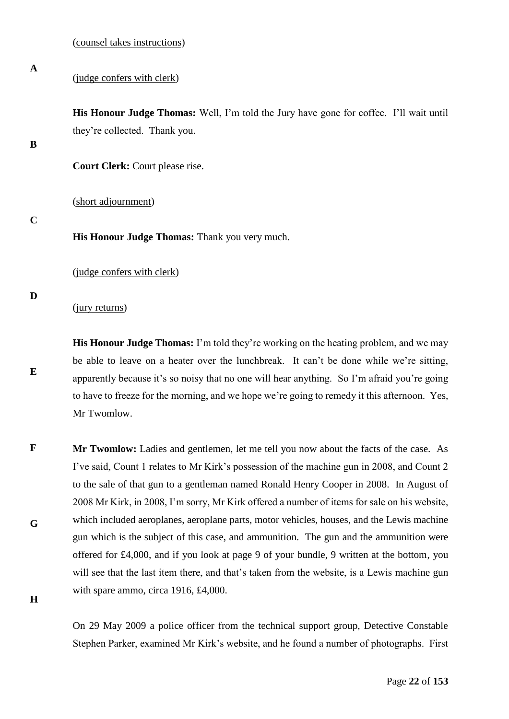(judge confers with clerk)

**His Honour Judge Thomas:** Well, I'm told the Jury have gone for coffee. I'll wait until they're collected. Thank you.

### **B**

**A**

**Court Clerk:** Court please rise.

(short adjournment)

#### **C**

**His Honour Judge Thomas:** Thank you very much.

(judge confers with clerk)

#### **D**

**E**

(jury returns)

**His Honour Judge Thomas:** I'm told they're working on the heating problem, and we may be able to leave on a heater over the lunchbreak. It can't be done while we're sitting, apparently because it's so noisy that no one will hear anything. So I'm afraid you're going to have to freeze for the morning, and we hope we're going to remedy it this afternoon. Yes, Mr Twomlow.

**F G Mr Twomlow:** Ladies and gentlemen, let me tell you now about the facts of the case. As I've said, Count 1 relates to Mr Kirk's possession of the machine gun in 2008, and Count 2 to the sale of that gun to a gentleman named Ronald Henry Cooper in 2008. In August of 2008 Mr Kirk, in 2008, I'm sorry, Mr Kirk offered a number of items for sale on his website, which included aeroplanes, aeroplane parts, motor vehicles, houses, and the Lewis machine gun which is the subject of this case, and ammunition. The gun and the ammunition were offered for £4,000, and if you look at page 9 of your bundle, 9 written at the bottom, you will see that the last item there, and that's taken from the website, is a Lewis machine gun with spare ammo, circa 1916, £4,000.

**H**

On 29 May 2009 a police officer from the technical support group, Detective Constable Stephen Parker, examined Mr Kirk's website, and he found a number of photographs. First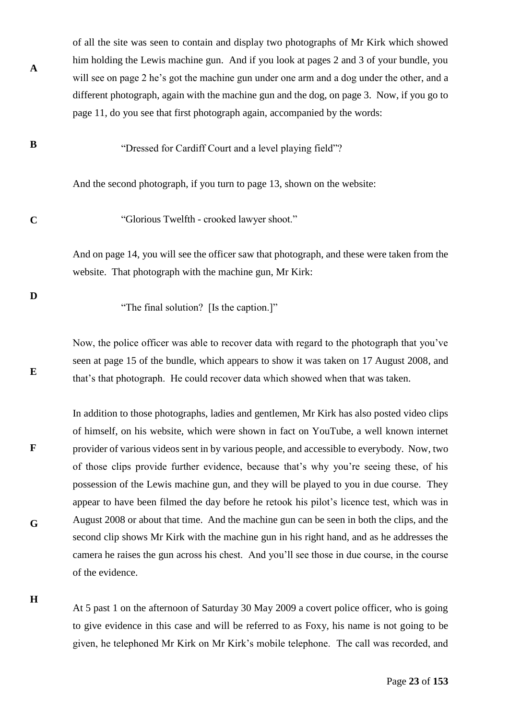of all the site was seen to contain and display two photographs of Mr Kirk which showed him holding the Lewis machine gun. And if you look at pages 2 and 3 of your bundle, you will see on page 2 he's got the machine gun under one arm and a dog under the other, and a different photograph, again with the machine gun and the dog, on page 3. Now, if you go to page 11, do you see that first photograph again, accompanied by the words:

**B** "Dressed for Cardiff Court and a level playing field"?

And the second photograph, if you turn to page 13, shown on the website:

"Glorious Twelfth - crooked lawyer shoot."

And on page 14, you will see the officer saw that photograph, and these were taken from the website. That photograph with the machine gun, Mr Kirk:

**D**

**E**

**F**

**C**

**A**

"The final solution? [Is the caption.]"

Now, the police officer was able to recover data with regard to the photograph that you've seen at page 15 of the bundle, which appears to show it was taken on 17 August 2008, and that's that photograph. He could recover data which showed when that was taken.

In addition to those photographs, ladies and gentlemen, Mr Kirk has also posted video clips of himself, on his website, which were shown in fact on YouTube, a well known internet provider of various videos sent in by various people, and accessible to everybody. Now, two of those clips provide further evidence, because that's why you're seeing these, of his possession of the Lewis machine gun, and they will be played to you in due course. They appear to have been filmed the day before he retook his pilot's licence test, which was in August 2008 or about that time. And the machine gun can be seen in both the clips, and the second clip shows Mr Kirk with the machine gun in his right hand, and as he addresses the camera he raises the gun across his chest. And you'll see those in due course, in the course of the evidence.

**H**

**G**

At 5 past 1 on the afternoon of Saturday 30 May 2009 a covert police officer, who is going to give evidence in this case and will be referred to as Foxy, his name is not going to be given, he telephoned Mr Kirk on Mr Kirk's mobile telephone. The call was recorded, and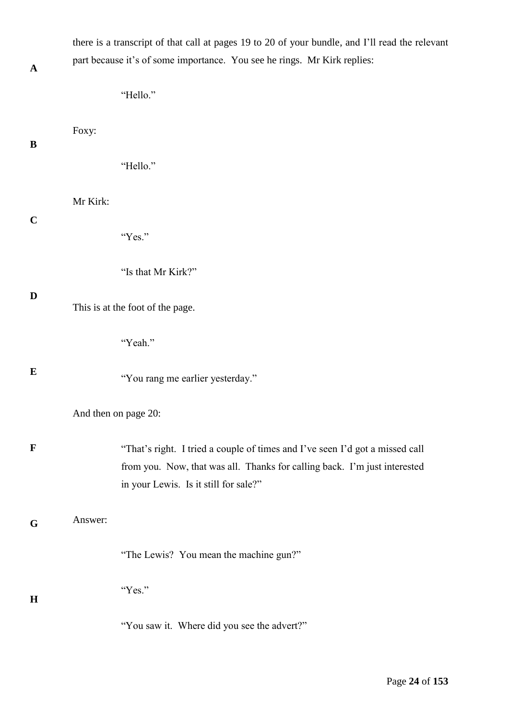| $\mathbf A$ |                      | there is a transcript of that call at pages 19 to 20 of your bundle, and I'll read the relevant<br>part because it's of some importance. You see he rings. Mr Kirk replies:                        |
|-------------|----------------------|----------------------------------------------------------------------------------------------------------------------------------------------------------------------------------------------------|
|             |                      | "Hello."                                                                                                                                                                                           |
| B           | Foxy:                |                                                                                                                                                                                                    |
|             |                      | "Hello."                                                                                                                                                                                           |
|             | Mr Kirk:             |                                                                                                                                                                                                    |
| $\mathbf C$ |                      | "Yes."                                                                                                                                                                                             |
|             |                      | "Is that Mr Kirk?"                                                                                                                                                                                 |
| D           |                      | This is at the foot of the page.                                                                                                                                                                   |
|             |                      | "Yeah."                                                                                                                                                                                            |
| $\bf{E}$    |                      | "You rang me earlier yesterday."                                                                                                                                                                   |
|             | And then on page 20: |                                                                                                                                                                                                    |
| $\mathbf F$ |                      | "That's right. I tried a couple of times and I've seen I'd got a missed call<br>from you. Now, that was all. Thanks for calling back. I'm just interested<br>in your Lewis. Is it still for sale?" |
| G           | Answer:              |                                                                                                                                                                                                    |
|             |                      | "The Lewis? You mean the machine gun?"                                                                                                                                                             |
| H           |                      | "Yes."                                                                                                                                                                                             |
|             |                      | "You saw it. Where did you see the advert?"                                                                                                                                                        |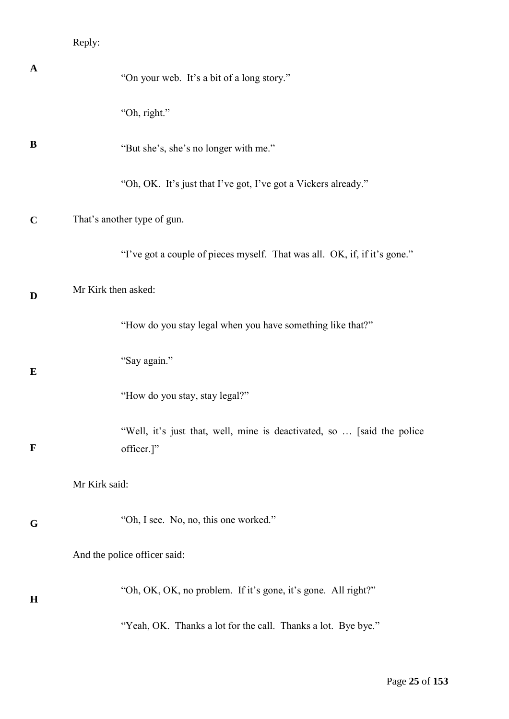# Reply:

| $\mathbf A$ | "On your web. It's a bit of a long story."                                           |
|-------------|--------------------------------------------------------------------------------------|
|             | "Oh, right."                                                                         |
| B           | "But she's, she's no longer with me."                                                |
|             | "Oh, OK. It's just that I've got, I've got a Vickers already."                       |
| $\mathbf C$ | That's another type of gun.                                                          |
|             | "I've got a couple of pieces myself. That was all. OK, if, if it's gone."            |
| D           | Mr Kirk then asked:                                                                  |
|             | "How do you stay legal when you have something like that?"                           |
| $\bf{E}$    | "Say again."                                                                         |
|             | "How do you stay, stay legal?"                                                       |
| $\mathbf F$ | "Well, it's just that, well, mine is deactivated, so  [said the police<br>officer.]" |
|             | Mr Kirk said:                                                                        |
|             | "Oh, I see. No, no, this one worked."                                                |
| G           | And the police officer said:                                                         |
|             |                                                                                      |
| $\mathbf H$ | "Oh, OK, OK, no problem. If it's gone, it's gone. All right?"                        |
|             | "Yeah, OK. Thanks a lot for the call. Thanks a lot. Bye bye."                        |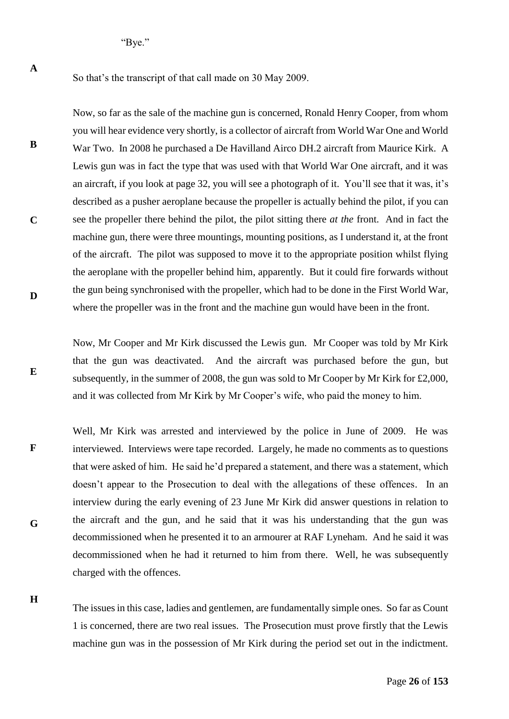"Bye."

**A**

**B**

**C**

**D**

**E**

**H**

So that's the transcript of that call made on 30 May 2009.

Now, so far as the sale of the machine gun is concerned, Ronald Henry Cooper, from whom you will hear evidence very shortly, is a collector of aircraft from World War One and World War Two. In 2008 he purchased a De Havilland Airco DH.2 aircraft from Maurice Kirk. A Lewis gun was in fact the type that was used with that World War One aircraft, and it was an aircraft, if you look at page 32, you will see a photograph of it. You'll see that it was, it's described as a pusher aeroplane because the propeller is actually behind the pilot, if you can see the propeller there behind the pilot, the pilot sitting there *at the* front. And in fact the machine gun, there were three mountings, mounting positions, as I understand it, at the front of the aircraft. The pilot was supposed to move it to the appropriate position whilst flying the aeroplane with the propeller behind him, apparently. But it could fire forwards without the gun being synchronised with the propeller, which had to be done in the First World War, where the propeller was in the front and the machine gun would have been in the front.

Now, Mr Cooper and Mr Kirk discussed the Lewis gun. Mr Cooper was told by Mr Kirk that the gun was deactivated. And the aircraft was purchased before the gun, but subsequently, in the summer of 2008, the gun was sold to Mr Cooper by Mr Kirk for £2,000, and it was collected from Mr Kirk by Mr Cooper's wife, who paid the money to him.

**F G** Well, Mr Kirk was arrested and interviewed by the police in June of 2009. He was interviewed. Interviews were tape recorded. Largely, he made no comments as to questions that were asked of him. He said he'd prepared a statement, and there was a statement, which doesn't appear to the Prosecution to deal with the allegations of these offences. In an interview during the early evening of 23 June Mr Kirk did answer questions in relation to the aircraft and the gun, and he said that it was his understanding that the gun was decommissioned when he presented it to an armourer at RAF Lyneham. And he said it was decommissioned when he had it returned to him from there. Well, he was subsequently charged with the offences.

The issues in this case, ladies and gentlemen, are fundamentally simple ones. So far as Count 1 is concerned, there are two real issues. The Prosecution must prove firstly that the Lewis machine gun was in the possession of Mr Kirk during the period set out in the indictment.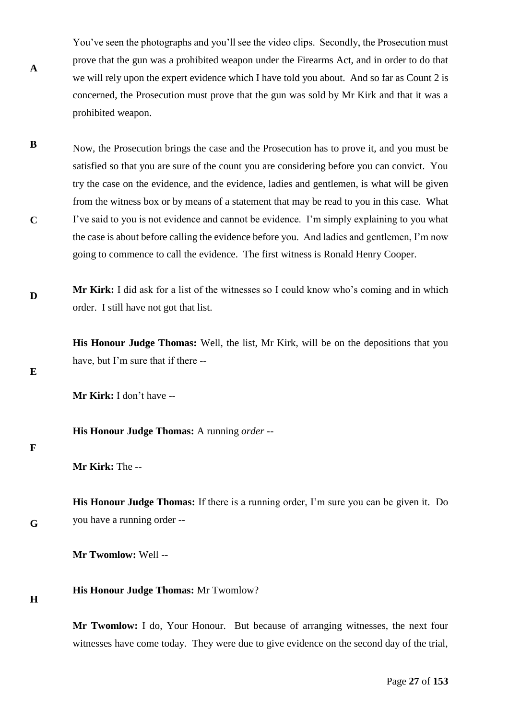You've seen the photographs and you'll see the video clips. Secondly, the Prosecution must prove that the gun was a prohibited weapon under the Firearms Act, and in order to do that we will rely upon the expert evidence which I have told you about. And so far as Count 2 is concerned, the Prosecution must prove that the gun was sold by Mr Kirk and that it was a prohibited weapon.

- **B C** Now, the Prosecution brings the case and the Prosecution has to prove it, and you must be satisfied so that you are sure of the count you are considering before you can convict. You try the case on the evidence, and the evidence, ladies and gentlemen, is what will be given from the witness box or by means of a statement that may be read to you in this case. What I've said to you is not evidence and cannot be evidence. I'm simply explaining to you what the case is about before calling the evidence before you. And ladies and gentlemen, I'm now going to commence to call the evidence. The first witness is Ronald Henry Cooper.
- **D Mr Kirk:** I did ask for a list of the witnesses so I could know who's coming and in which order. I still have not got that list.

**His Honour Judge Thomas:** Well, the list, Mr Kirk, will be on the depositions that you have, but I'm sure that if there --

**E**

**A**

**Mr Kirk:** I don't have --

**His Honour Judge Thomas:** A running *order* --

#### **F**

**G**

**H**

**His Honour Judge Thomas:** If there is a running order, I'm sure you can be given it. Do you have a running order --

**Mr Twomlow:** Well --

## **His Honour Judge Thomas:** Mr Twomlow?

**Mr Twomlow:** I do, Your Honour. But because of arranging witnesses, the next four witnesses have come today. They were due to give evidence on the second day of the trial,

**Mr Kirk:** The --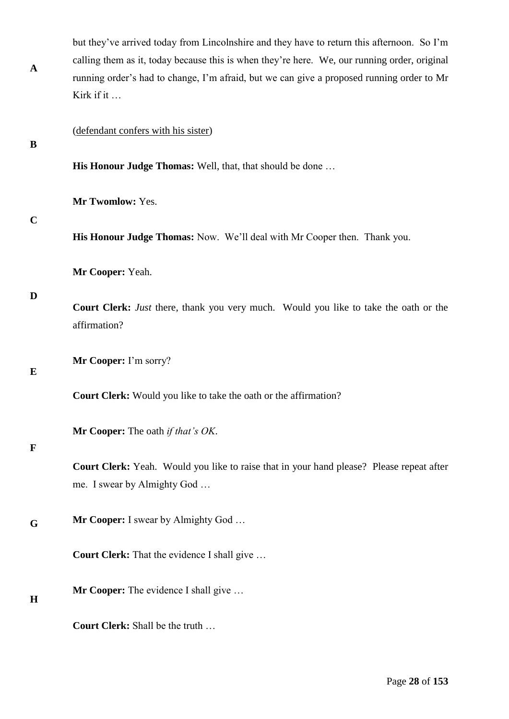| $\mathbf{A}$ | but they've arrived today from Lincolnshire and they have to return this afternoon. So I'm<br>calling them as it, today because this is when they're here. We, our running order, original<br>running order's had to change, I'm afraid, but we can give a proposed running order to Mr<br>Kirk if it |
|--------------|-------------------------------------------------------------------------------------------------------------------------------------------------------------------------------------------------------------------------------------------------------------------------------------------------------|
| B            | (defendant confers with his sister)                                                                                                                                                                                                                                                                   |
|              | His Honour Judge Thomas: Well, that, that should be done                                                                                                                                                                                                                                              |
|              | Mr Twomlow: Yes.                                                                                                                                                                                                                                                                                      |
| $\mathbf C$  | His Honour Judge Thomas: Now. We'll deal with Mr Cooper then. Thank you.                                                                                                                                                                                                                              |
| D            | Mr Cooper: Yeah.                                                                                                                                                                                                                                                                                      |
|              | Court Clerk: Just there, thank you very much. Would you like to take the oath or the<br>affirmation?                                                                                                                                                                                                  |
| ${\bf E}$    | Mr Cooper: I'm sorry?                                                                                                                                                                                                                                                                                 |
|              | Court Clerk: Would you like to take the oath or the affirmation?                                                                                                                                                                                                                                      |
| $\mathbf F$  | Mr Cooper: The oath if that's OK.                                                                                                                                                                                                                                                                     |
|              | <b>Court Clerk:</b> Yeah. Would you like to raise that in your hand please? Please repeat after<br>me. I swear by Almighty God                                                                                                                                                                        |
| G            | <b>Mr Cooper:</b> I swear by Almighty God                                                                                                                                                                                                                                                             |
|              | Court Clerk: That the evidence I shall give                                                                                                                                                                                                                                                           |
| H            | <b>Mr Cooper:</b> The evidence I shall give                                                                                                                                                                                                                                                           |
|              | Court Clerk: Shall be the truth                                                                                                                                                                                                                                                                       |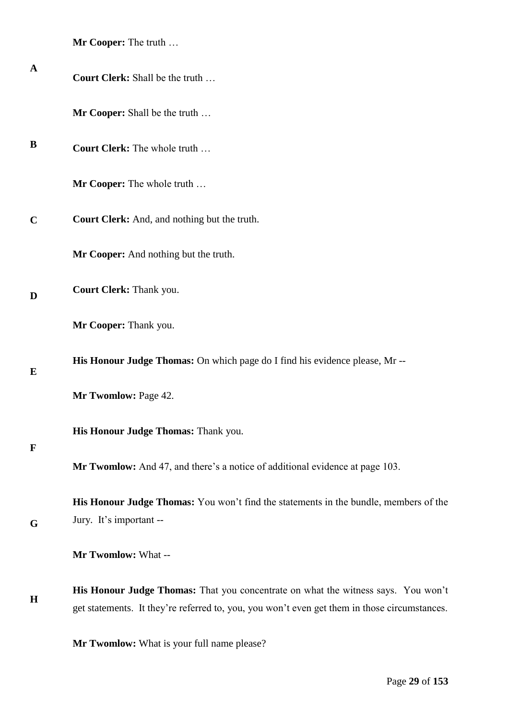|  | <b>Mr Cooper:</b> The truth |
|--|-----------------------------|
|--|-----------------------------|

| $\mathbf A$ | Court Clerk: Shall be the truth                                                                                                                                                   |
|-------------|-----------------------------------------------------------------------------------------------------------------------------------------------------------------------------------|
|             | Mr Cooper: Shall be the truth                                                                                                                                                     |
| B           | <b>Court Clerk:</b> The whole truth                                                                                                                                               |
|             | Mr Cooper: The whole truth                                                                                                                                                        |
| $\mathbf C$ | Court Clerk: And, and nothing but the truth.                                                                                                                                      |
|             | Mr Cooper: And nothing but the truth.                                                                                                                                             |
| D           | Court Clerk: Thank you.                                                                                                                                                           |
|             | Mr Cooper: Thank you.                                                                                                                                                             |
| E           | His Honour Judge Thomas: On which page do I find his evidence please, Mr --                                                                                                       |
|             | Mr Twomlow: Page 42.                                                                                                                                                              |
|             | His Honour Judge Thomas: Thank you.                                                                                                                                               |
| $\mathbf F$ | <b>Mr Twomlow:</b> And 47, and there's a notice of additional evidence at page 103.                                                                                               |
| G           | His Honour Judge Thomas: You won't find the statements in the bundle, members of the<br>Jury. It's important --                                                                   |
|             | Mr Twomlow: What --                                                                                                                                                               |
| $\mathbf H$ | His Honour Judge Thomas: That you concentrate on what the witness says. You won't<br>get statements. It they're referred to, you, you won't even get them in those circumstances. |
|             | Mr Twomlow: What is your full name please?                                                                                                                                        |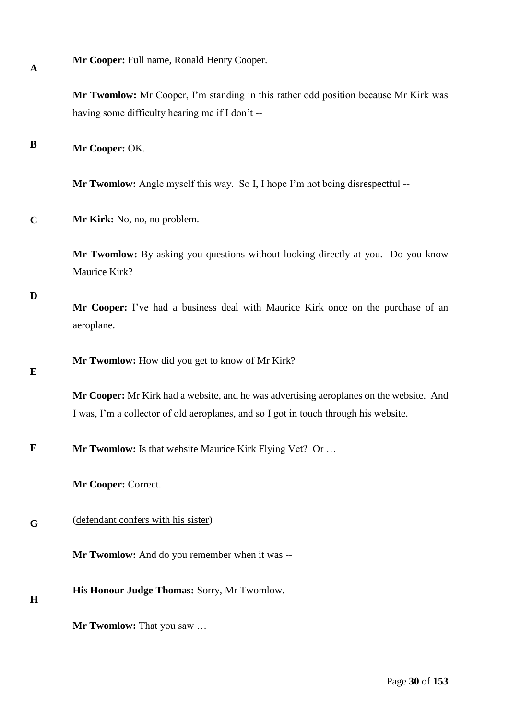|  | Mr Cooper: Full name, Ronald Henry Cooper. |
|--|--------------------------------------------|
|--|--------------------------------------------|

**Mr Twomlow:** Mr Cooper, I'm standing in this rather odd position because Mr Kirk was having some difficulty hearing me if I don't --

#### **B Mr Cooper:** OK.

**Mr Twomlow:** Angle myself this way. So I, I hope I'm not being disrespectful --

**C Mr Kirk:** No, no, no problem.

> **Mr Twomlow:** By asking you questions without looking directly at you. Do you know Maurice Kirk?

**D**

**A**

**Mr Cooper:** I've had a business deal with Maurice Kirk once on the purchase of an aeroplane.

**Mr Twomlow:** How did you get to know of Mr Kirk?

**E**

**Mr Cooper:** Mr Kirk had a website, and he was advertising aeroplanes on the website. And I was, I'm a collector of old aeroplanes, and so I got in touch through his website.

**F Mr Twomlow:** Is that website Maurice Kirk Flying Vet? Or ...

**Mr Cooper:** Correct.

#### **G** (defendant confers with his sister)

**Mr Twomlow:** And do you remember when it was --

- **His Honour Judge Thomas:** Sorry, Mr Twomlow.
- **H**

**Mr Twomlow:** That you saw …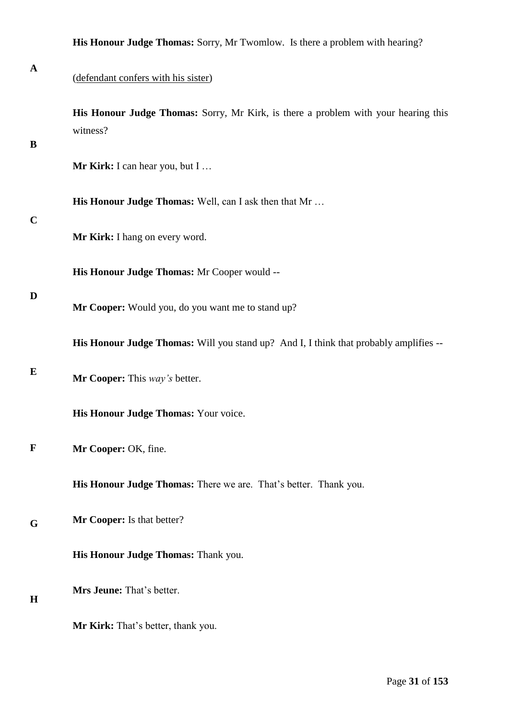|              | His Honour Judge Thomas: Sorry, Mr Twomlow. Is there a problem with hearing?                   |
|--------------|------------------------------------------------------------------------------------------------|
| $\mathbf A$  | (defendant confers with his sister)                                                            |
| $\bf{B}$     | His Honour Judge Thomas: Sorry, Mr Kirk, is there a problem with your hearing this<br>witness? |
|              | Mr Kirk: I can hear you, but I                                                                 |
| $\mathbf C$  | His Honour Judge Thomas: Well, can I ask then that Mr                                          |
|              | Mr Kirk: I hang on every word.                                                                 |
|              | His Honour Judge Thomas: Mr Cooper would --                                                    |
| D            | Mr Cooper: Would you, do you want me to stand up?                                              |
|              | His Honour Judge Thomas: Will you stand up? And I, I think that probably amplifies --          |
| $\bf{E}$     | Mr Cooper: This way's better.                                                                  |
|              | His Honour Judge Thomas: Your voice.                                                           |
| $\mathbf{F}$ | Mr Cooper: OK, fine.                                                                           |
|              | His Honour Judge Thomas: There we are. That's better. Thank you.                               |
| G            | Mr Cooper: Is that better?                                                                     |
|              | His Honour Judge Thomas: Thank you.                                                            |
| H            | Mrs Jeune: That's better.                                                                      |
|              |                                                                                                |

**Mr Kirk:** That's better, thank you.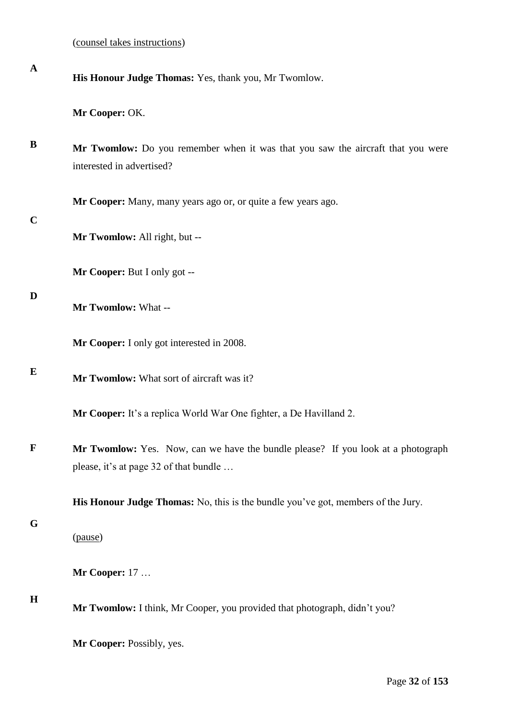| $\mathbf A$ | His Honour Judge Thomas: Yes, thank you, Mr Twomlow.                                                                       |
|-------------|----------------------------------------------------------------------------------------------------------------------------|
|             | Mr Cooper: OK.                                                                                                             |
| B           | Mr Twomlow: Do you remember when it was that you saw the aircraft that you were<br>interested in advertised?               |
|             | Mr Cooper: Many, many years ago or, or quite a few years ago.                                                              |
| $\mathbf C$ | Mr Twomlow: All right, but --                                                                                              |
|             | Mr Cooper: But I only got --                                                                                               |
| D           | Mr Twomlow: What --                                                                                                        |
|             | Mr Cooper: I only got interested in 2008.                                                                                  |
| E           | Mr Twomlow: What sort of aircraft was it?                                                                                  |
|             | Mr Cooper: It's a replica World War One fighter, a De Havilland 2.                                                         |
| $\mathbf F$ | Mr Twomlow: Yes. Now, can we have the bundle please? If you look at a photograph<br>please, it's at page 32 of that bundle |
|             | <b>His Honour Judge Thomas:</b> No, this is the bundle you've got, members of the Jury.                                    |
| G           | (pause)                                                                                                                    |
|             | <b>Mr Cooper: 17</b>                                                                                                       |
| $\mathbf H$ | Mr Twomlow: I think, Mr Cooper, you provided that photograph, didn't you?                                                  |
|             | Mr Cooper: Possibly, yes.                                                                                                  |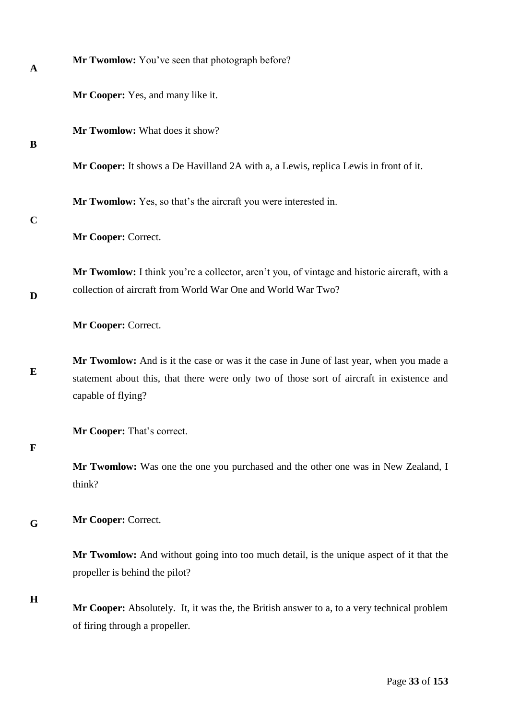| A           | Mr Twomlow: You've seen that photograph before?                                                                                                                                                            |
|-------------|------------------------------------------------------------------------------------------------------------------------------------------------------------------------------------------------------------|
|             | Mr Cooper: Yes, and many like it.                                                                                                                                                                          |
| B           | Mr Twomlow: What does it show?                                                                                                                                                                             |
|             | Mr Cooper: It shows a De Havilland 2A with a, a Lewis, replica Lewis in front of it.                                                                                                                       |
|             | Mr Twomlow: Yes, so that's the aircraft you were interested in.                                                                                                                                            |
| $\mathbf C$ | Mr Cooper: Correct.                                                                                                                                                                                        |
|             | Mr Twomlow: I think you're a collector, aren't you, of vintage and historic aircraft, with a                                                                                                               |
| D           | collection of aircraft from World War One and World War Two?                                                                                                                                               |
|             | Mr Cooper: Correct.                                                                                                                                                                                        |
| E           | Mr Twomlow: And is it the case or was it the case in June of last year, when you made a<br>statement about this, that there were only two of those sort of aircraft in existence and<br>capable of flying? |
| F           | Mr Cooper: That's correct.                                                                                                                                                                                 |
|             | Mr Twomlow: Was one the one you purchased and the other one was in New Zealand, I<br>think?                                                                                                                |
| G           | Mr Cooper: Correct.                                                                                                                                                                                        |
|             | Mr Twomlow: And without going into too much detail, is the unique aspect of it that the<br>propeller is behind the pilot?                                                                                  |
| $\mathbf H$ | Mr Cooper: Absolutely. It, it was the, the British answer to a, to a very technical problem<br>of firing through a propeller.                                                                              |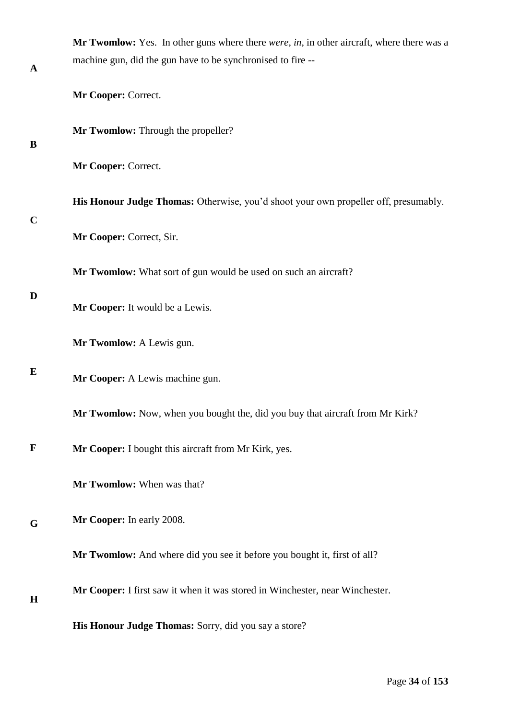|             | Mr Twomlow: Yes. In other guns where there <i>were</i> , in, in other aircraft, where there was a |
|-------------|---------------------------------------------------------------------------------------------------|
| $\mathbf A$ | machine gun, did the gun have to be synchronised to fire --                                       |
|             | Mr Cooper: Correct.                                                                               |
| B           | Mr Twomlow: Through the propeller?                                                                |
|             | Mr Cooper: Correct.                                                                               |
| $\mathbf C$ | His Honour Judge Thomas: Otherwise, you'd shoot your own propeller off, presumably.               |
|             | Mr Cooper: Correct, Sir.                                                                          |
| D           | Mr Twomlow: What sort of gun would be used on such an aircraft?                                   |
|             | Mr Cooper: It would be a Lewis.                                                                   |
|             | Mr Twomlow: A Lewis gun.                                                                          |
| E           | Mr Cooper: A Lewis machine gun.                                                                   |
|             | Mr Twomlow: Now, when you bought the, did you buy that aircraft from Mr Kirk?                     |
| $\mathbf F$ | Mr Cooper: I bought this aircraft from Mr Kirk, yes.                                              |
|             | Mr Twomlow: When was that?                                                                        |
| G           | Mr Cooper: In early 2008.                                                                         |
|             | <b>Mr Twomlow:</b> And where did you see it before you bought it, first of all?                   |
| H           | Mr Cooper: I first saw it when it was stored in Winchester, near Winchester.                      |
|             | His Honour Judge Thomas: Sorry, did you say a store?                                              |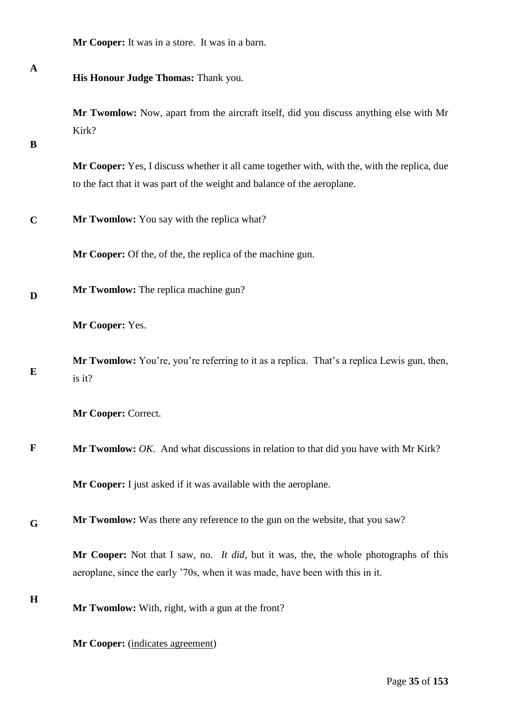| Mr Cooper: It was in a store. It was in a barn. |  |
|-------------------------------------------------|--|
|-------------------------------------------------|--|

| $\mathbf A$  | His Honour Judge Thomas: Thank you.                                                                                                                                      |
|--------------|--------------------------------------------------------------------------------------------------------------------------------------------------------------------------|
| B            | Mr Twomlow: Now, apart from the aircraft itself, did you discuss anything else with Mr<br>Kirk?                                                                          |
|              | Mr Cooper: Yes, I discuss whether it all came together with, with the, with the replica, due<br>to the fact that it was part of the weight and balance of the aeroplane. |
| $\mathbf C$  | Mr Twomlow: You say with the replica what?                                                                                                                               |
|              | <b>Mr Cooper:</b> Of the, of the, the replica of the machine gun.                                                                                                        |
| D            | Mr Twomlow: The replica machine gun?                                                                                                                                     |
|              | Mr Cooper: Yes.                                                                                                                                                          |
| E            | Mr Twomlow: You're, you're referring to it as a replica. That's a replica Lewis gun, then,<br>is it?                                                                     |
|              | Mr Cooper: Correct.                                                                                                                                                      |
| $\mathbf{F}$ | Mr Twomlow: OK. And what discussions in relation to that did you have with Mr Kirk?                                                                                      |
|              | Mr Cooper: I just asked if it was available with the aeroplane.                                                                                                          |
| G            | Mr Twomlow: Was there any reference to the gun on the website, that you saw?                                                                                             |
|              | Mr Cooper: Not that I saw, no. It did, but it was, the, the whole photographs of this<br>aeroplane, since the early '70s, when it was made, have been with this in it.   |
| $\bf H$      | Mr Twomlow: With, right, with a gun at the front?                                                                                                                        |
|              | Mr Cooper: (indicates agreement)                                                                                                                                         |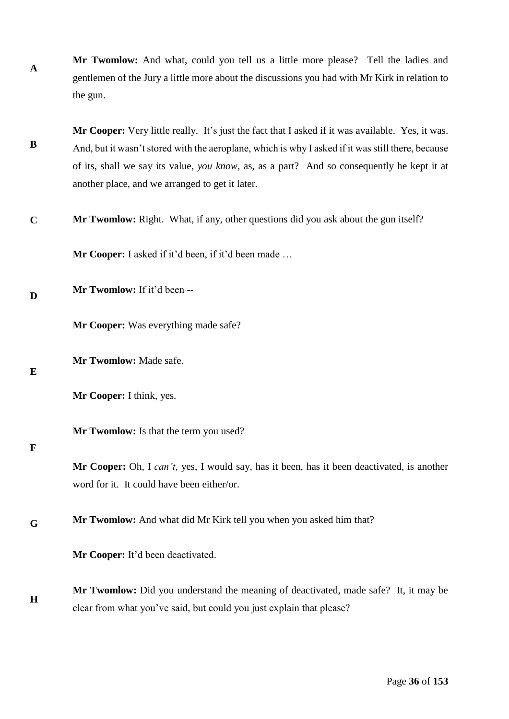**A Mr Twomlow:** And what, could you tell us a little more please? Tell the ladies and gentlemen of the Jury a little more about the discussions you had with Mr Kirk in relation to the gun.

**B Mr Cooper:** Very little really. It's just the fact that I asked if it was available. Yes, it was. And, but it wasn't stored with the aeroplane, which is why I asked if it was still there, because of its, shall we say its value*, you know,* as, as a part? And so consequently he kept it at another place, and we arranged to get it later.

**C Mr Twomlow:** Right. What, if any, other questions did you ask about the gun itself?

**Mr Cooper:** I asked if it'd been, if it'd been made …

**D Mr Twomlow:** If it'd been --

**Mr Cooper:** Was everything made safe?

**Mr Twomlow:** Made safe.

**E**

**Mr Cooper:** I think, yes.

**Mr Twomlow:** Is that the term you used?

### **F**

**Mr Cooper:** Oh, I *can't*, yes, I would say, has it been, has it been deactivated, is another word for it. It could have been either/or.

**G Mr Twomlow:** And what did Mr Kirk tell you when you asked him that?

**Mr Cooper:** It'd been deactivated.

**H Mr Twomlow:** Did you understand the meaning of deactivated, made safe? It, it may be clear from what you've said, but could you just explain that please?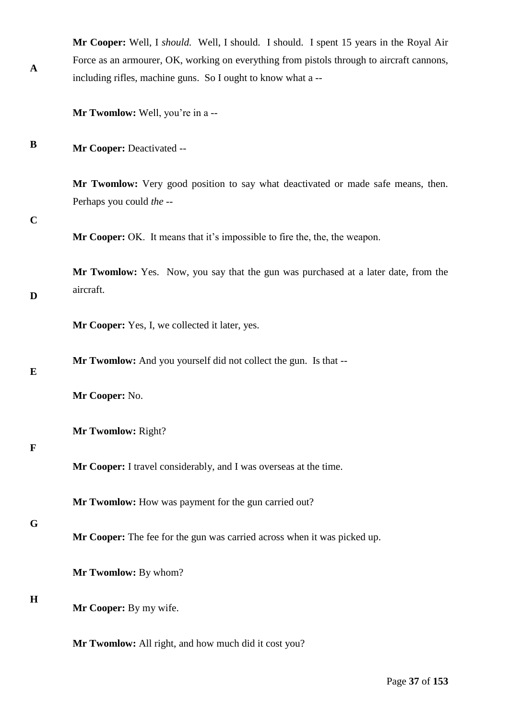| <b>Mr Cooper:</b> Well, I <i>should</i> . Well, I should. I should. I spent 15 years in the Royal Air |  |  |
|-------------------------------------------------------------------------------------------------------|--|--|
| Force as an armourer, OK, working on everything from pistols through to aircraft cannons,             |  |  |
| including rifles, machine guns. So I ought to know what a --                                          |  |  |
|                                                                                                       |  |  |

**Mr Twomlow:** Well, you're in a --

**B Mr Cooper:** Deactivated --

> **Mr Twomlow:** Very good position to say what deactivated or made safe means, then. Perhaps you could *the* --

**C**

**A**

**Mr Cooper:** OK. It means that it's impossible to fire the, the, the weapon.

**D Mr Twomlow:** Yes. Now, you say that the gun was purchased at a later date, from the aircraft.

**Mr Cooper:** Yes, I, we collected it later, yes.

**Mr Twomlow:** And you yourself did not collect the gun. Is that --

# **E**

**Mr Cooper:** No.

**Mr Twomlow:** Right?

# **F**

**Mr Cooper:** I travel considerably, and I was overseas at the time.

**Mr Twomlow:** How was payment for the gun carried out?

**G**

**Mr Cooper:** The fee for the gun was carried across when it was picked up.

**Mr Twomlow:** By whom?

### **H**

**Mr Cooper:** By my wife.

**Mr Twomlow:** All right, and how much did it cost you?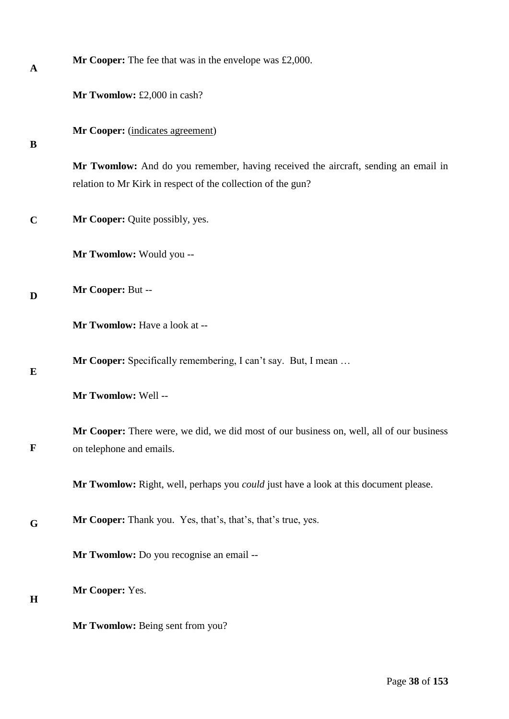| A           | <b>Mr Cooper:</b> The fee that was in the envelope was $\text{\pounds}2,000$ .                                                                     |  |  |  |
|-------------|----------------------------------------------------------------------------------------------------------------------------------------------------|--|--|--|
|             | Mr Twomlow: £2,000 in cash?                                                                                                                        |  |  |  |
| B           | Mr Cooper: (indicates agreement)                                                                                                                   |  |  |  |
|             | Mr Twomlow: And do you remember, having received the aircraft, sending an email in<br>relation to Mr Kirk in respect of the collection of the gun? |  |  |  |
| $\mathbf C$ | Mr Cooper: Quite possibly, yes.                                                                                                                    |  |  |  |
|             | Mr Twomlow: Would you --                                                                                                                           |  |  |  |
| D           | Mr Cooper: But --                                                                                                                                  |  |  |  |
|             | Mr Twomlow: Have a look at --                                                                                                                      |  |  |  |
| E           | Mr Cooper: Specifically remembering, I can't say. But, I mean                                                                                      |  |  |  |
|             | Mr Twomlow: Well --                                                                                                                                |  |  |  |
| $\mathbf F$ | Mr Cooper: There were, we did, we did most of our business on, well, all of our business<br>on telephone and emails.                               |  |  |  |
|             | Mr Twomlow: Right, well, perhaps you <i>could</i> just have a look at this document please.                                                        |  |  |  |
| G           | <b>Mr Cooper:</b> Thank you. Yes, that's, that's, that's true, yes.                                                                                |  |  |  |
|             | Mr Twomlow: Do you recognise an email --                                                                                                           |  |  |  |
| H           | Mr Cooper: Yes.                                                                                                                                    |  |  |  |
|             | Mr Twomlow: Being sent from you?                                                                                                                   |  |  |  |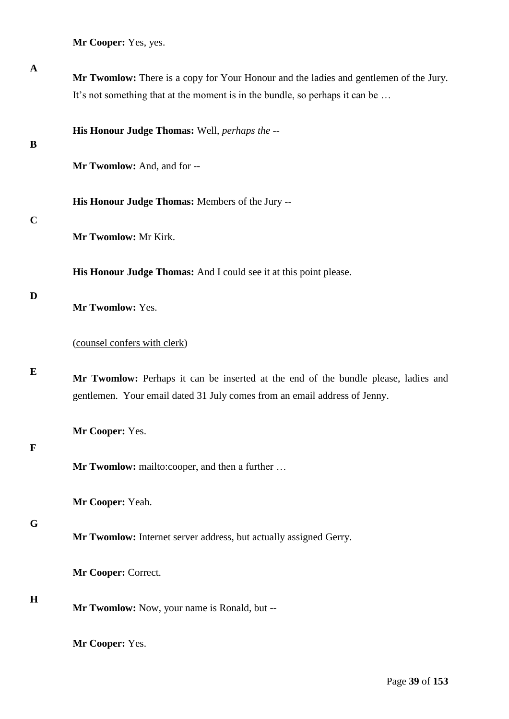**Mr Cooper:** Yes, yes.

| Mr Twomlow: There is a copy for Your Honour and the ladies and gentlemen of the Jury.                                                                           |
|-----------------------------------------------------------------------------------------------------------------------------------------------------------------|
| It's not something that at the moment is in the bundle, so perhaps it can be                                                                                    |
| His Honour Judge Thomas: Well, perhaps the --                                                                                                                   |
| Mr Twomlow: And, and for --                                                                                                                                     |
| His Honour Judge Thomas: Members of the Jury --                                                                                                                 |
| Mr Twomlow: Mr Kirk.                                                                                                                                            |
| His Honour Judge Thomas: And I could see it at this point please.                                                                                               |
| Mr Twomlow: Yes.                                                                                                                                                |
| (counsel confers with clerk)                                                                                                                                    |
| Mr Twomlow: Perhaps it can be inserted at the end of the bundle please, ladies and<br>gentlemen. Your email dated 31 July comes from an email address of Jenny. |
| Mr Cooper: Yes.                                                                                                                                                 |
| Mr Twomlow: mailto:cooper, and then a further                                                                                                                   |
| Mr Cooper: Yeah.                                                                                                                                                |
| Mr Twomlow: Internet server address, but actually assigned Gerry.                                                                                               |
| Mr Cooper: Correct.                                                                                                                                             |
| Mr Twomlow: Now, your name is Ronald, but --                                                                                                                    |
| Mr Cooper: Yes.                                                                                                                                                 |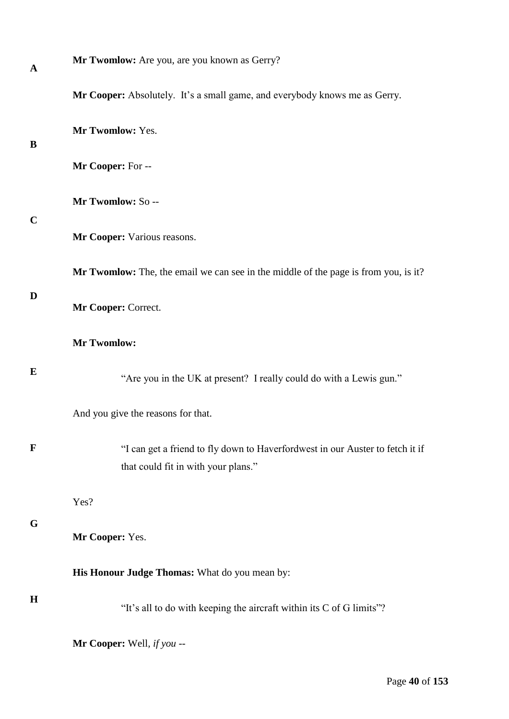| $\mathbf{A}$ | Mr Twomlow: Are you, are you known as Gerry?                                                                         |
|--------------|----------------------------------------------------------------------------------------------------------------------|
|              | Mr Cooper: Absolutely. It's a small game, and everybody knows me as Gerry.                                           |
| B            | Mr Twomlow: Yes.                                                                                                     |
|              | Mr Cooper: For --                                                                                                    |
| $\mathbf C$  | Mr Twomlow: So --                                                                                                    |
|              | Mr Cooper: Various reasons.                                                                                          |
|              | Mr Twomlow: The, the email we can see in the middle of the page is from you, is it?                                  |
| D            | Mr Cooper: Correct.                                                                                                  |
|              | <b>Mr Twomlow:</b>                                                                                                   |
| E            | "Are you in the UK at present? I really could do with a Lewis gun."                                                  |
|              | And you give the reasons for that.                                                                                   |
| $\mathbf{F}$ | "I can get a friend to fly down to Haverfordwest in our Auster to fetch it if<br>that could fit in with your plans." |
|              | Yes?                                                                                                                 |
| G            | Mr Cooper: Yes.                                                                                                      |
|              | His Honour Judge Thomas: What do you mean by:                                                                        |
| H            | "It's all to do with keeping the aircraft within its C of G limits"?                                                 |
|              | Mr Cooper: Well, if you --                                                                                           |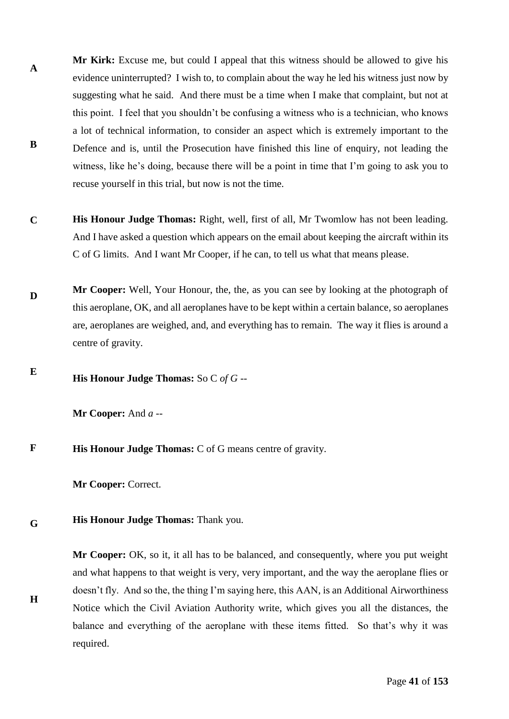- **A B Mr Kirk:** Excuse me, but could I appeal that this witness should be allowed to give his evidence uninterrupted? I wish to, to complain about the way he led his witness just now by suggesting what he said. And there must be a time when I make that complaint, but not at this point. I feel that you shouldn't be confusing a witness who is a technician, who knows a lot of technical information, to consider an aspect which is extremely important to the Defence and is, until the Prosecution have finished this line of enquiry, not leading the witness, like he's doing, because there will be a point in time that I'm going to ask you to recuse yourself in this trial, but now is not the time.
- **C His Honour Judge Thomas:** Right, well, first of all, Mr Twomlow has not been leading. And I have asked a question which appears on the email about keeping the aircraft within its C of G limits. And I want Mr Cooper, if he can, to tell us what that means please.
- **D Mr Cooper:** Well, Your Honour, the, the, as you can see by looking at the photograph of this aeroplane, OK, and all aeroplanes have to be kept within a certain balance, so aeroplanes are, aeroplanes are weighed, and, and everything has to remain. The way it flies is around a centre of gravity.

**E His Honour Judge Thomas:** So C *of G* --

**Mr Cooper:** And *a* --

**F His Honour Judge Thomas:** C of G means centre of gravity.

**Mr Cooper:** Correct.

**H**

**G His Honour Judge Thomas:** Thank you.

> **Mr Cooper:** OK, so it, it all has to be balanced, and consequently, where you put weight and what happens to that weight is very, very important, and the way the aeroplane flies or doesn't fly. And so the, the thing I'm saying here, this AAN, is an Additional Airworthiness Notice which the Civil Aviation Authority write, which gives you all the distances, the balance and everything of the aeroplane with these items fitted. So that's why it was required.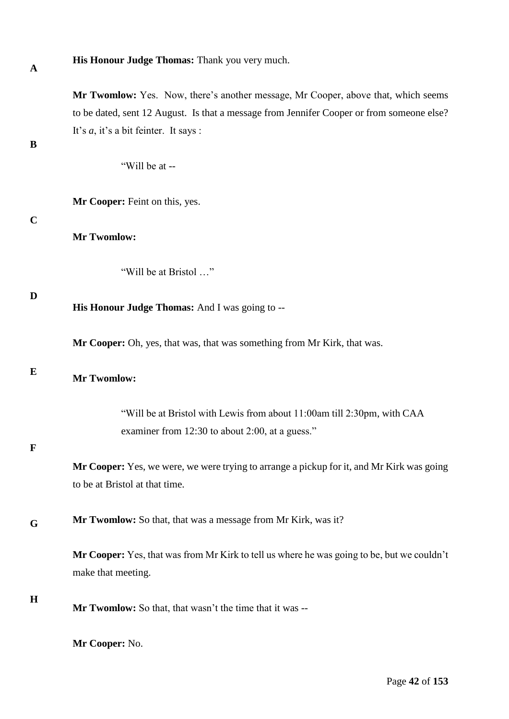**A**

**His Honour Judge Thomas:** Thank you very much.

**Mr Twomlow:** Yes. Now, there's another message, Mr Cooper, above that, which seems to be dated, sent 12 August. Is that a message from Jennifer Cooper or from someone else? It's *a*, it's a bit feinter. It says :

**B**

"Will be at --

**Mr Cooper:** Feint on this, yes.

**C**

# **Mr Twomlow:**

"Will be at Bristol …"

**D**

**His Honour Judge Thomas:** And I was going to --

**Mr Cooper:** Oh, yes, that was, that was something from Mr Kirk, that was.

#### **E**

# **Mr Twomlow:**

"Will be at Bristol with Lewis from about 11:00am till 2:30pm, with CAA examiner from 12:30 to about 2:00, at a guess."

### **F**

**Mr Cooper:** Yes, we were, we were trying to arrange a pickup for it, and Mr Kirk was going to be at Bristol at that time.

**G Mr Twomlow:** So that, that was a message from Mr Kirk, was it?

> **Mr Cooper:** Yes, that was from Mr Kirk to tell us where he was going to be, but we couldn't make that meeting.

**H**

**Mr Twomlow:** So that, that wasn't the time that it was --

**Mr Cooper:** No.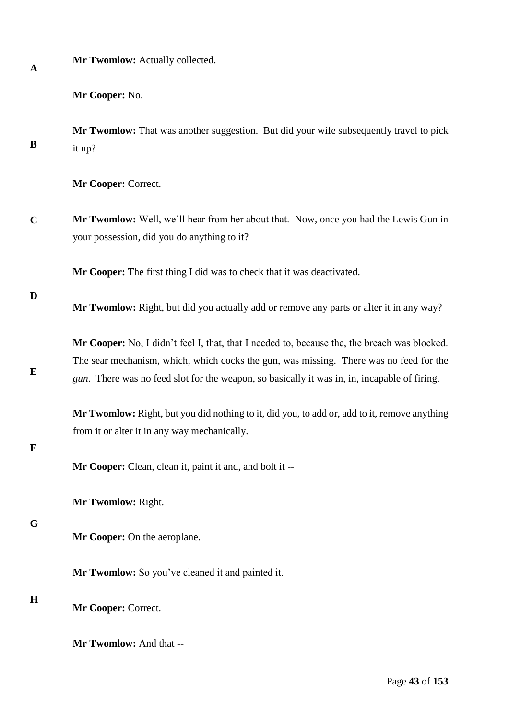**Mr Twomlow:** Actually collected.

**Mr Cooper:** No.

**B Mr Twomlow:** That was another suggestion. But did your wife subsequently travel to pick it up?

**Mr Cooper:** Correct.

**C Mr Twomlow:** Well, we'll hear from her about that. Now, once you had the Lewis Gun in your possession, did you do anything to it?

**Mr Cooper:** The first thing I did was to check that it was deactivated.

**D**

**E**

**Mr Twomlow:** Right, but did you actually add or remove any parts or alter it in any way?

**Mr Cooper:** No, I didn't feel I, that, that I needed to, because the, the breach was blocked. The sear mechanism, which, which cocks the gun, was missing. There was no feed for the *gun*. There was no feed slot for the weapon, so basically it was in, in, incapable of firing.

**Mr Twomlow:** Right, but you did nothing to it, did you, to add or, add to it, remove anything from it or alter it in any way mechanically.

## **F**

**Mr Cooper:** Clean, clean it, paint it and, and bolt it --

**Mr Twomlow:** Right.

**G**

**Mr Cooper:** On the aeroplane.

**Mr Twomlow:** So you've cleaned it and painted it.

# **H**

**Mr Cooper:** Correct.

**Mr Twomlow:** And that --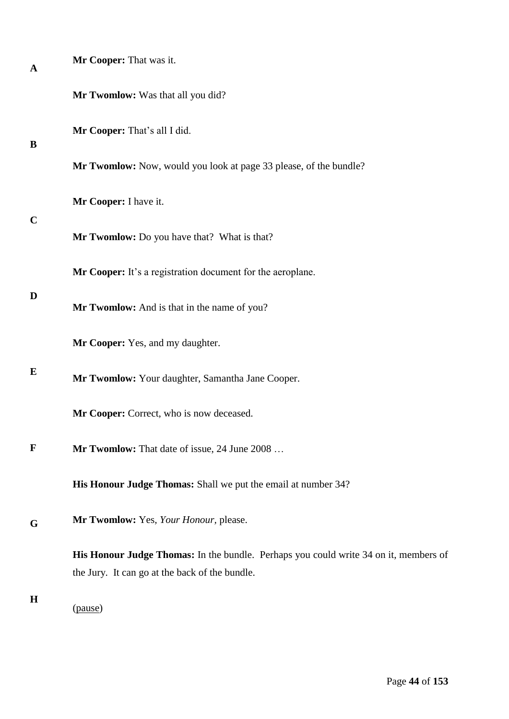| A           | Mr Cooper: That was it.                                                                                                                |
|-------------|----------------------------------------------------------------------------------------------------------------------------------------|
|             | Mr Twomlow: Was that all you did?                                                                                                      |
| B           | Mr Cooper: That's all I did.                                                                                                           |
|             | Mr Twomlow: Now, would you look at page 33 please, of the bundle?                                                                      |
| $\mathbf C$ | Mr Cooper: I have it.                                                                                                                  |
|             | Mr Twomlow: Do you have that? What is that?                                                                                            |
|             | Mr Cooper: It's a registration document for the aeroplane.                                                                             |
| D           | Mr Twomlow: And is that in the name of you?                                                                                            |
|             | Mr Cooper: Yes, and my daughter.                                                                                                       |
| E           | Mr Twomlow: Your daughter, Samantha Jane Cooper.                                                                                       |
|             | Mr Cooper: Correct, who is now deceased.                                                                                               |
| $\mathbf F$ | Mr Twomlow: That date of issue, 24 June 2008                                                                                           |
|             | His Honour Judge Thomas: Shall we put the email at number 34?                                                                          |
| G           | Mr Twomlow: Yes, Your Honour, please.                                                                                                  |
|             | His Honour Judge Thomas: In the bundle. Perhaps you could write 34 on it, members of<br>the Jury. It can go at the back of the bundle. |
| $\mathbf H$ | (pause)                                                                                                                                |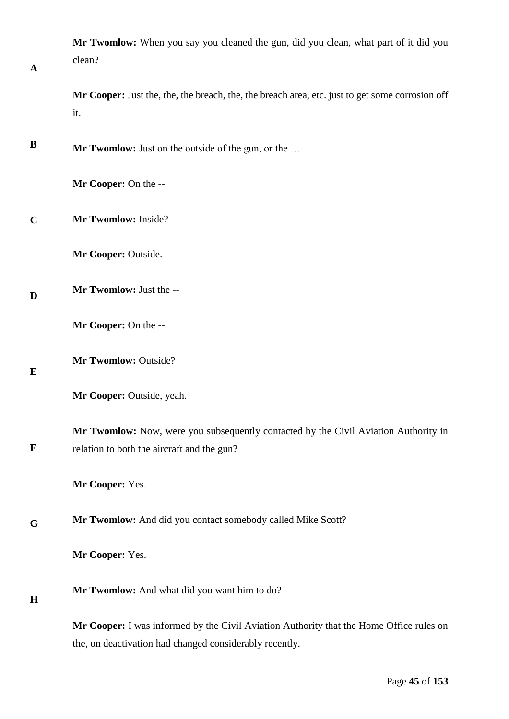| $\mathbf{A}$ | Mr Twomlow: When you say you cleaned the gun, did you clean, what part of it did you<br>clean?                                                     |
|--------------|----------------------------------------------------------------------------------------------------------------------------------------------------|
|              | Mr Cooper: Just the, the, the breach, the, the breach area, etc. just to get some corrosion off<br>it.                                             |
| B            | Mr Twomlow: Just on the outside of the gun, or the                                                                                                 |
|              | Mr Cooper: On the --                                                                                                                               |
| $\mathbf C$  | Mr Twomlow: Inside?                                                                                                                                |
|              | Mr Cooper: Outside.                                                                                                                                |
| D            | Mr Twomlow: Just the --                                                                                                                            |
|              | Mr Cooper: On the --                                                                                                                               |
| E            | Mr Twomlow: Outside?                                                                                                                               |
|              | Mr Cooper: Outside, yeah.                                                                                                                          |
| $\mathbf{F}$ | Mr Twomlow: Now, were you subsequently contacted by the Civil Aviation Authority in<br>relation to both the aircraft and the gun?                  |
|              | Mr Cooper: Yes.                                                                                                                                    |
| G            | Mr Twomlow: And did you contact somebody called Mike Scott?                                                                                        |
|              | Mr Cooper: Yes.                                                                                                                                    |
| H            | Mr Twomlow: And what did you want him to do?                                                                                                       |
|              | Mr Cooper: I was informed by the Civil Aviation Authority that the Home Office rules on<br>the, on deactivation had changed considerably recently. |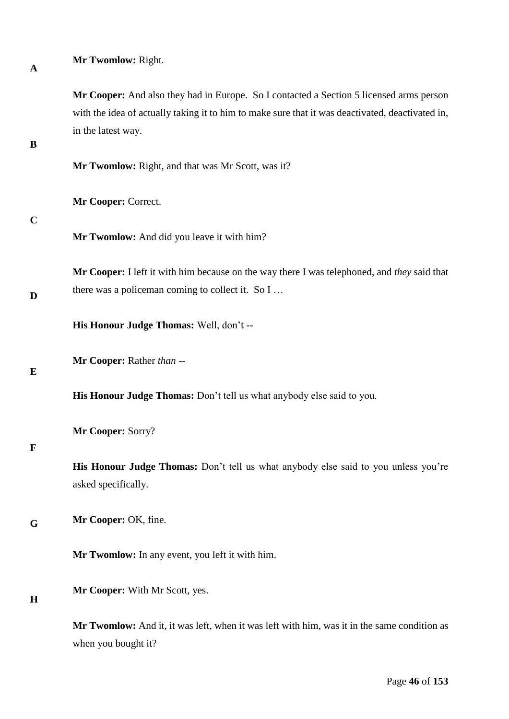| $\mathbf{A}$ | Mr Twomlow: Right.                                                                                                                                                                                                |  |  |  |  |
|--------------|-------------------------------------------------------------------------------------------------------------------------------------------------------------------------------------------------------------------|--|--|--|--|
| B            | Mr Cooper: And also they had in Europe. So I contacted a Section 5 licensed arms person<br>with the idea of actually taking it to him to make sure that it was deactivated, deactivated in,<br>in the latest way. |  |  |  |  |
|              | Mr Twomlow: Right, and that was Mr Scott, was it?                                                                                                                                                                 |  |  |  |  |
|              | Mr Cooper: Correct.                                                                                                                                                                                               |  |  |  |  |
| $\mathbf C$  | Mr Twomlow: And did you leave it with him?                                                                                                                                                                        |  |  |  |  |
| D            | Mr Cooper: I left it with him because on the way there I was telephoned, and they said that<br>there was a policeman coming to collect it. So I                                                                   |  |  |  |  |
|              | His Honour Judge Thomas: Well, don't --                                                                                                                                                                           |  |  |  |  |
| E            | Mr Cooper: Rather than --                                                                                                                                                                                         |  |  |  |  |
|              | His Honour Judge Thomas: Don't tell us what anybody else said to you.                                                                                                                                             |  |  |  |  |
| $\mathbf F$  | Mr Cooper: Sorry?                                                                                                                                                                                                 |  |  |  |  |
|              | His Honour Judge Thomas: Don't tell us what anybody else said to you unless you're<br>asked specifically.                                                                                                         |  |  |  |  |
| G            | Mr Cooper: OK, fine.                                                                                                                                                                                              |  |  |  |  |
|              | Mr Twomlow: In any event, you left it with him.                                                                                                                                                                   |  |  |  |  |
| H            | Mr Cooper: With Mr Scott, yes.                                                                                                                                                                                    |  |  |  |  |
|              | Mr Twomlow: And it, it was left, when it was left with him, was it in the same condition as<br>when you bought it?                                                                                                |  |  |  |  |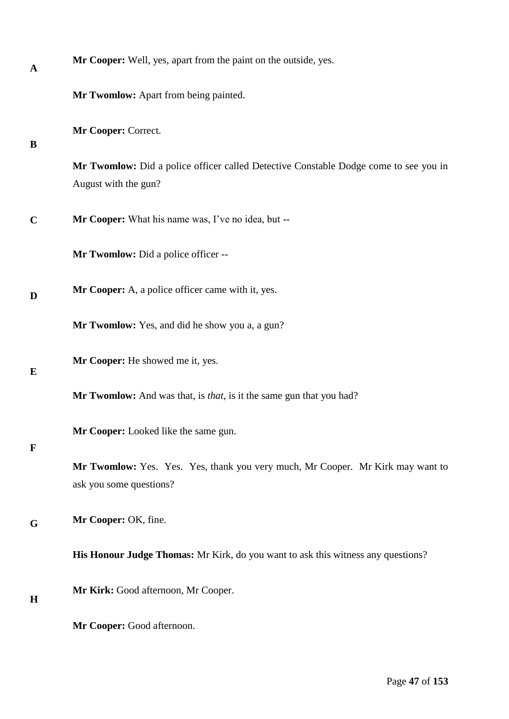| A           | Mr Cooper: Well, yes, apart from the paint on the outside, yes.                                              |  |  |  |
|-------------|--------------------------------------------------------------------------------------------------------------|--|--|--|
|             | Mr Twomlow: Apart from being painted.                                                                        |  |  |  |
| B           | Mr Cooper: Correct.                                                                                          |  |  |  |
|             | Mr Twomlow: Did a police officer called Detective Constable Dodge come to see you in<br>August with the gun? |  |  |  |
| $\mathbf C$ | Mr Cooper: What his name was, I've no idea, but --                                                           |  |  |  |
|             | Mr Twomlow: Did a police officer --                                                                          |  |  |  |
| D           | Mr Cooper: A, a police officer came with it, yes.                                                            |  |  |  |
|             | Mr Twomlow: Yes, and did he show you a, a gun?                                                               |  |  |  |
| E           | Mr Cooper: He showed me it, yes.                                                                             |  |  |  |
|             | Mr Twomlow: And was that, is <i>that</i> , is it the same gun that you had?                                  |  |  |  |
| $\mathbf F$ | Mr Cooper: Looked like the same gun.                                                                         |  |  |  |
|             | Mr Twomlow: Yes. Yes. Yes, thank you very much, Mr Cooper. Mr Kirk may want to<br>ask you some questions?    |  |  |  |
| G           | Mr Cooper: OK, fine.                                                                                         |  |  |  |
|             | <b>His Honour Judge Thomas:</b> Mr Kirk, do you want to ask this witness any questions?                      |  |  |  |
| H           | Mr Kirk: Good afternoon, Mr Cooper.                                                                          |  |  |  |
|             | Mr Cooper: Good afternoon.                                                                                   |  |  |  |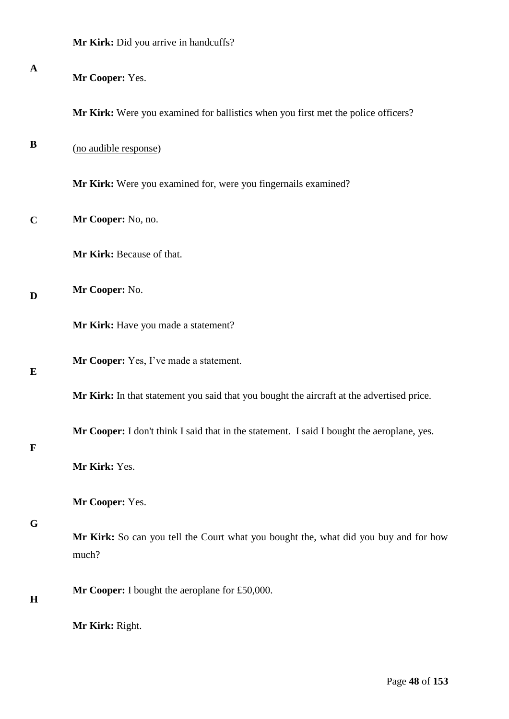| $\mathbf{A}$ | Mr Cooper: Yes.                                                                               |  |  |  |  |  |
|--------------|-----------------------------------------------------------------------------------------------|--|--|--|--|--|
|              | Mr Kirk: Were you examined for ballistics when you first met the police officers?             |  |  |  |  |  |
| B            | (no audible response)                                                                         |  |  |  |  |  |
|              | Mr Kirk: Were you examined for, were you fingernails examined?                                |  |  |  |  |  |
| $\mathbf C$  | Mr Cooper: No, no.                                                                            |  |  |  |  |  |
|              | Mr Kirk: Because of that.                                                                     |  |  |  |  |  |
| D            | Mr Cooper: No.                                                                                |  |  |  |  |  |
|              | Mr Kirk: Have you made a statement?                                                           |  |  |  |  |  |
| E            | Mr Cooper: Yes, I've made a statement.                                                        |  |  |  |  |  |
|              | Mr Kirk: In that statement you said that you bought the aircraft at the advertised price.     |  |  |  |  |  |
| $\mathbf F$  | Mr Cooper: I don't think I said that in the statement. I said I bought the aeroplane, yes.    |  |  |  |  |  |
|              | Mr Kirk: Yes.                                                                                 |  |  |  |  |  |
|              | Mr Cooper: Yes.                                                                               |  |  |  |  |  |
| G            | Mr Kirk: So can you tell the Court what you bought the, what did you buy and for how<br>much? |  |  |  |  |  |
| H            | Mr Cooper: I bought the aeroplane for £50,000.                                                |  |  |  |  |  |
|              | Mr Kirk: Right.                                                                               |  |  |  |  |  |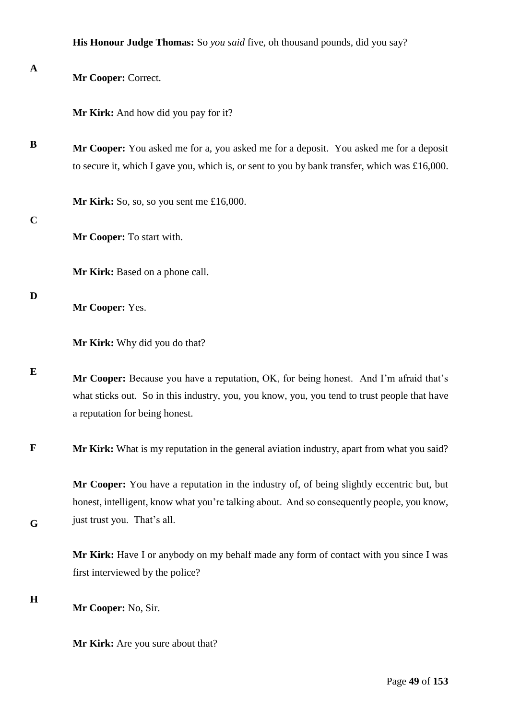| $\mathbf A$ | Mr Cooper: Correct.                                                                                                                                                                                                     |  |  |  |  |  |
|-------------|-------------------------------------------------------------------------------------------------------------------------------------------------------------------------------------------------------------------------|--|--|--|--|--|
|             | Mr Kirk: And how did you pay for it?                                                                                                                                                                                    |  |  |  |  |  |
| B           | Mr Cooper: You asked me for a, you asked me for a deposit. You asked me for a deposit<br>to secure it, which I gave you, which is, or sent to you by bank transfer, which was £16,000.                                  |  |  |  |  |  |
|             | Mr Kirk: So, so, so you sent me $£16,000$ .                                                                                                                                                                             |  |  |  |  |  |
| $\mathbf C$ | Mr Cooper: To start with.                                                                                                                                                                                               |  |  |  |  |  |
|             | Mr Kirk: Based on a phone call.                                                                                                                                                                                         |  |  |  |  |  |
| D           | Mr Cooper: Yes.                                                                                                                                                                                                         |  |  |  |  |  |
|             | Mr Kirk: Why did you do that?                                                                                                                                                                                           |  |  |  |  |  |
| E           | Mr Cooper: Because you have a reputation, OK, for being honest. And I'm afraid that's<br>what sticks out. So in this industry, you, you know, you, you tend to trust people that have<br>a reputation for being honest. |  |  |  |  |  |
| F           | Mr Kirk: What is my reputation in the general aviation industry, apart from what you said?                                                                                                                              |  |  |  |  |  |
| G           | Mr Cooper: You have a reputation in the industry of, of being slightly eccentric but, but<br>honest, intelligent, know what you're talking about. And so consequently people, you know,<br>just trust you. That's all.  |  |  |  |  |  |
|             | Mr Kirk: Have I or anybody on my behalf made any form of contact with you since I was<br>first interviewed by the police?                                                                                               |  |  |  |  |  |
| $\bf H$     | Mr Cooper: No, Sir.                                                                                                                                                                                                     |  |  |  |  |  |
|             | Mr Kirk: Are you sure about that?                                                                                                                                                                                       |  |  |  |  |  |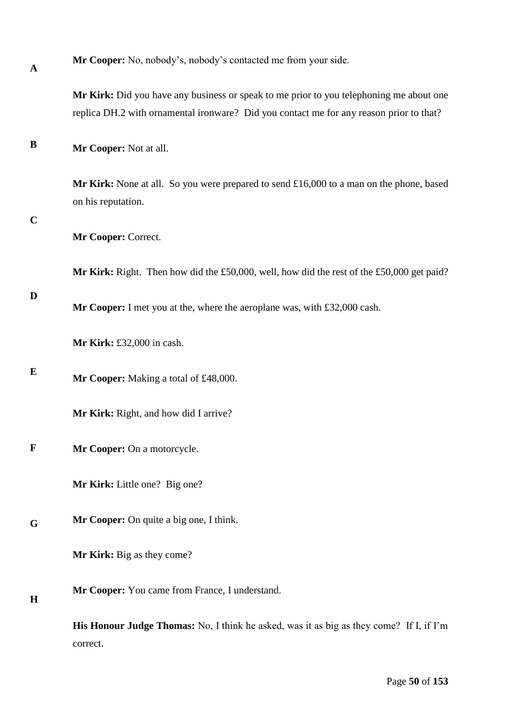| Mr Cooper: No, nobody's, nobody's contacted me from your side. |  |  |  |  |  |
|----------------------------------------------------------------|--|--|--|--|--|
|----------------------------------------------------------------|--|--|--|--|--|

**Mr Kirk:** Did you have any business or speak to me prior to you telephoning me about one replica DH.2 with ornamental ironware? Did you contact me for any reason prior to that?

**B Mr Cooper:** Not at all.

> **Mr Kirk:** None at all. So you were prepared to send £16,000 to a man on the phone, based on his reputation.

#### **C**

**A**

**Mr Cooper:** Correct.

**Mr Kirk:** Right. Then how did the £50,000, well, how did the rest of the £50,000 get paid?

### **D**

**Mr Cooper:** I met you at the, where the aeroplane was, with £32,000 cash.

**Mr Kirk:** £32,000 in cash.

**E Mr Cooper:** Making a total of £48,000.

**Mr Kirk:** Right, and how did I arrive?

#### **F Mr Cooper:** On a motorcycle.

**Mr Kirk:** Little one? Big one?

**G Mr Cooper:** On quite a big one, I think.

**Mr Kirk:** Big as they come?

**H Mr Cooper:** You came from France, I understand.

> **His Honour Judge Thomas:** No, I think he asked, was it as big as they come? If I, if I'm correct.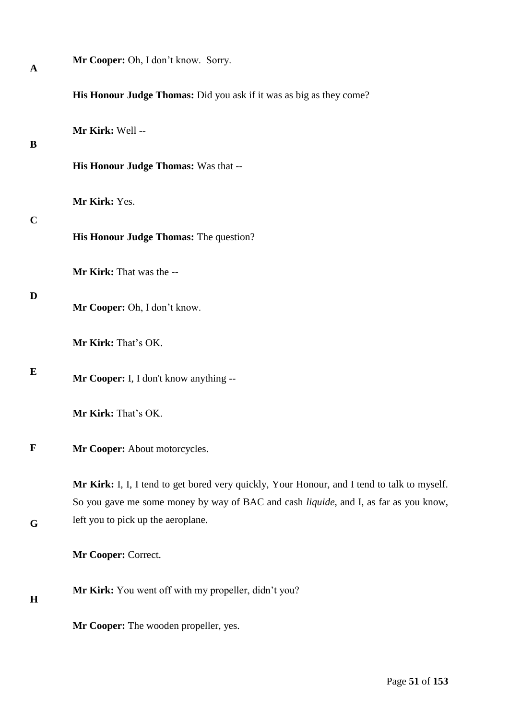| A           | Mr Cooper: Oh, I don't know. Sorry.                                                                                        |
|-------------|----------------------------------------------------------------------------------------------------------------------------|
|             | His Honour Judge Thomas: Did you ask if it was as big as they come?                                                        |
| B           | Mr Kirk: Well --                                                                                                           |
|             | His Honour Judge Thomas: Was that --                                                                                       |
|             | Mr Kirk: Yes.                                                                                                              |
| $\mathbf C$ | His Honour Judge Thomas: The question?                                                                                     |
|             | Mr Kirk: That was the --                                                                                                   |
| D           | Mr Cooper: Oh, I don't know.                                                                                               |
|             | Mr Kirk: That's OK.                                                                                                        |
| E           | Mr Cooper: I, I don't know anything --                                                                                     |
|             | Mr Kirk: That's OK.                                                                                                        |
| $\mathbf F$ | Mr Cooper: About motorcycles.                                                                                              |
|             | Mr Kirk: I, I, I tend to get bored very quickly, Your Honour, and I tend to talk to myself.                                |
| G           | So you gave me some money by way of BAC and cash liquide, and I, as far as you know,<br>left you to pick up the aeroplane. |
|             | Mr Cooper: Correct.                                                                                                        |
| $\mathbf H$ | Mr Kirk: You went off with my propeller, didn't you?                                                                       |
|             | Mr Cooper: The wooden propeller, yes.                                                                                      |
|             |                                                                                                                            |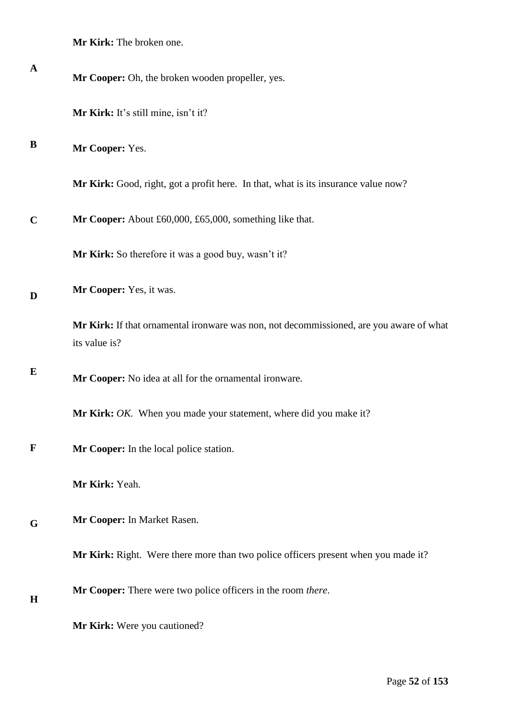|  |  |  | <b>Mr Kirk:</b> The broken one. |  |
|--|--|--|---------------------------------|--|
|--|--|--|---------------------------------|--|

| $\mathbf{A}$ | Mr Cooper: Oh, the broken wooden propeller, yes.                                                         |
|--------------|----------------------------------------------------------------------------------------------------------|
|              | Mr Kirk: It's still mine, isn't it?                                                                      |
| B            | Mr Cooper: Yes.                                                                                          |
|              | Mr Kirk: Good, right, got a profit here. In that, what is its insurance value now?                       |
| $\mathbf C$  | Mr Cooper: About £60,000, £65,000, something like that.                                                  |
|              | Mr Kirk: So therefore it was a good buy, wasn't it?                                                      |
| D            | Mr Cooper: Yes, it was.                                                                                  |
|              | Mr Kirk: If that ornamental ironware was non, not decommissioned, are you aware of what<br>its value is? |
| E            | Mr Cooper: No idea at all for the ornamental ironware.                                                   |
|              | Mr Kirk: OK. When you made your statement, where did you make it?                                        |
| $\mathbf F$  | Mr Cooper: In the local police station.                                                                  |
|              | Mr Kirk: Yeah.                                                                                           |
| G            | Mr Cooper: In Market Rasen.                                                                              |
|              | Mr Kirk: Right. Were there more than two police officers present when you made it?                       |
| H            | Mr Cooper: There were two police officers in the room there.                                             |
|              | Mr Kirk: Were you cautioned?                                                                             |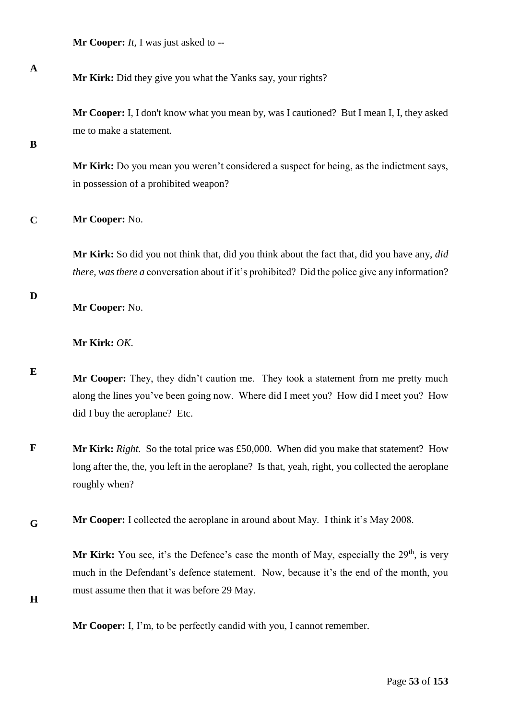**Mr Cooper:** *It,* I was just asked to --

**Mr Kirk:** Did they give you what the Yanks say, your rights?

**Mr Cooper:** I, I don't know what you mean by, was I cautioned? But I mean I, I, they asked me to make a statement.

**B**

**A**

**Mr Kirk:** Do you mean you weren't considered a suspect for being, as the indictment says, in possession of a prohibited weapon?

**C Mr Cooper:** No.

> **Mr Kirk:** So did you not think that, did you think about the fact that, did you have any, *did there, was there a* conversation about if it's prohibited? Did the police give any information?

**D**

**Mr Cooper:** No.

**Mr Kirk:** *OK*.

**E Mr Cooper:** They, they didn't caution me. They took a statement from me pretty much along the lines you've been going now. Where did I meet you? How did I meet you? How did I buy the aeroplane? Etc.

**F Mr Kirk:** *Right.* So the total price was £50,000. When did you make that statement? How long after the, the, you left in the aeroplane? Is that, yeah, right, you collected the aeroplane roughly when?

**G Mr Cooper:** I collected the aeroplane in around about May. I think it's May 2008.

> **Mr Kirk:** You see, it's the Defence's case the month of May, especially the  $29<sup>th</sup>$ , is very much in the Defendant's defence statement. Now, because it's the end of the month, you must assume then that it was before 29 May.

**H**

**Mr Cooper:** I, I'm, to be perfectly candid with you, I cannot remember.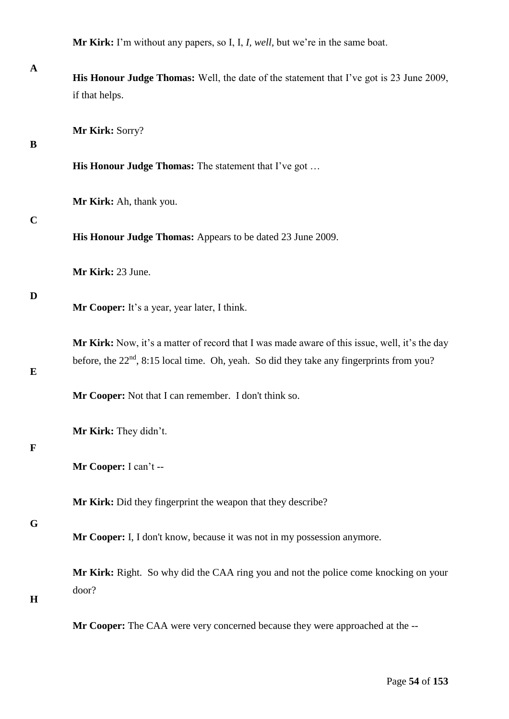**Mr Kirk:** I'm without any papers, so I, I, *I, well,* but we're in the same boat.

| $\mathbf{A}$ | His Honour Judge Thomas: Well, the date of the statement that I've got is 23 June 2009,<br>if that helps.                                                                                    |
|--------------|----------------------------------------------------------------------------------------------------------------------------------------------------------------------------------------------|
| B            | Mr Kirk: Sorry?                                                                                                                                                                              |
|              | His Honour Judge Thomas: The statement that I've got                                                                                                                                         |
| $\mathbf C$  | Mr Kirk: Ah, thank you.                                                                                                                                                                      |
|              | His Honour Judge Thomas: Appears to be dated 23 June 2009.                                                                                                                                   |
|              | Mr Kirk: 23 June.                                                                                                                                                                            |
| D            | Mr Cooper: It's a year, year later, I think.                                                                                                                                                 |
| E            | Mr Kirk: Now, it's a matter of record that I was made aware of this issue, well, it's the day<br>before, the $22nd$ , 8:15 local time. Oh, yeah. So did they take any fingerprints from you? |
|              | Mr Cooper: Not that I can remember. I don't think so.                                                                                                                                        |
|              | Mr Kirk: They didn't.                                                                                                                                                                        |
|              | Mr Cooper: I can't --                                                                                                                                                                        |
|              | Mr Kirk: Did they fingerprint the weapon that they describe?                                                                                                                                 |
| G            | Mr Cooper: I, I don't know, because it was not in my possession anymore.                                                                                                                     |
| $\mathbf H$  | Mr Kirk: Right. So why did the CAA ring you and not the police come knocking on your<br>door?                                                                                                |
|              | Mr Cooper: The CAA were very concerned because they were approached at the --                                                                                                                |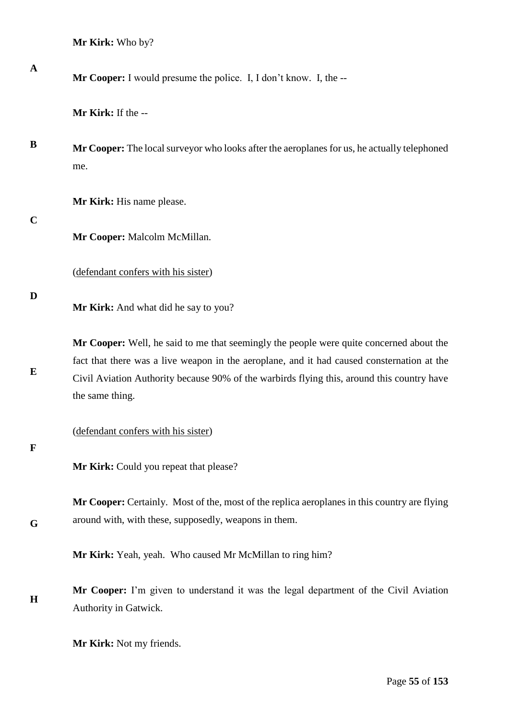**Mr Kirk:** Who by?

**Mr Cooper:** I would presume the police. I, I don't know. I, the --

**Mr Kirk:** If the --

**B Mr Cooper:** The local surveyor who looks after the aeroplanes for us, he actually telephoned me.

**Mr Kirk:** His name please.

**C**

**A**

**Mr Cooper:** Malcolm McMillan.

(defendant confers with his sister)

**D**

**E**

**Mr Kirk:** And what did he say to you?

**Mr Cooper:** Well, he said to me that seemingly the people were quite concerned about the fact that there was a live weapon in the aeroplane, and it had caused consternation at the Civil Aviation Authority because 90% of the warbirds flying this, around this country have the same thing.

(defendant confers with his sister)

**F**

**G**

**Mr Kirk:** Could you repeat that please?

**Mr Cooper:** Certainly. Most of the, most of the replica aeroplanes in this country are flying around with, with these, supposedly, weapons in them.

**Mr Kirk:** Yeah, yeah. Who caused Mr McMillan to ring him?

**H Mr Cooper:** I'm given to understand it was the legal department of the Civil Aviation Authority in Gatwick.

**Mr Kirk:** Not my friends.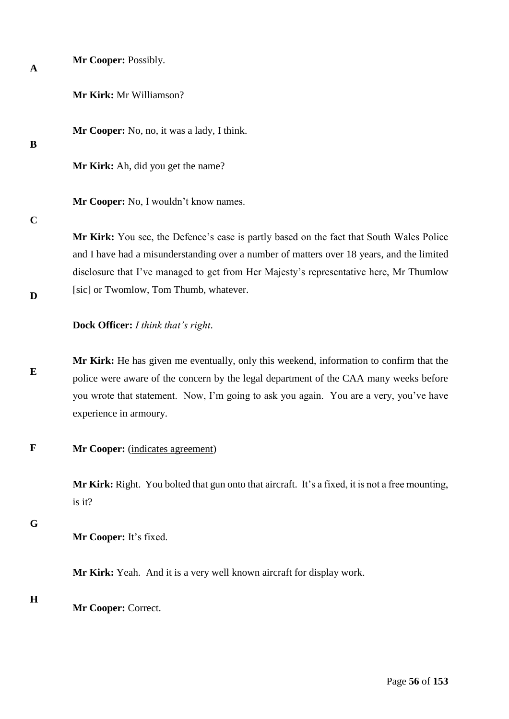| $\mathbf{A}$ | Mr Cooper: Possibly.                                                                                                                                                                                                                                                                                 |
|--------------|------------------------------------------------------------------------------------------------------------------------------------------------------------------------------------------------------------------------------------------------------------------------------------------------------|
|              | Mr Kirk: Mr Williamson?                                                                                                                                                                                                                                                                              |
| B            | Mr Cooper: No, no, it was a lady, I think.                                                                                                                                                                                                                                                           |
|              | Mr Kirk: Ah, did you get the name?                                                                                                                                                                                                                                                                   |
|              | Mr Cooper: No, I wouldn't know names.                                                                                                                                                                                                                                                                |
| $\mathbf C$  | Mr Kirk: You see, the Defence's case is partly based on the fact that South Wales Police<br>and I have had a misunderstanding over a number of matters over 18 years, and the limited<br>disclosure that I've managed to get from Her Majesty's representative here, Mr Thumlow                      |
| D            | [sic] or Twomlow, Tom Thumb, whatever.                                                                                                                                                                                                                                                               |
|              | Dock Officer: I think that's right.                                                                                                                                                                                                                                                                  |
| E            | Mr Kirk: He has given me eventually, only this weekend, information to confirm that the<br>police were aware of the concern by the legal department of the CAA many weeks before<br>you wrote that statement. Now, I'm going to ask you again. You are a very, you've have<br>experience in armoury. |
| $\mathbf F$  | Mr Cooper: (indicates agreement)                                                                                                                                                                                                                                                                     |
|              | Mr Kirk: Right. You bolted that gun onto that aircraft. It's a fixed, it is not a free mounting,<br>is it?                                                                                                                                                                                           |
| G            | Mr Cooper: It's fixed.                                                                                                                                                                                                                                                                               |
|              | Mr Kirk: Yeah. And it is a very well known aircraft for display work.                                                                                                                                                                                                                                |
| $\mathbf H$  |                                                                                                                                                                                                                                                                                                      |

**Mr Cooper:** Correct.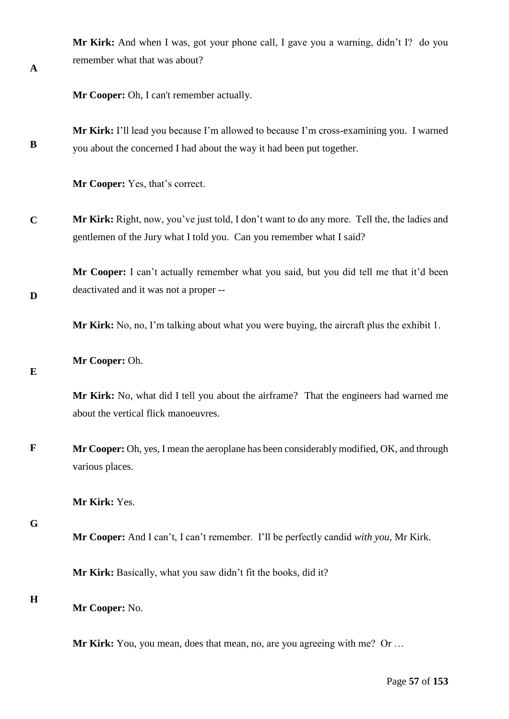| <b>Mr Kirk:</b> And when I was, got your phone call, I gave you a warning, didn't I? do you |  |
|---------------------------------------------------------------------------------------------|--|
| remember what that was about?                                                               |  |
|                                                                                             |  |

**Mr Cooper:** Oh, I can't remember actually.

**B Mr Kirk:** I'll lead you because I'm allowed to because I'm cross-examining you. I warned you about the concerned I had about the way it had been put together.

**Mr Cooper:** Yes, that's correct.

**C Mr Kirk:** Right, now, you've just told, I don't want to do any more. Tell the, the ladies and gentlemen of the Jury what I told you. Can you remember what I said?

**Mr Cooper:** I can't actually remember what you said, but you did tell me that it'd been deactivated and it was not a proper --

**Mr Kirk:** No, no, I'm talking about what you were buying, the aircraft plus the exhibit 1.

**Mr Cooper:** Oh.

**Mr Kirk:** No, what did I tell you about the airframe? That the engineers had warned me about the vertical flick manoeuvres.

**F Mr Cooper:** Oh, yes, I mean the aeroplane has been considerably modified, OK, and through various places.

**Mr Kirk:** Yes.

**G**

**A**

**D**

**E**

**Mr Cooper:** And I can't, I can't remember. I'll be perfectly candid *with you,* Mr Kirk.

**Mr Kirk:** Basically, what you saw didn't fit the books, did it?

**H**

**Mr Cooper:** No.

**Mr Kirk:** You, you mean, does that mean, no, are you agreeing with me? Or ...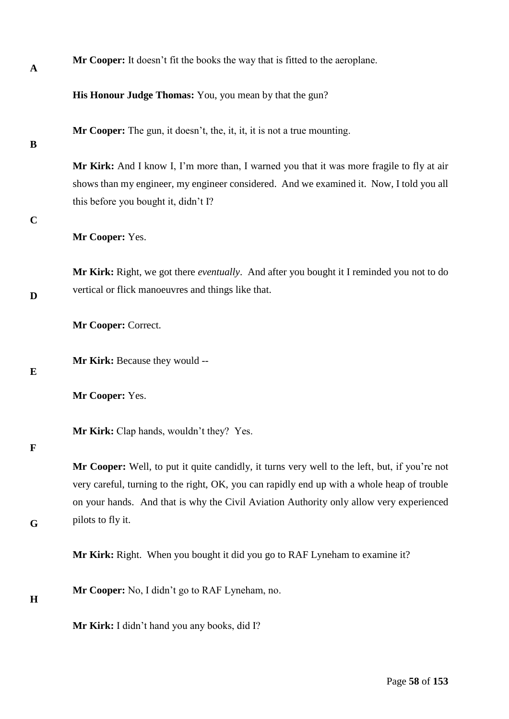| $\mathbf A$ | Mr Cooper: It doesn't fit the books the way that is fitted to the aeroplane.                                                                                                                                                                                                            |
|-------------|-----------------------------------------------------------------------------------------------------------------------------------------------------------------------------------------------------------------------------------------------------------------------------------------|
|             | His Honour Judge Thomas: You, you mean by that the gun?                                                                                                                                                                                                                                 |
| B           | <b>Mr Cooper:</b> The gun, it doesn't, the, it, it, it is not a true mounting.                                                                                                                                                                                                          |
| $\mathbf C$ | Mr Kirk: And I know I, I'm more than, I warned you that it was more fragile to fly at air<br>shows than my engineer, my engineer considered. And we examined it. Now, I told you all<br>this before you bought it, didn't I?                                                            |
|             | Mr Cooper: Yes.                                                                                                                                                                                                                                                                         |
| D           | Mr Kirk: Right, we got there eventually. And after you bought it I reminded you not to do<br>vertical or flick manoeuvres and things like that.                                                                                                                                         |
|             | Mr Cooper: Correct.                                                                                                                                                                                                                                                                     |
| E           | Mr Kirk: Because they would --                                                                                                                                                                                                                                                          |
|             | Mr Cooper: Yes.                                                                                                                                                                                                                                                                         |
| $\mathbf F$ | <b>Mr Kirk:</b> Clap hands, wouldn't they? Yes.                                                                                                                                                                                                                                         |
|             | Mr Cooper: Well, to put it quite candidly, it turns very well to the left, but, if you're not<br>very careful, turning to the right, OK, you can rapidly end up with a whole heap of trouble<br>on your hands. And that is why the Civil Aviation Authority only allow very experienced |
| G           | pilots to fly it.                                                                                                                                                                                                                                                                       |
|             | Mr Kirk: Right. When you bought it did you go to RAF Lyneham to examine it?                                                                                                                                                                                                             |
| H           | Mr Cooper: No, I didn't go to RAF Lyneham, no.                                                                                                                                                                                                                                          |
|             | Mr Kirk: I didn't hand you any books, did I?                                                                                                                                                                                                                                            |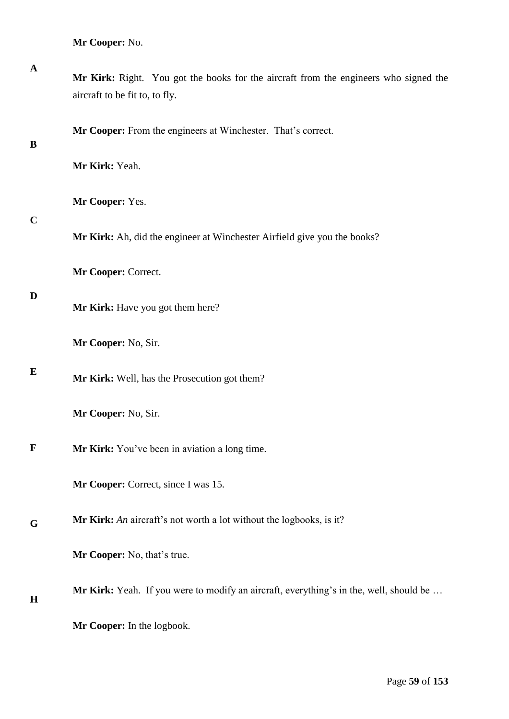**Mr Cooper:** No.

| $\mathbf A$ | Mr Kirk: Right. You got the books for the aircraft from the engineers who signed the<br>aircraft to be fit to, to fly. |
|-------------|------------------------------------------------------------------------------------------------------------------------|
| B           | Mr Cooper: From the engineers at Winchester. That's correct.                                                           |
|             | Mr Kirk: Yeah.                                                                                                         |
| $\mathbf C$ | Mr Cooper: Yes.                                                                                                        |
|             | Mr Kirk: Ah, did the engineer at Winchester Airfield give you the books?                                               |
|             | Mr Cooper: Correct.                                                                                                    |
| D           | Mr Kirk: Have you got them here?                                                                                       |
|             | Mr Cooper: No, Sir.                                                                                                    |
| E           | Mr Kirk: Well, has the Prosecution got them?                                                                           |
|             | Mr Cooper: No, Sir.                                                                                                    |
| $\mathbf F$ | Mr Kirk: You've been in aviation a long time.                                                                          |
|             | Mr Cooper: Correct, since I was 15.                                                                                    |
| G           | Mr Kirk: An aircraft's not worth a lot without the logbooks, is it?                                                    |
|             | Mr Cooper: No, that's true.                                                                                            |
| H           | Mr Kirk: Yeah. If you were to modify an aircraft, everything's in the, well, should be                                 |
|             | Mr Cooper: In the logbook.                                                                                             |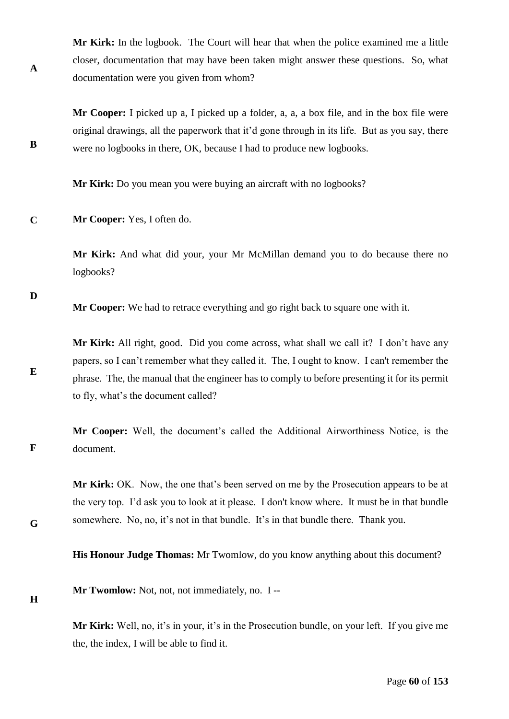**Mr Kirk:** In the logbook. The Court will hear that when the police examined me a little closer, documentation that may have been taken might answer these questions. So, what documentation were you given from whom?

**Mr Cooper:** I picked up a, I picked up a folder, a, a, a box file, and in the box file were original drawings, all the paperwork that it'd gone through in its life. But as you say, there were no logbooks in there, OK, because I had to produce new logbooks.

**Mr Kirk:** Do you mean you were buying an aircraft with no logbooks?

**C Mr Cooper:** Yes, I often do.

> **Mr Kirk:** And what did your, your Mr McMillan demand you to do because there no logbooks?

**D**

**E**

**F**

**A**

**B**

**Mr Cooper:** We had to retrace everything and go right back to square one with it.

**Mr Kirk:** All right, good. Did you come across, what shall we call it? I don't have any papers, so I can't remember what they called it. The, I ought to know. I can't remember the phrase. The, the manual that the engineer has to comply to before presenting it for its permit to fly, what's the document called?

**Mr Cooper:** Well, the document's called the Additional Airworthiness Notice, is the document.

**Mr Kirk:** OK. Now, the one that's been served on me by the Prosecution appears to be at the very top. I'd ask you to look at it please. I don't know where. It must be in that bundle somewhere. No, no, it's not in that bundle. It's in that bundle there. Thank you.

**His Honour Judge Thomas:** Mr Twomlow, do you know anything about this document?

**H**

**G**

**Mr Twomlow:** Not, not, not immediately, no. I --

**Mr Kirk:** Well, no, it's in your, it's in the Prosecution bundle, on your left. If you give me the, the index, I will be able to find it.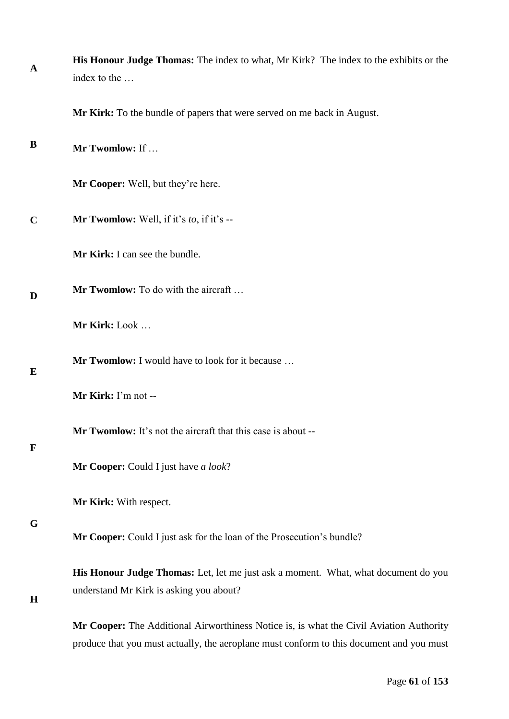| $\mathbf{A}$ | His Honour Judge Thomas: The index to what, Mr Kirk? The index to the exhibits or the<br>index to the                                                                               |
|--------------|-------------------------------------------------------------------------------------------------------------------------------------------------------------------------------------|
|              | Mr Kirk: To the bundle of papers that were served on me back in August.                                                                                                             |
| B            | Mr Twomlow: If                                                                                                                                                                      |
|              | Mr Cooper: Well, but they're here.                                                                                                                                                  |
| $\mathbf C$  | Mr Twomlow: Well, if it's to, if it's --                                                                                                                                            |
|              | Mr Kirk: I can see the bundle.                                                                                                                                                      |
| D            | Mr Twomlow: To do with the aircraft                                                                                                                                                 |
|              | Mr Kirk: Look                                                                                                                                                                       |
| E            | <b>Mr Twomlow:</b> I would have to look for it because                                                                                                                              |
|              | Mr Kirk: I'm not --                                                                                                                                                                 |
| $\mathbf F$  | Mr Twomlow: It's not the aircraft that this case is about --                                                                                                                        |
|              | <b>Mr Cooper:</b> Could I just have a look?                                                                                                                                         |
|              | Mr Kirk: With respect.                                                                                                                                                              |
| G            | Mr Cooper: Could I just ask for the loan of the Prosecution's bundle?                                                                                                               |
| H            | His Honour Judge Thomas: Let, let me just ask a moment. What, what document do you<br>understand Mr Kirk is asking you about?                                                       |
|              | Mr Cooper: The Additional Airworthiness Notice is, is what the Civil Aviation Authority<br>produce that you must actually, the aeroplane must conform to this document and you must |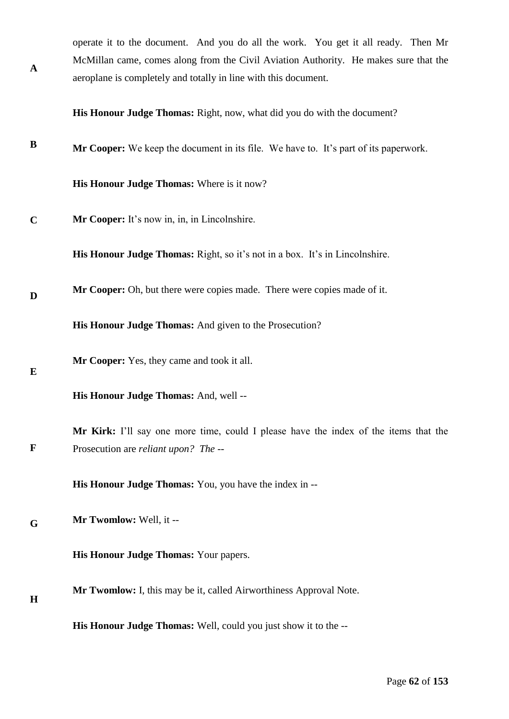| operate it to the document. And you do all the work. You get it all ready. Then Mr   |  |  |
|--------------------------------------------------------------------------------------|--|--|
| McMillan came, comes along from the Civil Aviation Authority. He makes sure that the |  |  |
| aeroplane is completely and totally in line with this document.                      |  |  |

**His Honour Judge Thomas:** Right, now, what did you do with the document?

**B Mr Cooper:** We keep the document in its file. We have to. It's part of its paperwork.

**His Honour Judge Thomas:** Where is it now?

**C Mr Cooper:** It's now in, in, in Lincolnshire.

**A**

**E**

**H**

**His Honour Judge Thomas:** Right, so it's not in a box. It's in Lincolnshire.

**D Mr Cooper:** Oh, but there were copies made. There were copies made of it.

**His Honour Judge Thomas:** And given to the Prosecution?

**Mr Cooper:** Yes, they came and took it all.

**His Honour Judge Thomas:** And, well --

**F Mr Kirk:** I'll say one more time, could I please have the index of the items that the Prosecution are *reliant upon? The --* 

**His Honour Judge Thomas:** You, you have the index in --

**G Mr Twomlow:** Well, it --

**His Honour Judge Thomas:** Your papers.

**Mr Twomlow:** I, this may be it, called Airworthiness Approval Note.

**His Honour Judge Thomas:** Well, could you just show it to the --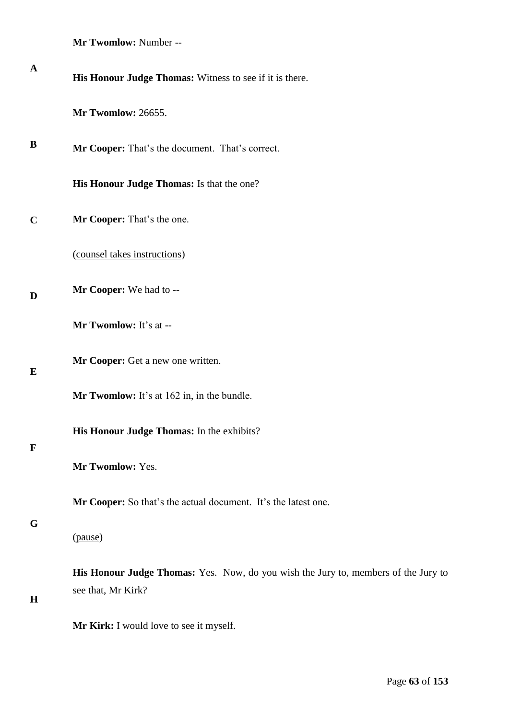**Mr Twomlow:** Number --

| $\mathbf A$ | His Honour Judge Thomas: Witness to see if it is there.                                                  |  |  |
|-------------|----------------------------------------------------------------------------------------------------------|--|--|
|             | Mr Twomlow: 26655.                                                                                       |  |  |
| B           | Mr Cooper: That's the document. That's correct.                                                          |  |  |
|             | His Honour Judge Thomas: Is that the one?                                                                |  |  |
| $\mathbf C$ | Mr Cooper: That's the one.                                                                               |  |  |
|             | (counsel takes instructions)                                                                             |  |  |
| D           | Mr Cooper: We had to --                                                                                  |  |  |
|             | Mr Twomlow: It's at --                                                                                   |  |  |
| E           | Mr Cooper: Get a new one written.                                                                        |  |  |
|             | Mr Twomlow: It's at 162 in, in the bundle.                                                               |  |  |
| F           | His Honour Judge Thomas: In the exhibits?                                                                |  |  |
|             | Mr Twomlow: Yes.                                                                                         |  |  |
| G           | Mr Cooper: So that's the actual document. It's the latest one.                                           |  |  |
|             | (pause)                                                                                                  |  |  |
| $\mathbf H$ | His Honour Judge Thomas: Yes. Now, do you wish the Jury to, members of the Jury to<br>see that, Mr Kirk? |  |  |
|             | Mr Kirk: I would love to see it myself.                                                                  |  |  |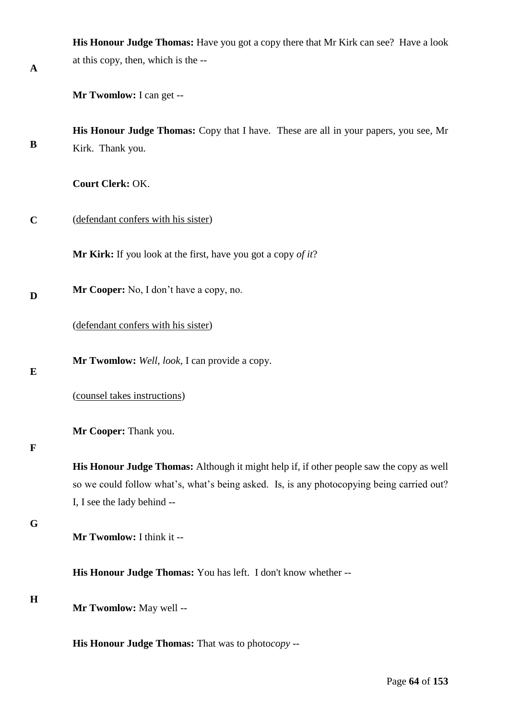|             | His Honour Judge Thomas: Have you got a copy there that Mr Kirk can see? Have a look      |
|-------------|-------------------------------------------------------------------------------------------|
| A           | at this copy, then, which is the --                                                       |
|             | Mr Twomlow: I can get --                                                                  |
|             | His Honour Judge Thomas: Copy that I have. These are all in your papers, you see, Mr      |
| B           | Kirk. Thank you.                                                                          |
|             | Court Clerk: OK.                                                                          |
| $\mathbf C$ | (defendant confers with his sister)                                                       |
|             | <b>Mr Kirk:</b> If you look at the first, have you got a copy of it?                      |
| D           | Mr Cooper: No, I don't have a copy, no.                                                   |
|             | (defendant confers with his sister)                                                       |
| E           | Mr Twomlow: Well, look, I can provide a copy.                                             |
|             | (counsel takes instructions)                                                              |
|             | Mr Cooper: Thank you.                                                                     |
| $\mathbf F$ | His Honour Judge Thomas: Although it might help if, if other people saw the copy as well  |
|             | so we could follow what's, what's being asked. Is, is any photocopying being carried out? |
|             | I, I see the lady behind --                                                               |
| G           | Mr Twomlow: I think it --                                                                 |
|             | His Honour Judge Thomas: You has left. I don't know whether --                            |
| H           | Mr Twomlow: May well --                                                                   |
|             | His Honour Judge Thomas: That was to photocopy --                                         |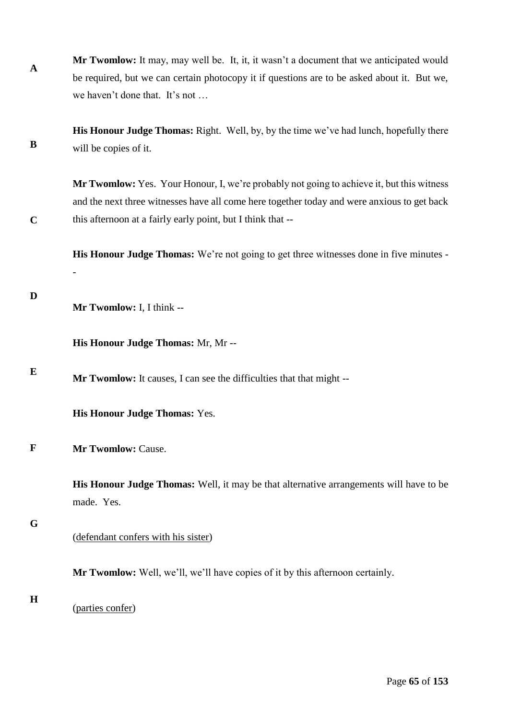| $\mathbf A$ | <b>Mr Twomlow:</b> It may, may well be. It, it, it wasn't a document that we anticipated would |
|-------------|------------------------------------------------------------------------------------------------|
|             | be required, but we can certain photocopy it if questions are to be asked about it. But we,    |
|             | we haven't done that. It's not                                                                 |

**B His Honour Judge Thomas:** Right. Well, by, by the time we've had lunch, hopefully there will be copies of it.

**Mr Twomlow:** Yes. Your Honour, I, we're probably not going to achieve it, but this witness and the next three witnesses have all come here together today and were anxious to get back this afternoon at a fairly early point, but I think that --

**His Honour Judge Thomas:** We're not going to get three witnesses done in five minutes -

**Mr Twomlow:** I, I think --

**His Honour Judge Thomas:** Mr, Mr --

**Mr Twomlow:** It causes, I can see the difficulties that that might --

**His Honour Judge Thomas:** Yes.

**F Mr Twomlow:** Cause.

> **His Honour Judge Thomas:** Well, it may be that alternative arrangements will have to be made. Yes.

## **G**

**C**

**D**

-

**E**

(defendant confers with his sister)

**Mr Twomlow:** Well, we'll, we'll have copies of it by this afternoon certainly.

#### **H**

(parties confer)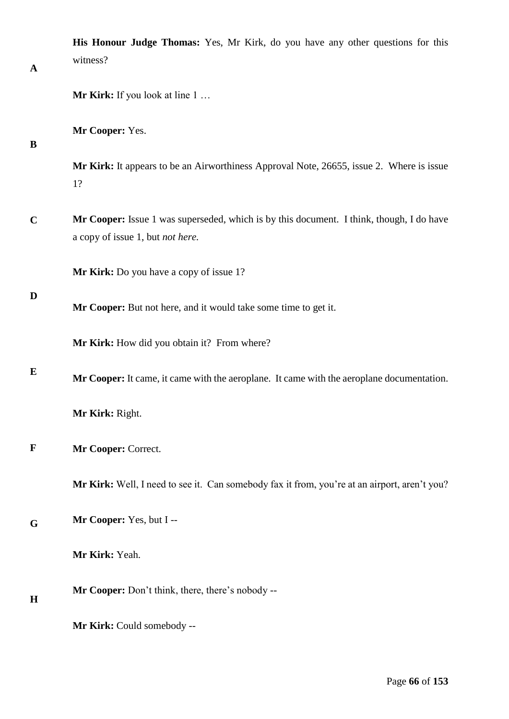| $\mathbf A$ | His Honour Judge Thomas: Yes, Mr Kirk, do you have any other questions for this<br>witness?                                  |
|-------------|------------------------------------------------------------------------------------------------------------------------------|
|             | <b>Mr Kirk:</b> If you look at line 1                                                                                        |
| B           | Mr Cooper: Yes.                                                                                                              |
|             | Mr Kirk: It appears to be an Airworthiness Approval Note, 26655, issue 2. Where is issue<br>1?                               |
| $\mathbf C$ | Mr Cooper: Issue 1 was superseded, which is by this document. I think, though, I do have<br>a copy of issue 1, but not here. |
| D           | Mr Kirk: Do you have a copy of issue 1?                                                                                      |
|             | Mr Cooper: But not here, and it would take some time to get it.                                                              |
|             | Mr Kirk: How did you obtain it? From where?                                                                                  |
| E           | Mr Cooper: It came, it came with the aeroplane. It came with the aeroplane documentation.                                    |
|             | Mr Kirk: Right.                                                                                                              |
| $\mathbf F$ | Mr Cooper: Correct.                                                                                                          |
|             | Mr Kirk: Well, I need to see it. Can somebody fax it from, you're at an airport, aren't you?                                 |
| G           | Mr Cooper: Yes, but I --                                                                                                     |
|             | Mr Kirk: Yeah.                                                                                                               |
| H           | Mr Cooper: Don't think, there, there's nobody --                                                                             |
|             | Mr Kirk: Could somebody --                                                                                                   |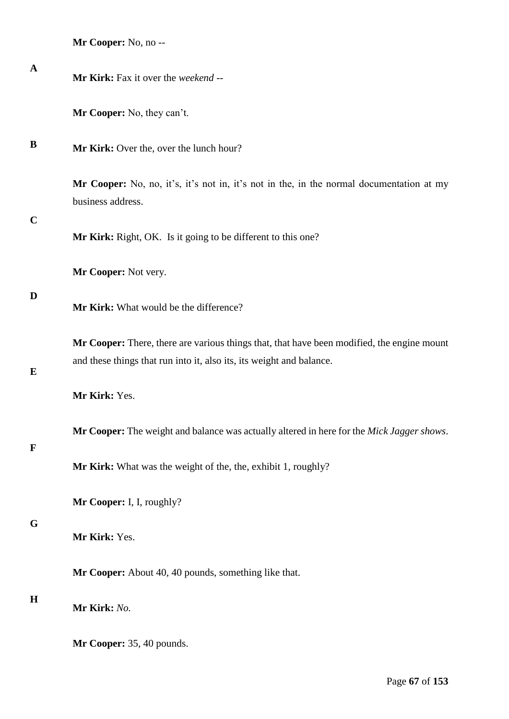| Mr Cooper: No, no -- |  |
|----------------------|--|
|----------------------|--|

| $\mathbf A$ | Mr Kirk: Fax it over the weekend --                                                                                                                                |
|-------------|--------------------------------------------------------------------------------------------------------------------------------------------------------------------|
|             | Mr Cooper: No, they can't.                                                                                                                                         |
| B           | Mr Kirk: Over the, over the lunch hour?                                                                                                                            |
|             | Mr Cooper: No, no, it's, it's not in, it's not in the, in the normal documentation at my<br>business address.                                                      |
| $\mathbf C$ | Mr Kirk: Right, OK. Is it going to be different to this one?                                                                                                       |
|             | Mr Cooper: Not very.                                                                                                                                               |
| D           | Mr Kirk: What would be the difference?                                                                                                                             |
| E           | Mr Cooper: There, there are various things that, that have been modified, the engine mount<br>and these things that run into it, also its, its weight and balance. |
|             | Mr Kirk: Yes.                                                                                                                                                      |
| $\mathbf F$ | Mr Cooper: The weight and balance was actually altered in here for the Mick Jagger shows.                                                                          |
|             | Mr Kirk: What was the weight of the, the, exhibit 1, roughly?                                                                                                      |
|             | Mr Cooper: I, I, roughly?                                                                                                                                          |
| G           | Mr Kirk: Yes.                                                                                                                                                      |
|             | Mr Cooper: About 40, 40 pounds, something like that.                                                                                                               |
| $\mathbf H$ | Mr Kirk: No.                                                                                                                                                       |
|             | Mr Cooper: 35, 40 pounds.                                                                                                                                          |
|             |                                                                                                                                                                    |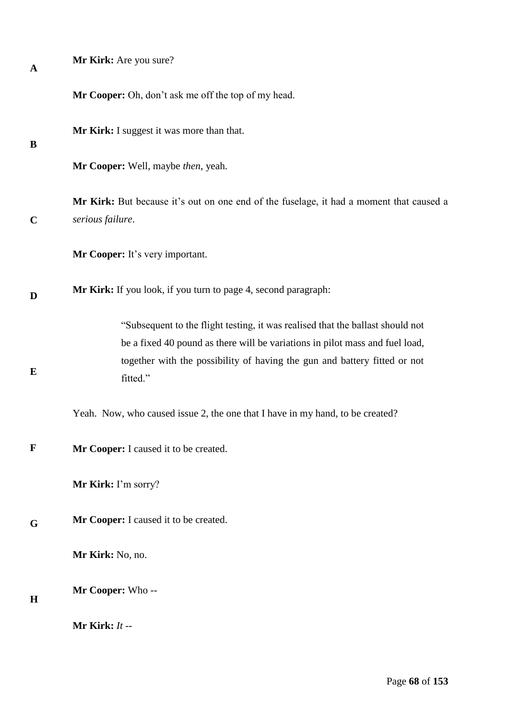| $\mathbf A$ | Mr Kirk: Are you sure?                                                                                                                                                                                                                                  |
|-------------|---------------------------------------------------------------------------------------------------------------------------------------------------------------------------------------------------------------------------------------------------------|
|             | Mr Cooper: Oh, don't ask me off the top of my head.                                                                                                                                                                                                     |
| B           | Mr Kirk: I suggest it was more than that.                                                                                                                                                                                                               |
|             | Mr Cooper: Well, maybe then, yeah.                                                                                                                                                                                                                      |
| $\mathbf C$ | Mr Kirk: But because it's out on one end of the fuselage, it had a moment that caused a<br>serious failure.                                                                                                                                             |
|             | Mr Cooper: It's very important.                                                                                                                                                                                                                         |
| D           | Mr Kirk: If you look, if you turn to page 4, second paragraph:                                                                                                                                                                                          |
| $\bf{E}$    | "Subsequent to the flight testing, it was realised that the ballast should not<br>be a fixed 40 pound as there will be variations in pilot mass and fuel load,<br>together with the possibility of having the gun and battery fitted or not<br>fitted." |
|             | Yeah. Now, who caused issue 2, the one that I have in my hand, to be created?                                                                                                                                                                           |
| $\mathbf F$ | Mr Cooper: I caused it to be created.                                                                                                                                                                                                                   |
|             | Mr Kirk: I'm sorry?                                                                                                                                                                                                                                     |
| G           | Mr Cooper: I caused it to be created.                                                                                                                                                                                                                   |
|             | Mr Kirk: No, no.                                                                                                                                                                                                                                        |
| H           | Mr Cooper: Who --                                                                                                                                                                                                                                       |
|             | Mr Kirk: $It -$                                                                                                                                                                                                                                         |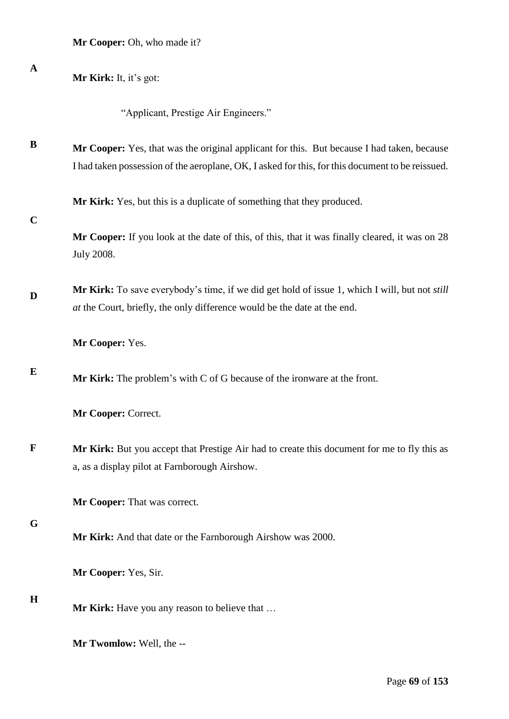| $\mathbf A$ | Mr Kirk: It, it's got:                                                                                                                                                                         |
|-------------|------------------------------------------------------------------------------------------------------------------------------------------------------------------------------------------------|
|             | "Applicant, Prestige Air Engineers."                                                                                                                                                           |
| B           | Mr Cooper: Yes, that was the original applicant for this. But because I had taken, because<br>I had taken possession of the aeroplane, OK, I asked for this, for this document to be reissued. |
| $\mathbf C$ | Mr Kirk: Yes, but this is a duplicate of something that they produced.                                                                                                                         |
|             | Mr Cooper: If you look at the date of this, of this, that it was finally cleared, it was on 28<br><b>July 2008.</b>                                                                            |
| D           | Mr Kirk: To save everybody's time, if we did get hold of issue 1, which I will, but not <i>still</i><br>at the Court, briefly, the only difference would be the date at the end.               |
|             | Mr Cooper: Yes.                                                                                                                                                                                |
| E           | <b>Mr Kirk:</b> The problem's with $C$ of $G$ because of the ironware at the front.                                                                                                            |
|             | Mr Cooper: Correct.                                                                                                                                                                            |
| $\mathbf F$ | Mr Kirk: But you accept that Prestige Air had to create this document for me to fly this as<br>a, as a display pilot at Farnborough Airshow.                                                   |
|             | Mr Cooper: That was correct.                                                                                                                                                                   |
| G           | Mr Kirk: And that date or the Farnborough Airshow was 2000.                                                                                                                                    |
|             | Mr Cooper: Yes, Sir.                                                                                                                                                                           |
| H           | Mr Kirk: Have you any reason to believe that                                                                                                                                                   |
|             | Mr Twomlow: Well, the --                                                                                                                                                                       |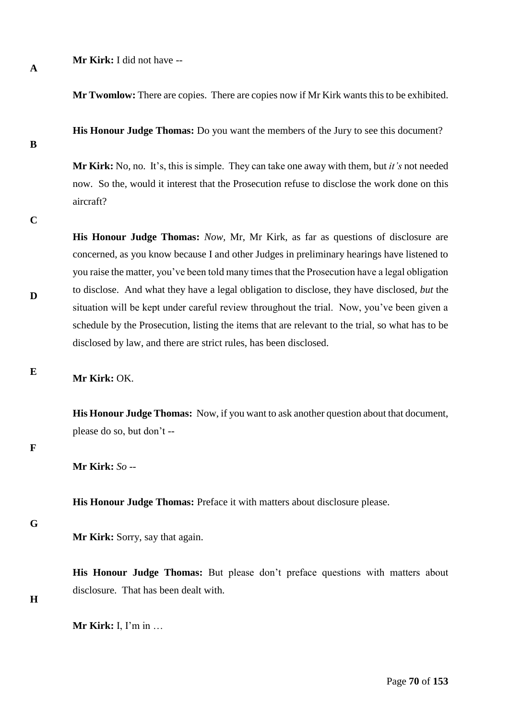**Mr Kirk:** I did not have --

**Mr Twomlow:** There are copies. There are copies now if Mr Kirk wants this to be exhibited.

**His Honour Judge Thomas:** Do you want the members of the Jury to see this document?

**Mr Kirk:** No, no. It's, this is simple. They can take one away with them, but *it's* not needed now. So the, would it interest that the Prosecution refuse to disclose the work done on this aircraft?

**C**

**A**

**B**

**His Honour Judge Thomas:** *Now,* Mr, Mr Kirk, as far as questions of disclosure are concerned, as you know because I and other Judges in preliminary hearings have listened to you raise the matter, you've been told many times that the Prosecution have a legal obligation to disclose. And what they have a legal obligation to disclose, they have disclosed*, but* the situation will be kept under careful review throughout the trial. Now, you've been given a schedule by the Prosecution, listing the items that are relevant to the trial, so what has to be disclosed by law, and there are strict rules, has been disclosed.

**E**

**D**

# **Mr Kirk:** OK.

**His Honour Judge Thomas:** Now, if you want to ask another question about that document, please do so, but don't --

**F**

**Mr Kirk:** *So --* 

**His Honour Judge Thomas:** Preface it with matters about disclosure please.

**G**

**Mr Kirk:** Sorry, say that again.

**His Honour Judge Thomas:** But please don't preface questions with matters about disclosure. That has been dealt with.

**H**

**Mr Kirk:** I, I'm in …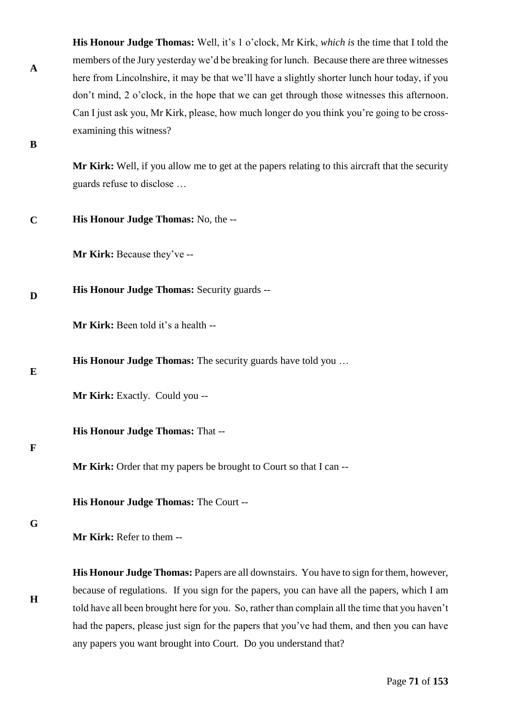**His Honour Judge Thomas:** Well, it's 1 o'clock, Mr Kirk, *which is* the time that I told the members of the Jury yesterday we'd be breaking for lunch. Because there are three witnesses here from Lincolnshire, it may be that we'll have a slightly shorter lunch hour today, if you don't mind, 2 o'clock, in the hope that we can get through those witnesses this afternoon. Can I just ask you, Mr Kirk, please, how much longer do you think you're going to be crossexamining this witness?

**B**

**A**

**Mr Kirk:** Well, if you allow me to get at the papers relating to this aircraft that the security guards refuse to disclose …

**C His Honour Judge Thomas:** No, the --

**Mr Kirk:** Because they've --

**D His Honour Judge Thomas:** Security guards --

**Mr Kirk:** Been told it's a health --

**His Honour Judge Thomas:** The security guards have told you ...

**E**

**Mr Kirk:** Exactly. Could you --

**His Honour Judge Thomas:** That --

# **F**

**Mr Kirk:** Order that my papers be brought to Court so that I can --

**His Honour Judge Thomas:** The Court --

# **G**

**H**

**Mr Kirk:** Refer to them --

**His Honour Judge Thomas:** Papers are all downstairs. You have to sign for them, however, because of regulations. If you sign for the papers, you can have all the papers, which I am told have all been brought here for you. So, rather than complain all the time that you haven't had the papers, please just sign for the papers that you've had them, and then you can have any papers you want brought into Court. Do you understand that?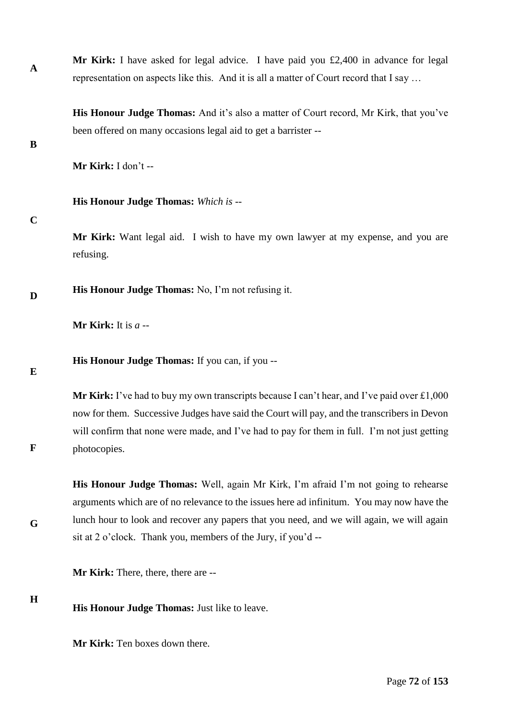**Mr Kirk:** I have asked for legal advice. I have paid you £2,400 in advance for legal representation on aspects like this. And it is all a matter of Court record that I say …

**His Honour Judge Thomas:** And it's also a matter of Court record, Mr Kirk, that you've been offered on many occasions legal aid to get a barrister --

**B**

**A**

**Mr Kirk:** I don't --

**His Honour Judge Thomas:** *Which is --* 

## **C**

**Mr Kirk:** Want legal aid. I wish to have my own lawyer at my expense, and you are refusing.

**D His Honour Judge Thomas:** No, I'm not refusing it.

**Mr Kirk:** It is *a* --

**His Honour Judge Thomas:** If you can, if you --

**E**

**F**

**G**

**Mr Kirk:** I've had to buy my own transcripts because I can't hear, and I've paid over £1,000 now for them. Successive Judges have said the Court will pay, and the transcribers in Devon will confirm that none were made, and I've had to pay for them in full. I'm not just getting photocopies.

**His Honour Judge Thomas:** Well, again Mr Kirk, I'm afraid I'm not going to rehearse arguments which are of no relevance to the issues here ad infinitum. You may now have the lunch hour to look and recover any papers that you need, and we will again, we will again sit at 2 o'clock. Thank you, members of the Jury, if you'd --

**Mr Kirk:** There, there, there are --

**H**

**His Honour Judge Thomas:** Just like to leave.

**Mr Kirk:** Ten boxes down there.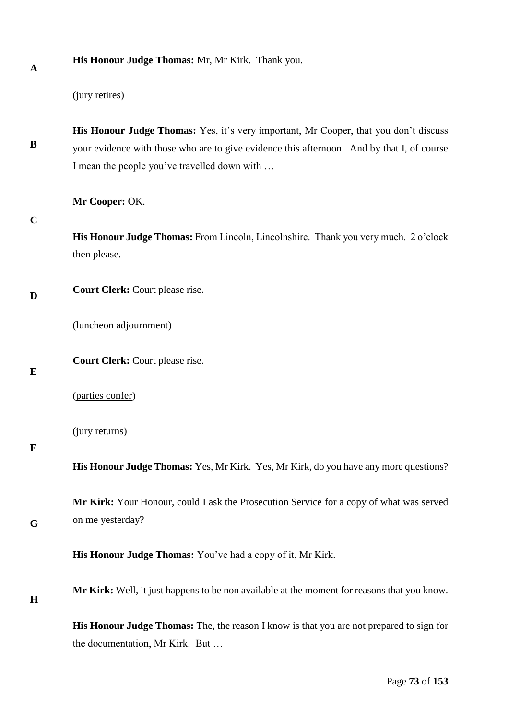**A**

**His Honour Judge Thomas:** Mr, Mr Kirk. Thank you.

## (jury retires)

**B His Honour Judge Thomas:** Yes, it's very important, Mr Cooper, that you don't discuss your evidence with those who are to give evidence this afternoon. And by that I, of course I mean the people you've travelled down with …

**Mr Cooper:** OK.

**C**

**His Honour Judge Thomas:** From Lincoln, Lincolnshire. Thank you very much. 2 o'clock then please.

**D Court Clerk:** Court please rise.

(luncheon adjournment)

**Court Clerk:** Court please rise.

**E**

(parties confer)

(jury returns)

**F**

**His Honour Judge Thomas:** Yes, Mr Kirk. Yes, Mr Kirk, do you have any more questions?

**Mr Kirk:** Your Honour, could I ask the Prosecution Service for a copy of what was served on me yesterday?

**His Honour Judge Thomas:** You've had a copy of it, Mr Kirk.

**H**

**G**

**Mr Kirk:** Well, it just happens to be non available at the moment for reasons that you know.

**His Honour Judge Thomas:** The, the reason I know is that you are not prepared to sign for the documentation, Mr Kirk. But …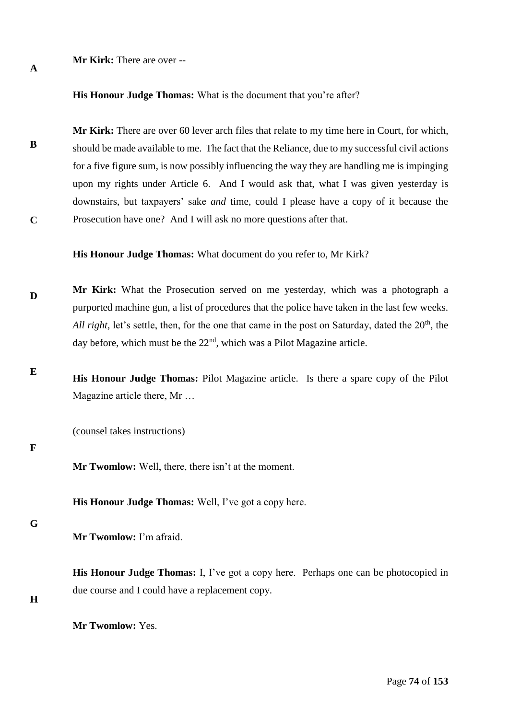#### **Mr Kirk:** There are over --

**His Honour Judge Thomas:** What is the document that you're after?

**B C Mr Kirk:** There are over 60 lever arch files that relate to my time here in Court, for which, should be made available to me. The fact that the Reliance, due to my successful civil actions for a five figure sum, is now possibly influencing the way they are handling me is impinging upon my rights under Article 6. And I would ask that, what I was given yesterday is downstairs, but taxpayers' sake *and* time, could I please have a copy of it because the Prosecution have one? And I will ask no more questions after that.

**His Honour Judge Thomas:** What document do you refer to, Mr Kirk?

- **D Mr Kirk:** What the Prosecution served on me yesterday, which was a photograph a purported machine gun, a list of procedures that the police have taken in the last few weeks. *All right*, let's settle, then, for the one that came in the post on Saturday, dated the 20<sup>th</sup>, the day before, which must be the  $22<sup>nd</sup>$ , which was a Pilot Magazine article.
- **E His Honour Judge Thomas:** Pilot Magazine article. Is there a spare copy of the Pilot Magazine article there, Mr …

(counsel takes instructions)

#### **F**

**A**

**Mr Twomlow:** Well, there, there isn't at the moment.

**His Honour Judge Thomas:** Well, I've got a copy here.

#### **G**

**Mr Twomlow:** I'm afraid.

**His Honour Judge Thomas:** I, I've got a copy here. Perhaps one can be photocopied in due course and I could have a replacement copy.

**H**

**Mr Twomlow:** Yes.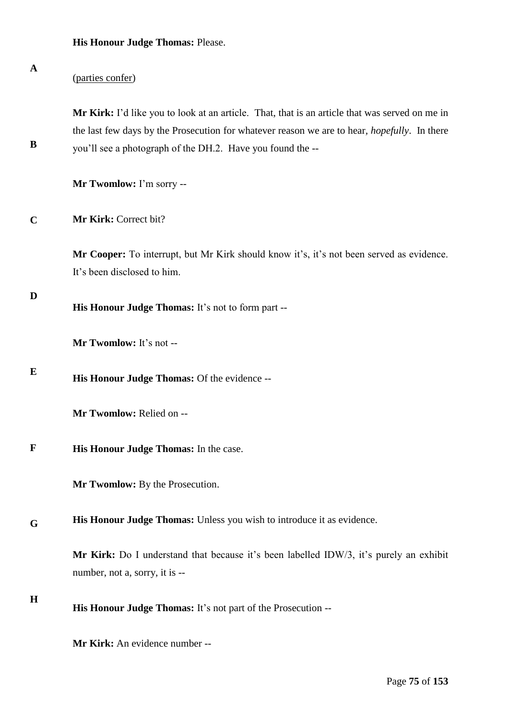| A           | (parties confer)                                                                                                                                                                                                                                                     |
|-------------|----------------------------------------------------------------------------------------------------------------------------------------------------------------------------------------------------------------------------------------------------------------------|
| B           | Mr Kirk: I'd like you to look at an article. That, that is an article that was served on me in<br>the last few days by the Prosecution for whatever reason we are to hear, <i>hopefully</i> . In there<br>you'll see a photograph of the DH.2. Have you found the -- |
|             | Mr Twomlow: I'm sorry --                                                                                                                                                                                                                                             |
| $\mathbf C$ | Mr Kirk: Correct bit?                                                                                                                                                                                                                                                |
|             | Mr Cooper: To interrupt, but Mr Kirk should know it's, it's not been served as evidence.<br>It's been disclosed to him.                                                                                                                                              |
| $\mathbf D$ | His Honour Judge Thomas: It's not to form part --                                                                                                                                                                                                                    |
|             | Mr Twomlow: It's not --                                                                                                                                                                                                                                              |
| E           | His Honour Judge Thomas: Of the evidence --                                                                                                                                                                                                                          |
|             | Mr Twomlow: Relied on --                                                                                                                                                                                                                                             |
| F           | His Honour Judge Thomas: In the case.                                                                                                                                                                                                                                |
|             | Mr Twomlow: By the Prosecution.                                                                                                                                                                                                                                      |
| G           | His Honour Judge Thomas: Unless you wish to introduce it as evidence.                                                                                                                                                                                                |
|             | Mr Kirk: Do I understand that because it's been labelled IDW/3, it's purely an exhibit<br>number, not a, sorry, it is --                                                                                                                                             |
| $\bf H$     | His Honour Judge Thomas: It's not part of the Prosecution --                                                                                                                                                                                                         |

**Mr Kirk:** An evidence number --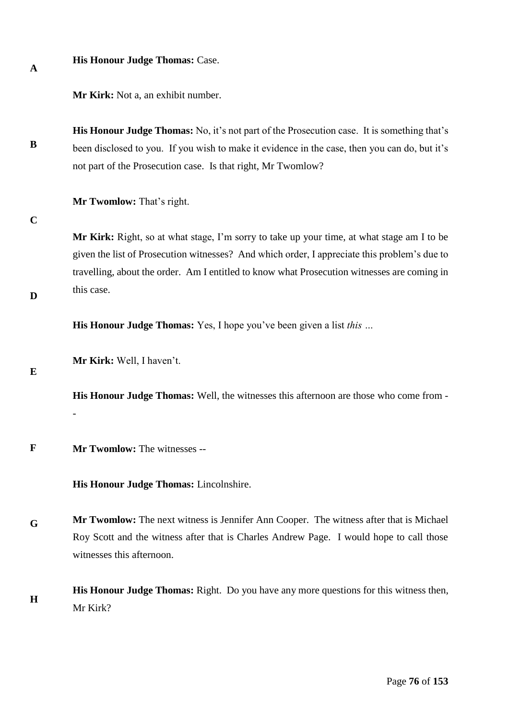**A**

## **His Honour Judge Thomas:** Case.

**Mr Kirk:** Not a, an exhibit number.

**B His Honour Judge Thomas:** No, it's not part of the Prosecution case. It is something that's been disclosed to you. If you wish to make it evidence in the case, then you can do, but it's not part of the Prosecution case. Is that right, Mr Twomlow?

**Mr Twomlow:** That's right.

**C**

**Mr Kirk:** Right, so at what stage, I'm sorry to take up your time, at what stage am I to be given the list of Prosecution witnesses? And which order, I appreciate this problem's due to travelling, about the order. Am I entitled to know what Prosecution witnesses are coming in this case.

**His Honour Judge Thomas:** Yes, I hope you've been given a list *this …* 

**Mr Kirk:** Well, I haven't.

**E**

**D**

**His Honour Judge Thomas:** Well, the witnesses this afternoon are those who come from - -

**F Mr Twomlow:** The witnesses --

**His Honour Judge Thomas:** Lincolnshire.

**G Mr Twomlow:** The next witness is Jennifer Ann Cooper. The witness after that is Michael Roy Scott and the witness after that is Charles Andrew Page. I would hope to call those witnesses this afternoon.

**H His Honour Judge Thomas:** Right. Do you have any more questions for this witness then, Mr Kirk?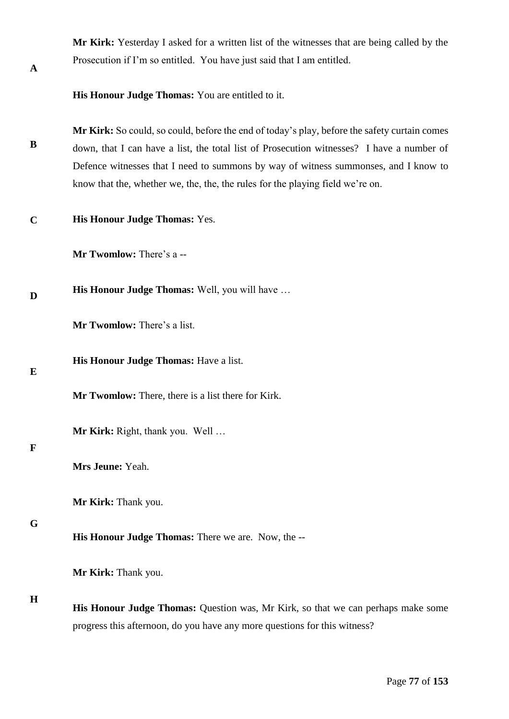**Mr Kirk:** Yesterday I asked for a written list of the witnesses that are being called by the Prosecution if I'm so entitled. You have just said that I am entitled.

**His Honour Judge Thomas:** You are entitled to it.

**B Mr Kirk:** So could, so could, before the end of today's play, before the safety curtain comes down, that I can have a list, the total list of Prosecution witnesses? I have a number of Defence witnesses that I need to summons by way of witness summonses, and I know to know that the, whether we, the, the, the rules for the playing field we're on.

**C His Honour Judge Thomas:** Yes.

**Mr Twomlow:** There's a --

**D His Honour Judge Thomas:** Well, you will have …

**Mr Twomlow:** There's a list.

**E**

**A**

**His Honour Judge Thomas:** Have a list.

**Mr Twomlow:** There, there is a list there for Kirk.

**Mr Kirk:** Right, thank you. Well …

## **F**

**Mrs Jeune:** Yeah.

**Mr Kirk:** Thank you.

#### **G**

**His Honour Judge Thomas:** There we are. Now, the --

**Mr Kirk:** Thank you.

#### **H**

**His Honour Judge Thomas:** Question was, Mr Kirk, so that we can perhaps make some progress this afternoon, do you have any more questions for this witness?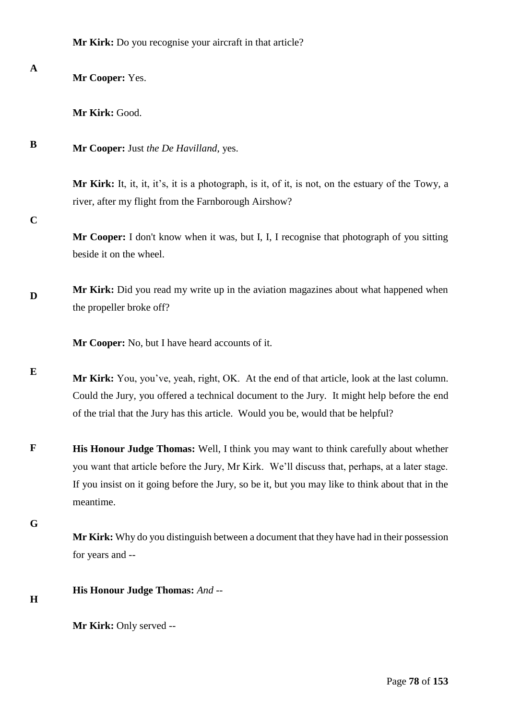**Mr Kirk:** Do you recognise your aircraft in that article?

| $\mathbf{A}$ | Mr Cooper: Yes.                                                                                                                                                                                                                                                                                         |
|--------------|---------------------------------------------------------------------------------------------------------------------------------------------------------------------------------------------------------------------------------------------------------------------------------------------------------|
|              | Mr Kirk: Good.                                                                                                                                                                                                                                                                                          |
| B            | Mr Cooper: Just the De Havilland, yes.                                                                                                                                                                                                                                                                  |
|              | Mr Kirk: It, it, it, it's, it is a photograph, is it, of it, is not, on the estuary of the Towy, a<br>river, after my flight from the Farnborough Airshow?                                                                                                                                              |
| $\mathbf C$  | Mr Cooper: I don't know when it was, but I, I, I recognise that photograph of you sitting<br>beside it on the wheel.                                                                                                                                                                                    |
| D            | Mr Kirk: Did you read my write up in the aviation magazines about what happened when<br>the propeller broke off?                                                                                                                                                                                        |
|              | Mr Cooper: No, but I have heard accounts of it.                                                                                                                                                                                                                                                         |
| E            | Mr Kirk: You, you've, yeah, right, OK. At the end of that article, look at the last column.<br>Could the Jury, you offered a technical document to the Jury. It might help before the end<br>of the trial that the Jury has this article. Would you be, would that be helpful?                          |
| F            | His Honour Judge Thomas: Well, I think you may want to think carefully about whether<br>you want that article before the Jury, Mr Kirk. We'll discuss that, perhaps, at a later stage.<br>If you insist on it going before the Jury, so be it, but you may like to think about that in the<br>meantime. |
| G            | Mr Kirk: Why do you distinguish between a document that they have had in their possession<br>for years and --                                                                                                                                                                                           |
| H            | His Honour Judge Thomas: And --                                                                                                                                                                                                                                                                         |
|              | Mr Kirk: Only served --                                                                                                                                                                                                                                                                                 |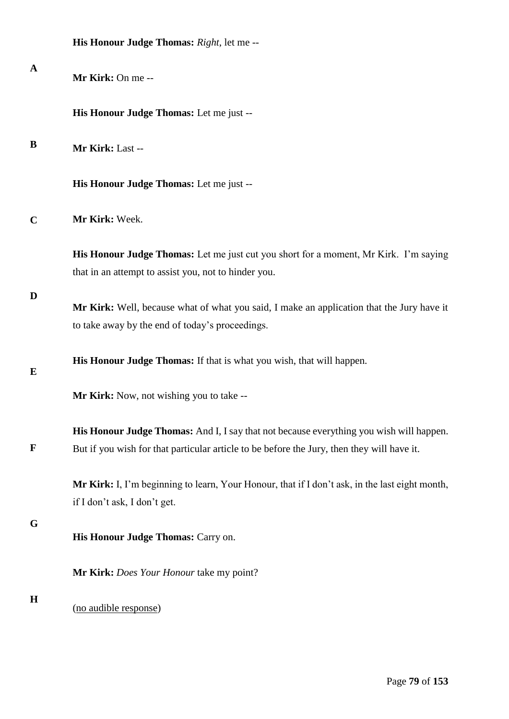|              | His Honour Judge Thomas: Right, let me --                                                                                                                                             |
|--------------|---------------------------------------------------------------------------------------------------------------------------------------------------------------------------------------|
| $\mathbf{A}$ | Mr Kirk: On me --                                                                                                                                                                     |
|              | His Honour Judge Thomas: Let me just --                                                                                                                                               |
| B            | Mr Kirk: Last --                                                                                                                                                                      |
|              | His Honour Judge Thomas: Let me just --                                                                                                                                               |
| $\mathbf C$  | Mr Kirk: Week.                                                                                                                                                                        |
|              | His Honour Judge Thomas: Let me just cut you short for a moment, Mr Kirk. I'm saying<br>that in an attempt to assist you, not to hinder you.                                          |
| D            | Mr Kirk: Well, because what of what you said, I make an application that the Jury have it<br>to take away by the end of today's proceedings.                                          |
| E            | His Honour Judge Thomas: If that is what you wish, that will happen.                                                                                                                  |
|              | Mr Kirk: Now, not wishing you to take --                                                                                                                                              |
| $\mathbf F$  | His Honour Judge Thomas: And I, I say that not because everything you wish will happen.<br>But if you wish for that particular article to be before the Jury, then they will have it. |
|              | Mr Kirk: I, I'm beginning to learn, Your Honour, that if I don't ask, in the last eight month,<br>if I don't ask, I don't get.                                                        |
| G            | His Honour Judge Thomas: Carry on.                                                                                                                                                    |
|              | Mr Kirk: Does Your Honour take my point?                                                                                                                                              |
| $\mathbf H$  | (no audible response)                                                                                                                                                                 |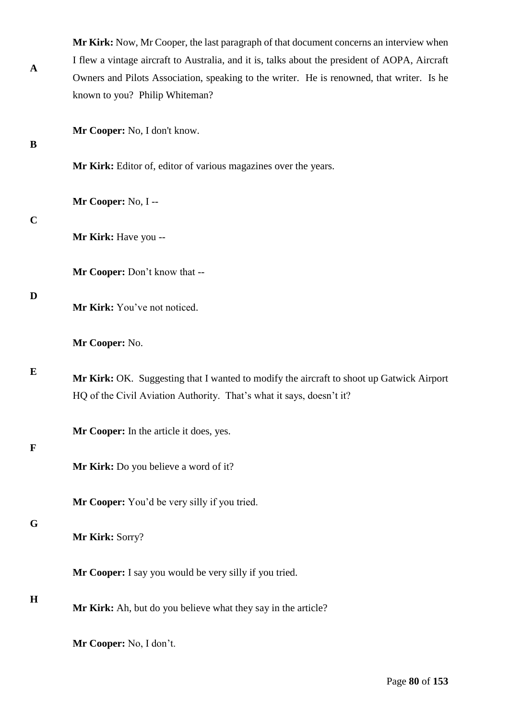| $\mathbf A$ | Mr Kirk: Now, Mr Cooper, the last paragraph of that document concerns an interview when<br>I flew a vintage aircraft to Australia, and it is, talks about the president of AOPA, Aircraft<br>Owners and Pilots Association, speaking to the writer. He is renowned, that writer. Is he<br>known to you? Philip Whiteman? |
|-------------|--------------------------------------------------------------------------------------------------------------------------------------------------------------------------------------------------------------------------------------------------------------------------------------------------------------------------|
| B           | Mr Cooper: No, I don't know.                                                                                                                                                                                                                                                                                             |
|             | Mr Kirk: Editor of, editor of various magazines over the years.                                                                                                                                                                                                                                                          |
|             | Mr Cooper: No, I --                                                                                                                                                                                                                                                                                                      |
| $\mathbf C$ | Mr Kirk: Have you --                                                                                                                                                                                                                                                                                                     |
|             | Mr Cooper: Don't know that --                                                                                                                                                                                                                                                                                            |
| D           | Mr Kirk: You've not noticed.                                                                                                                                                                                                                                                                                             |
|             | Mr Cooper: No.                                                                                                                                                                                                                                                                                                           |
| E           | Mr Kirk: OK. Suggesting that I wanted to modify the aircraft to shoot up Gatwick Airport<br>HQ of the Civil Aviation Authority. That's what it says, doesn't it?                                                                                                                                                         |
| F           | Mr Cooper: In the article it does, yes.                                                                                                                                                                                                                                                                                  |
|             | Mr Kirk: Do you believe a word of it?                                                                                                                                                                                                                                                                                    |
|             | Mr Cooper: You'd be very silly if you tried.                                                                                                                                                                                                                                                                             |
| G           | Mr Kirk: Sorry?                                                                                                                                                                                                                                                                                                          |
|             | Mr Cooper: I say you would be very silly if you tried.                                                                                                                                                                                                                                                                   |
| $\bf H$     | Mr Kirk: Ah, but do you believe what they say in the article?                                                                                                                                                                                                                                                            |
|             | Mr Cooper: No, I don't.                                                                                                                                                                                                                                                                                                  |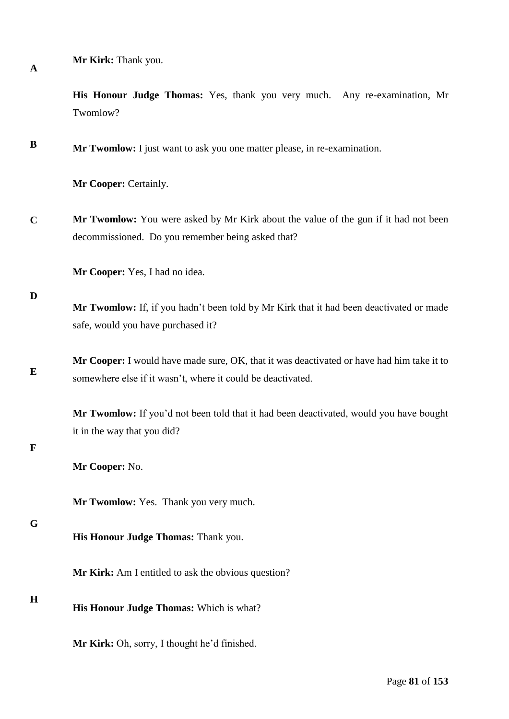**A**

**Mr Kirk:** Thank you.

**His Honour Judge Thomas:** Yes, thank you very much. Any re-examination, Mr Twomlow?

**B Mr Twomlow:** I just want to ask you one matter please, in re-examination.

**Mr Cooper:** Certainly.

**C Mr Twomlow:** You were asked by Mr Kirk about the value of the gun if it had not been decommissioned. Do you remember being asked that?

**Mr Cooper:** Yes, I had no idea.

#### **D**

**Mr Twomlow:** If, if you hadn't been told by Mr Kirk that it had been deactivated or made safe, would you have purchased it?

**E Mr Cooper:** I would have made sure, OK, that it was deactivated or have had him take it to somewhere else if it wasn't, where it could be deactivated.

> **Mr Twomlow:** If you'd not been told that it had been deactivated, would you have bought it in the way that you did?

## **F**

**Mr Cooper:** No.

**Mr Twomlow:** Yes. Thank you very much.

#### **G**

**His Honour Judge Thomas:** Thank you.

**Mr Kirk:** Am I entitled to ask the obvious question?

#### **H**

**His Honour Judge Thomas:** Which is what?

**Mr Kirk:** Oh, sorry, I thought he'd finished.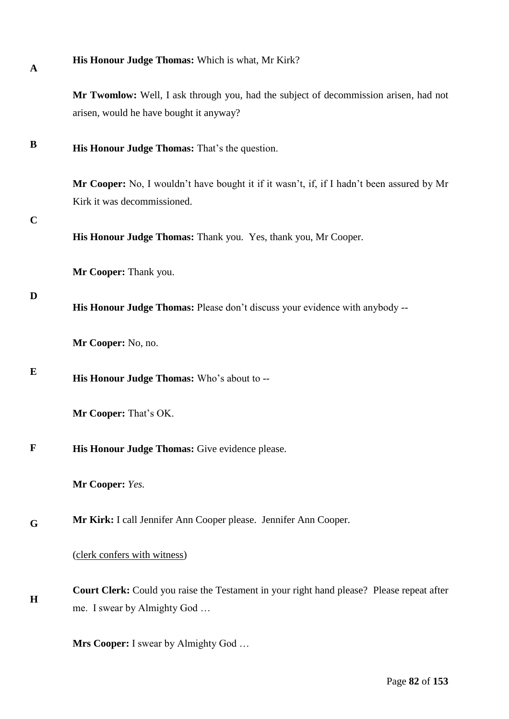| <b>His Honour Judge Thomas:</b> Which is what, Mr Kirk? |  |
|---------------------------------------------------------|--|
|---------------------------------------------------------|--|

**Mr Twomlow:** Well, I ask through you, had the subject of decommission arisen, had not arisen, would he have bought it anyway?

**B His Honour Judge Thomas:** That's the question.

> **Mr Cooper:** No, I wouldn't have bought it if it wasn't, if, if I hadn't been assured by Mr Kirk it was decommissioned.

**C**

**A**

**His Honour Judge Thomas:** Thank you. Yes, thank you, Mr Cooper.

**Mr Cooper:** Thank you.

## **D**

**His Honour Judge Thomas:** Please don't discuss your evidence with anybody --

**Mr Cooper:** No, no.

**E His Honour Judge Thomas:** Who's about to --

**Mr Cooper:** That's OK.

**F His Honour Judge Thomas:** Give evidence please.

**Mr Cooper:** *Yes.* 

**G Mr Kirk:** I call Jennifer Ann Cooper please. Jennifer Ann Cooper.

(clerk confers with witness)

**H Court Clerk:** Could you raise the Testament in your right hand please? Please repeat after me. I swear by Almighty God …

**Mrs Cooper:** I swear by Almighty God …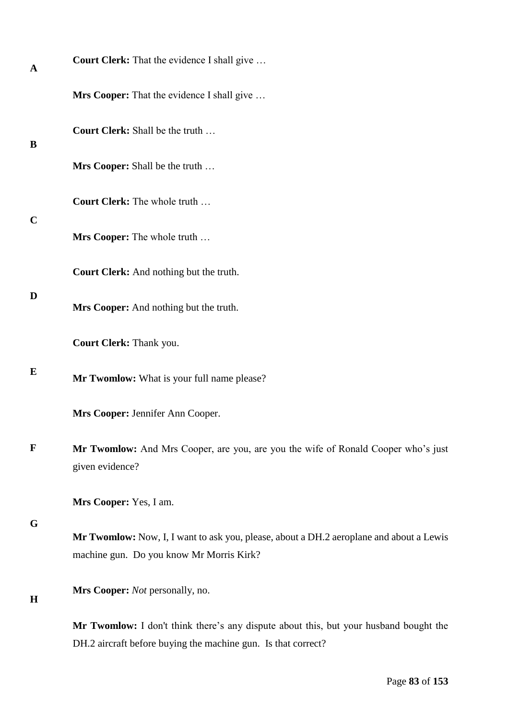| A            | <b>Court Clerk:</b> That the evidence I shall give                                                                                                     |
|--------------|--------------------------------------------------------------------------------------------------------------------------------------------------------|
|              | <b>Mrs Cooper:</b> That the evidence I shall give                                                                                                      |
| B            | <b>Court Clerk:</b> Shall be the truth                                                                                                                 |
|              | Mrs Cooper: Shall be the truth                                                                                                                         |
|              | Court Clerk: The whole truth                                                                                                                           |
| $\mathbf C$  | Mrs Cooper: The whole truth                                                                                                                            |
|              | Court Clerk: And nothing but the truth.                                                                                                                |
| D            | Mrs Cooper: And nothing but the truth.                                                                                                                 |
|              | Court Clerk: Thank you.                                                                                                                                |
| E            | Mr Twomlow: What is your full name please?                                                                                                             |
|              | Mrs Cooper: Jennifer Ann Cooper.                                                                                                                       |
| $\mathbf{F}$ | Mr Twomlow: And Mrs Cooper, are you, are you the wife of Ronald Cooper who's just<br>given evidence?                                                   |
|              | Mrs Cooper: Yes, I am.                                                                                                                                 |
| G            | Mr Twomlow: Now, I, I want to ask you, please, about a DH.2 aeroplane and about a Lewis<br>machine gun. Do you know Mr Morris Kirk?                    |
| $\mathbf H$  | Mrs Cooper: Not personally, no.                                                                                                                        |
|              | Mr Twomlow: I don't think there's any dispute about this, but your husband bought the<br>DH.2 aircraft before buying the machine gun. Is that correct? |
|              |                                                                                                                                                        |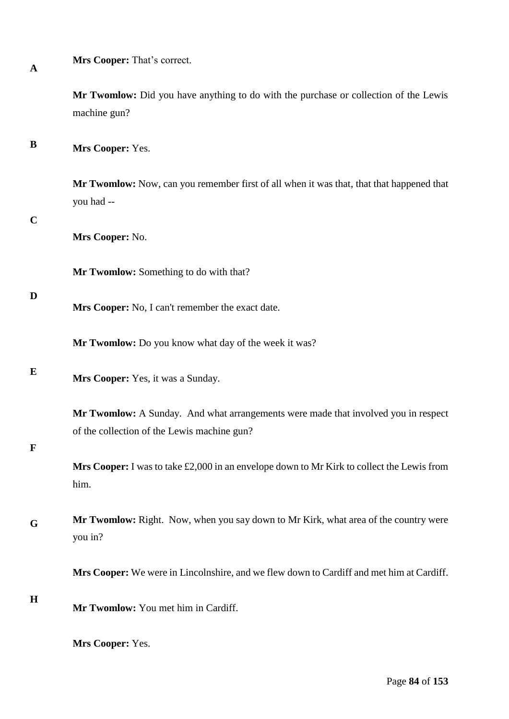|  | Mrs Cooper: That's correct. |
|--|-----------------------------|
|--|-----------------------------|

**Mr Twomlow:** Did you have anything to do with the purchase or collection of the Lewis machine gun?

**B Mrs Cooper:** Yes.

> **Mr Twomlow:** Now, can you remember first of all when it was that, that that happened that you had --

## **C**

**A**

**Mrs Cooper:** No.

**Mr Twomlow:** Something to do with that?

## **D**

**Mrs Cooper:** No, I can't remember the exact date.

**Mr Twomlow:** Do you know what day of the week it was?

## **E**

**Mrs Cooper:** Yes, it was a Sunday.

**Mr Twomlow:** A Sunday. And what arrangements were made that involved you in respect of the collection of the Lewis machine gun?

# **F**

**Mrs Cooper:** I was to take £2,000 in an envelope down to Mr Kirk to collect the Lewis from him.

**G Mr Twomlow:** Right. Now, when you say down to Mr Kirk, what area of the country were you in?

**Mrs Cooper:** We were in Lincolnshire, and we flew down to Cardiff and met him at Cardiff.

## **H**

**Mr Twomlow:** You met him in Cardiff.

**Mrs Cooper:** Yes.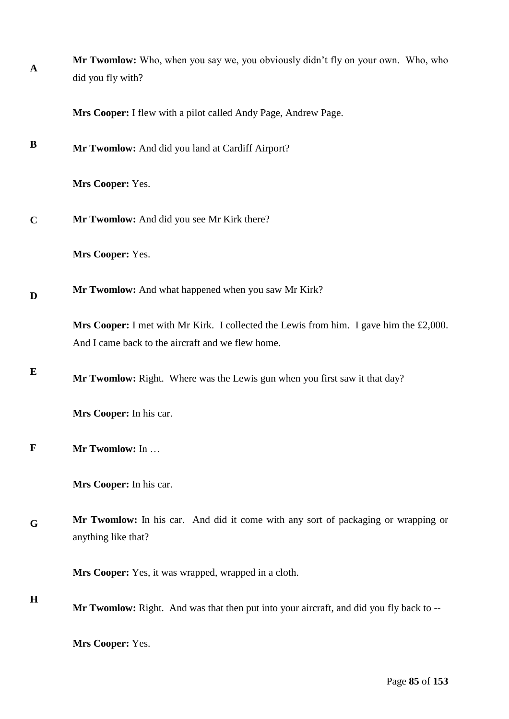| $\mathbf{A}$ | Mr Twomlow: Who, when you say we, you obviously didn't fly on your own. Who, who<br>did you fly with?                                       |
|--------------|---------------------------------------------------------------------------------------------------------------------------------------------|
|              | Mrs Cooper: I flew with a pilot called Andy Page, Andrew Page.                                                                              |
| B            | Mr Twomlow: And did you land at Cardiff Airport?                                                                                            |
|              | Mrs Cooper: Yes.                                                                                                                            |
| $\mathbf C$  | Mr Twomlow: And did you see Mr Kirk there?                                                                                                  |
|              | Mrs Cooper: Yes.                                                                                                                            |
| D            | Mr Twomlow: And what happened when you saw Mr Kirk?                                                                                         |
|              | Mrs Cooper: I met with Mr Kirk. I collected the Lewis from him. I gave him the £2,000.<br>And I came back to the aircraft and we flew home. |
| E            | Mr Twomlow: Right. Where was the Lewis gun when you first saw it that day?                                                                  |
|              | Mrs Cooper: In his car.                                                                                                                     |
| $\mathbf F$  | Mr Twomlow: In                                                                                                                              |
|              | Mrs Cooper: In his car.                                                                                                                     |
| G            | Mr Twomlow: In his car. And did it come with any sort of packaging or wrapping or<br>anything like that?                                    |
|              | Mrs Cooper: Yes, it was wrapped, wrapped in a cloth.                                                                                        |
| $\mathbf H$  | Mr Twomlow: Right. And was that then put into your aircraft, and did you fly back to --                                                     |
|              | Mrs Cooper: Yes.                                                                                                                            |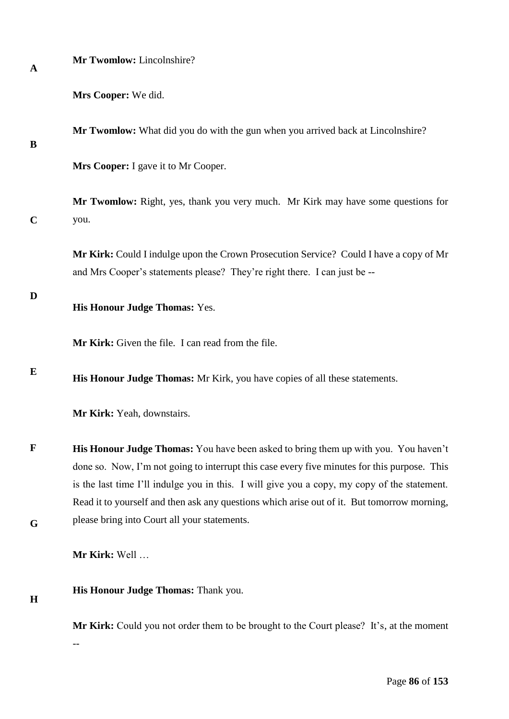## **Mr Twomlow:** Lincolnshire?

| Mrs Cooper: We did. |  |
|---------------------|--|
|---------------------|--|

**Mr Twomlow:** What did you do with the gun when you arrived back at Lincolnshire?

# **B**

**Mrs Cooper:** I gave it to Mr Cooper.

**C Mr Twomlow:** Right, yes, thank you very much. Mr Kirk may have some questions for you.

> **Mr Kirk:** Could I indulge upon the Crown Prosecution Service? Could I have a copy of Mr and Mrs Cooper's statements please? They're right there. I can just be --

**D**

**H**

**His Honour Judge Thomas:** Yes.

**Mr Kirk:** Given the file. I can read from the file.

**E His Honour Judge Thomas:** Mr Kirk, you have copies of all these statements.

**Mr Kirk:** Yeah, downstairs.

**F G His Honour Judge Thomas:** You have been asked to bring them up with you. You haven't done so. Now, I'm not going to interrupt this case every five minutes for this purpose. This is the last time I'll indulge you in this. I will give you a copy, my copy of the statement. Read it to yourself and then ask any questions which arise out of it. But tomorrow morning, please bring into Court all your statements.

**Mr Kirk:** Well …

--

**His Honour Judge Thomas:** Thank you.

**Mr Kirk:** Could you not order them to be brought to the Court please? It's, at the moment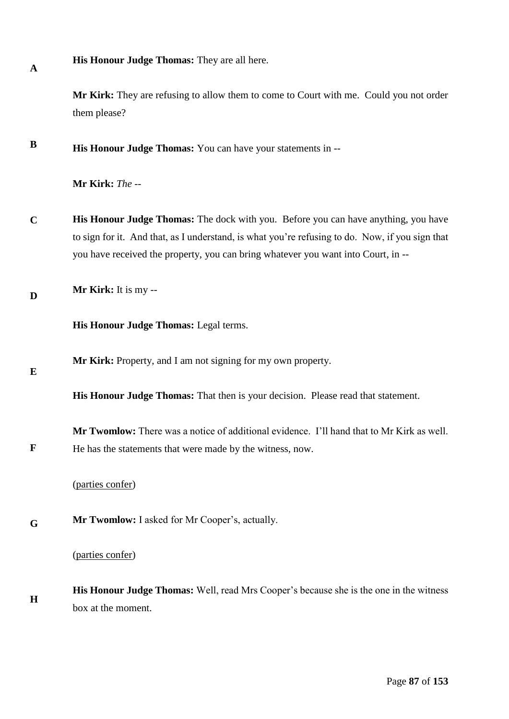**His Honour Judge Thomas:** They are all here.

**Mr Kirk:** They are refusing to allow them to come to Court with me. Could you not order them please?

**B His Honour Judge Thomas:** You can have your statements in --

**Mr Kirk:** *The --* 

**C His Honour Judge Thomas:** The dock with you. Before you can have anything, you have to sign for it. And that, as I understand, is what you're refusing to do. Now, if you sign that you have received the property, you can bring whatever you want into Court, in --

**D Mr Kirk:** It is my --

**His Honour Judge Thomas:** Legal terms.

**Mr Kirk:** Property, and I am not signing for my own property.

**E**

**F**

**A**

**His Honour Judge Thomas:** That then is your decision. Please read that statement.

**Mr Twomlow:** There was a notice of additional evidence. I'll hand that to Mr Kirk as well. He has the statements that were made by the witness, now.

(parties confer)

**G Mr Twomlow:** I asked for Mr Cooper's, actually.

(parties confer)

**H His Honour Judge Thomas:** Well, read Mrs Cooper's because she is the one in the witness box at the moment.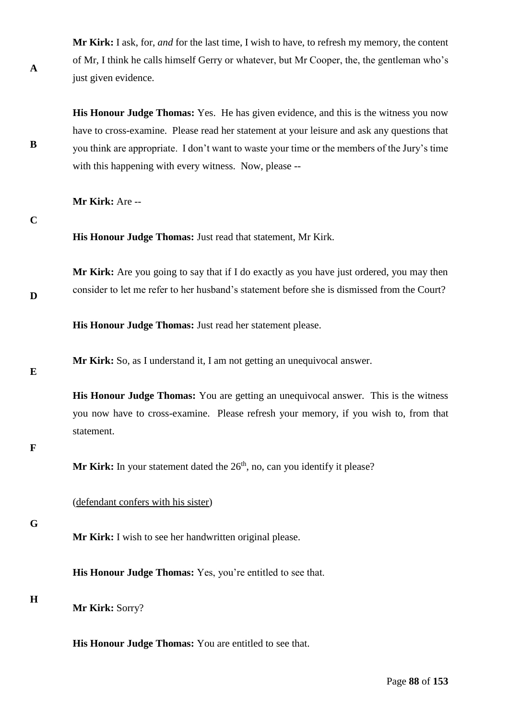**Mr Kirk:** I ask, for, *and* for the last time, I wish to have, to refresh my memory, the content of Mr, I think he calls himself Gerry or whatever, but Mr Cooper, the, the gentleman who's just given evidence.

**His Honour Judge Thomas:** Yes. He has given evidence, and this is the witness you now have to cross-examine. Please read her statement at your leisure and ask any questions that you think are appropriate. I don't want to waste your time or the members of the Jury's time with this happening with every witness. Now, please --

**Mr Kirk:** Are --

**C**

**A**

**B**

**His Honour Judge Thomas:** Just read that statement, Mr Kirk.

**Mr Kirk:** Are you going to say that if I do exactly as you have just ordered, you may then consider to let me refer to her husband's statement before she is dismissed from the Court?

**His Honour Judge Thomas:** Just read her statement please.

**Mr Kirk:** So, as I understand it, I am not getting an unequivocal answer.

**E**

**D**

**His Honour Judge Thomas:** You are getting an unequivocal answer. This is the witness you now have to cross-examine. Please refresh your memory, if you wish to, from that statement.

# **F**

**Mr Kirk:** In your statement dated the  $26<sup>th</sup>$ , no, can you identify it please?

(defendant confers with his sister)

**G**

**Mr Kirk:** I wish to see her handwritten original please.

**His Honour Judge Thomas:** Yes, you're entitled to see that.

**H**

**Mr Kirk:** Sorry?

**His Honour Judge Thomas:** You are entitled to see that.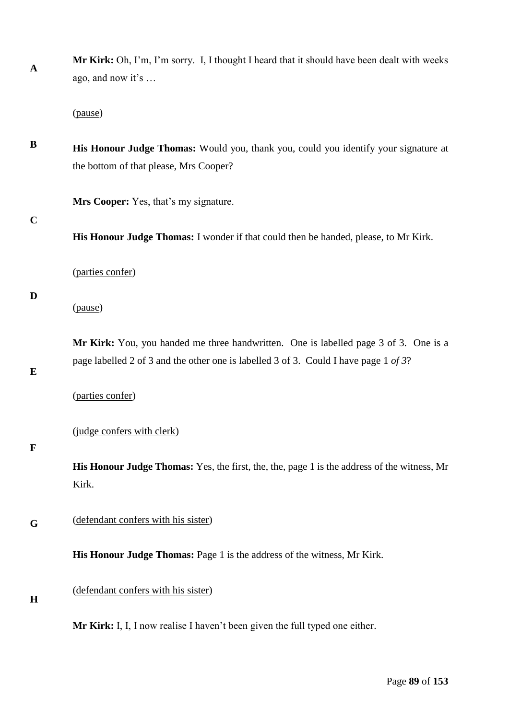**A Mr Kirk:** Oh, I'm, I'm sorry. I, I thought I heard that it should have been dealt with weeks ago, and now it's …

(pause)

**B His Honour Judge Thomas:** Would you, thank you, could you identify your signature at the bottom of that please, Mrs Cooper?

**Mrs Cooper:** Yes, that's my signature.

**C**

**His Honour Judge Thomas:** I wonder if that could then be handed, please, to Mr Kirk.

(parties confer)

## **D**

(pause)

**Mr Kirk:** You, you handed me three handwritten. One is labelled page 3 of 3. One is a page labelled 2 of 3 and the other one is labelled 3 of 3. Could I have page 1 *of 3*?

**E**

(parties confer)

(judge confers with clerk)

## **F**

**His Honour Judge Thomas:** Yes, the first, the, the, page 1 is the address of the witness, Mr Kirk.

**G** (defendant confers with his sister)

**His Honour Judge Thomas:** Page 1 is the address of the witness, Mr Kirk.

## (defendant confers with his sister)

# **H**

**Mr Kirk:** I, I, I now realise I haven't been given the full typed one either.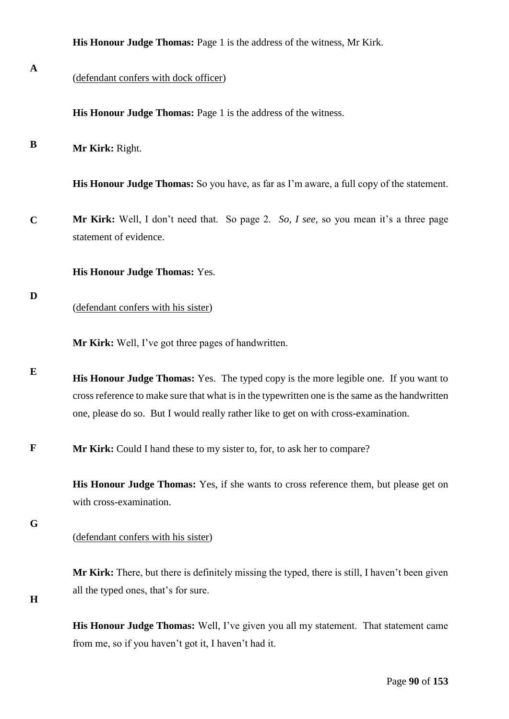|              | His Honour Judge Thomas: Page 1 is the address of the witness, Mr Kirk.                                                                                                                                                                                                        |
|--------------|--------------------------------------------------------------------------------------------------------------------------------------------------------------------------------------------------------------------------------------------------------------------------------|
| $\mathbf{A}$ | (defendant confers with dock officer)                                                                                                                                                                                                                                          |
|              | His Honour Judge Thomas: Page 1 is the address of the witness.                                                                                                                                                                                                                 |
| B            | Mr Kirk: Right.                                                                                                                                                                                                                                                                |
|              | His Honour Judge Thomas: So you have, as far as I'm aware, a full copy of the statement.                                                                                                                                                                                       |
| $\mathbf C$  | Mr Kirk: Well, I don't need that. So page 2. So, I see, so you mean it's a three page<br>statement of evidence.                                                                                                                                                                |
|              | <b>His Honour Judge Thomas: Yes.</b>                                                                                                                                                                                                                                           |
| D            | (defendant confers with his sister)                                                                                                                                                                                                                                            |
|              | Mr Kirk: Well, I've got three pages of handwritten.                                                                                                                                                                                                                            |
| E            | His Honour Judge Thomas: Yes. The typed copy is the more legible one. If you want to<br>cross reference to make sure that what is in the typewritten one is the same as the handwritten<br>one, please do so. But I would really rather like to get on with cross-examination. |
| $\mathbf F$  | Mr Kirk: Could I hand these to my sister to, for, to ask her to compare?                                                                                                                                                                                                       |
|              | His Honour Judge Thomas: Yes, if she wants to cross reference them, but please get on<br>with cross-examination.                                                                                                                                                               |
| G            | (defendant confers with his sister)                                                                                                                                                                                                                                            |
| H            | Mr Kirk: There, but there is definitely missing the typed, there is still, I haven't been given<br>all the typed ones, that's for sure.                                                                                                                                        |
|              | His Honour Judge Thomas: Well, I've given you all my statement. That statement came                                                                                                                                                                                            |

from me, so if you haven't got it, I haven't had it.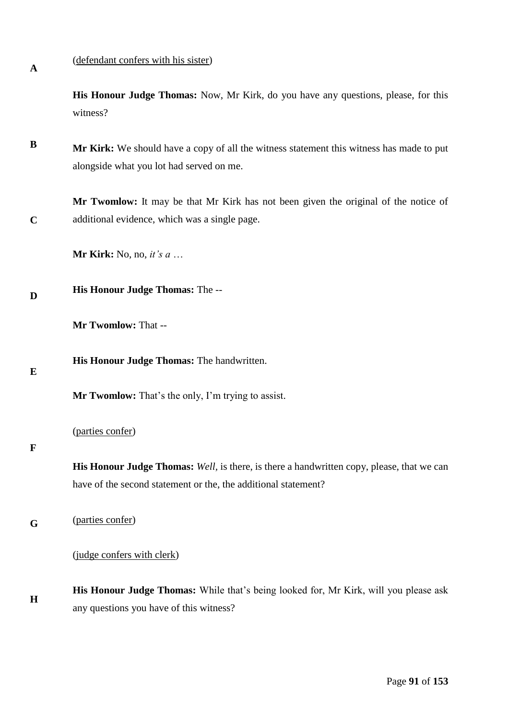**A**

**C**

## (defendant confers with his sister)

**His Honour Judge Thomas:** Now, Mr Kirk, do you have any questions, please, for this witness?

**B Mr Kirk:** We should have a copy of all the witness statement this witness has made to put alongside what you lot had served on me.

**Mr Twomlow:** It may be that Mr Kirk has not been given the original of the notice of additional evidence, which was a single page.

**Mr Kirk:** No, no, *it's a* …

#### **D His Honour Judge Thomas:** The --

**Mr Twomlow:** That --

**His Honour Judge Thomas:** The handwritten.

**E**

**Mr Twomlow:** That's the only, I'm trying to assist.

## (parties confer)

#### **F**

**His Honour Judge Thomas:** *Well*, is there, is there a handwritten copy, please, that we can have of the second statement or the, the additional statement?

**G** (parties confer)

(judge confers with clerk)

**H His Honour Judge Thomas:** While that's being looked for, Mr Kirk, will you please ask any questions you have of this witness?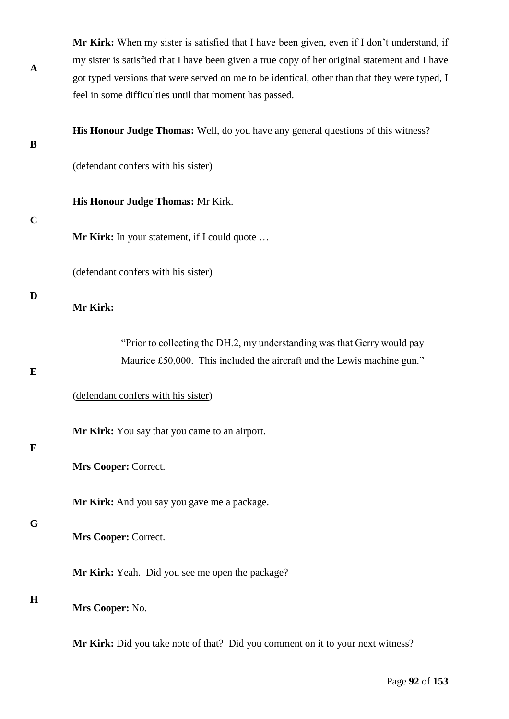| A           | Mr Kirk: When my sister is satisfied that I have been given, even if I don't understand, if    |
|-------------|------------------------------------------------------------------------------------------------|
|             | my sister is satisfied that I have been given a true copy of her original statement and I have |
|             | got typed versions that were served on me to be identical, other than that they were typed, I  |
|             | feel in some difficulties until that moment has passed.                                        |
| B           | His Honour Judge Thomas: Well, do you have any general questions of this witness?              |
|             | (defendant confers with his sister)                                                            |
|             | His Honour Judge Thomas: Mr Kirk.                                                              |
| $\mathbf C$ | <b>Mr Kirk:</b> In your statement, if I could quote                                            |
|             | (defendant confers with his sister)                                                            |
| D           | Mr Kirk:                                                                                       |
|             | "Prior to collecting the DH.2, my understanding was that Gerry would pay                       |
| E           | Maurice £50,000. This included the aircraft and the Lewis machine gun."                        |
|             | (defendant confers with his sister)                                                            |
| $\mathbf F$ | Mr Kirk: You say that you came to an airport.                                                  |
|             | Mrs Cooper: Correct.                                                                           |
|             | Mr Kirk: And you say you gave me a package.                                                    |
| G           | Mrs Cooper: Correct.                                                                           |
|             | Mr Kirk: Yeah. Did you see me open the package?                                                |
| $\bf H$     | Mrs Cooper: No.                                                                                |
|             | Mr Kirk: Did you take note of that? Did you comment on it to your next witness?                |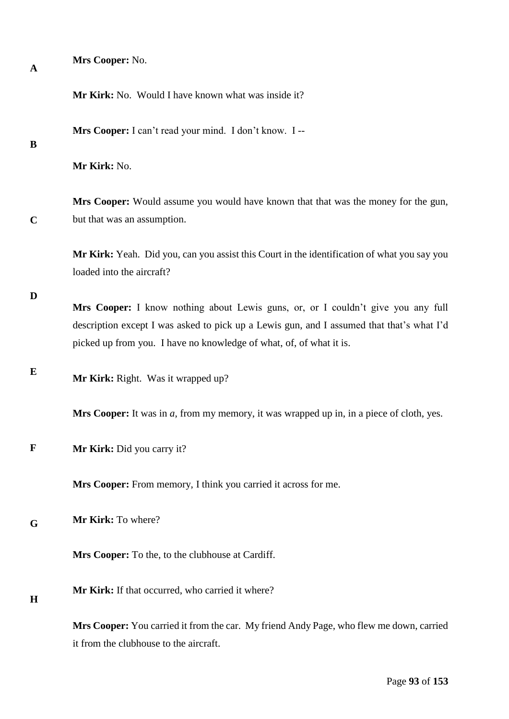| A           | Mrs Cooper: No.                                                                                                                                                                                                                                      |
|-------------|------------------------------------------------------------------------------------------------------------------------------------------------------------------------------------------------------------------------------------------------------|
|             | Mr Kirk: No. Would I have known what was inside it?                                                                                                                                                                                                  |
| B           | Mrs Cooper: I can't read your mind. I don't know. I --                                                                                                                                                                                               |
|             | Mr Kirk: No.                                                                                                                                                                                                                                         |
| $\mathbf C$ | Mrs Cooper: Would assume you would have known that that was the money for the gun,<br>but that was an assumption.                                                                                                                                    |
|             | Mr Kirk: Yeah. Did you, can you assist this Court in the identification of what you say you<br>loaded into the aircraft?                                                                                                                             |
| D           | Mrs Cooper: I know nothing about Lewis guns, or, or I couldn't give you any full<br>description except I was asked to pick up a Lewis gun, and I assumed that that's what I'd<br>picked up from you. I have no knowledge of what, of, of what it is. |
| E           | Mr Kirk: Right. Was it wrapped up?                                                                                                                                                                                                                   |
|             | Mrs Cooper: It was in a, from my memory, it was wrapped up in, in a piece of cloth, yes.                                                                                                                                                             |
| $\mathbf F$ | Mr Kirk: Did you carry it?                                                                                                                                                                                                                           |
|             | Mrs Cooper: From memory, I think you carried it across for me.                                                                                                                                                                                       |
| G           | Mr Kirk: To where?                                                                                                                                                                                                                                   |
|             | Mrs Cooper: To the, to the clubhouse at Cardiff.                                                                                                                                                                                                     |
| $\bf H$     | Mr Kirk: If that occurred, who carried it where?                                                                                                                                                                                                     |
|             | Mrs Cooper: You carried it from the car. My friend Andy Page, who flew me down, carried<br>it from the clubhouse to the aircraft.                                                                                                                    |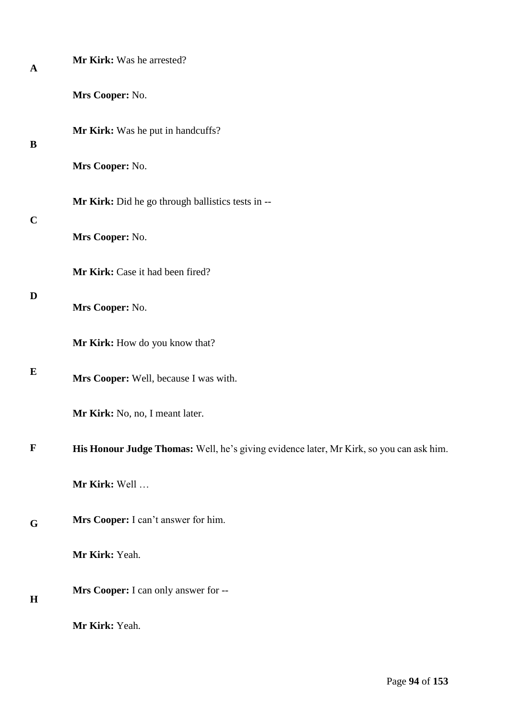| A           | Mr Kirk: Was he arrested?                                                               |
|-------------|-----------------------------------------------------------------------------------------|
|             | Mrs Cooper: No.                                                                         |
| B           | Mr Kirk: Was he put in handcuffs?                                                       |
|             | Mrs Cooper: No.                                                                         |
| $\mathbf C$ | Mr Kirk: Did he go through ballistics tests in --                                       |
|             | Mrs Cooper: No.                                                                         |
|             | Mr Kirk: Case it had been fired?                                                        |
| D           | Mrs Cooper: No.                                                                         |
|             | Mr Kirk: How do you know that?                                                          |
| E           | Mrs Cooper: Well, because I was with.                                                   |
|             | Mr Kirk: No, no, I meant later.                                                         |
| $\mathbf F$ | His Honour Judge Thomas: Well, he's giving evidence later, Mr Kirk, so you can ask him. |
|             | Mr Kirk: Well                                                                           |
| G           | Mrs Cooper: I can't answer for him.                                                     |
|             | Mr Kirk: Yeah.                                                                          |
| H           | Mrs Cooper: I can only answer for --                                                    |
|             | Mr Kirk: Yeah.                                                                          |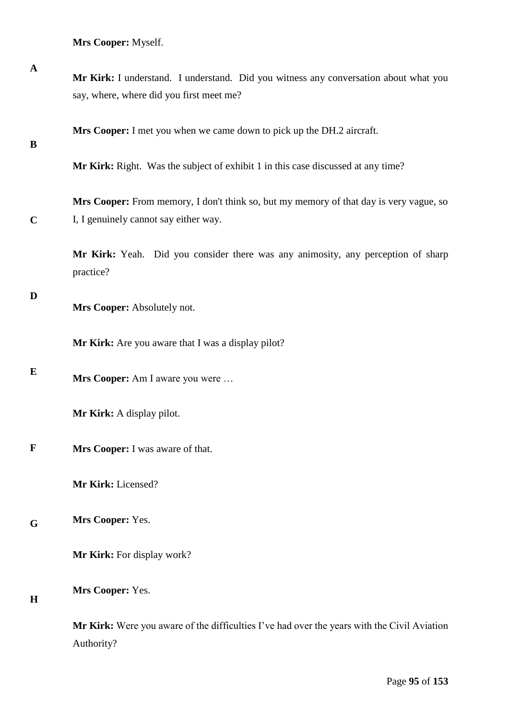**Mrs Cooper:** Myself.

| $\mathbf A$ | Mr Kirk: I understand. I understand. Did you witness any conversation about what you<br>say, where, where did you first meet me? |
|-------------|----------------------------------------------------------------------------------------------------------------------------------|
| B           | Mrs Cooper: I met you when we came down to pick up the DH.2 aircraft.                                                            |
|             | Mr Kirk: Right. Was the subject of exhibit 1 in this case discussed at any time?                                                 |
| $\mathbf C$ | Mrs Cooper: From memory, I don't think so, but my memory of that day is very vague, so<br>I, I genuinely cannot say either way.  |
|             | Mr Kirk: Yeah. Did you consider there was any animosity, any perception of sharp<br>practice?                                    |
| D           | Mrs Cooper: Absolutely not.                                                                                                      |
|             | Mr Kirk: Are you aware that I was a display pilot?                                                                               |
| E           | Mrs Cooper: Am I aware you were                                                                                                  |
|             | Mr Kirk: A display pilot.                                                                                                        |
| $\mathbf F$ | Mrs Cooper: I was aware of that.                                                                                                 |
|             | Mr Kirk: Licensed?                                                                                                               |
| G           | Mrs Cooper: Yes.                                                                                                                 |
|             | Mr Kirk: For display work?                                                                                                       |
| $\bf H$     | Mrs Cooper: Yes.                                                                                                                 |
|             | Mr Kirk: Were you aware of the difficulties I've had over the years with the Civil Aviation<br>Authority?                        |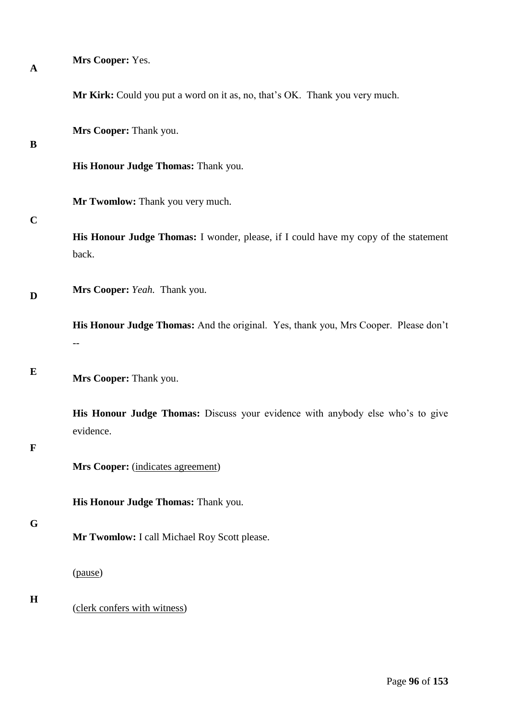| $\mathbf A$ | Mrs Cooper: Yes.                                                                             |
|-------------|----------------------------------------------------------------------------------------------|
|             | Mr Kirk: Could you put a word on it as, no, that's OK. Thank you very much.                  |
| B           | Mrs Cooper: Thank you.                                                                       |
|             | His Honour Judge Thomas: Thank you.                                                          |
| $\mathbf C$ | Mr Twomlow: Thank you very much.                                                             |
|             | His Honour Judge Thomas: I wonder, please, if I could have my copy of the statement<br>back. |
| D           | Mrs Cooper: Yeah. Thank you.                                                                 |
|             | His Honour Judge Thomas: And the original. Yes, thank you, Mrs Cooper. Please don't          |
| E           | Mrs Cooper: Thank you.                                                                       |
| $\mathbf F$ | His Honour Judge Thomas: Discuss your evidence with anybody else who's to give<br>evidence.  |
|             | Mrs Cooper: (indicates agreement)                                                            |
|             | His Honour Judge Thomas: Thank you.                                                          |
| G           | Mr Twomlow: I call Michael Roy Scott please.                                                 |
|             | (pause)                                                                                      |
| H           | (clerk confers with witness)                                                                 |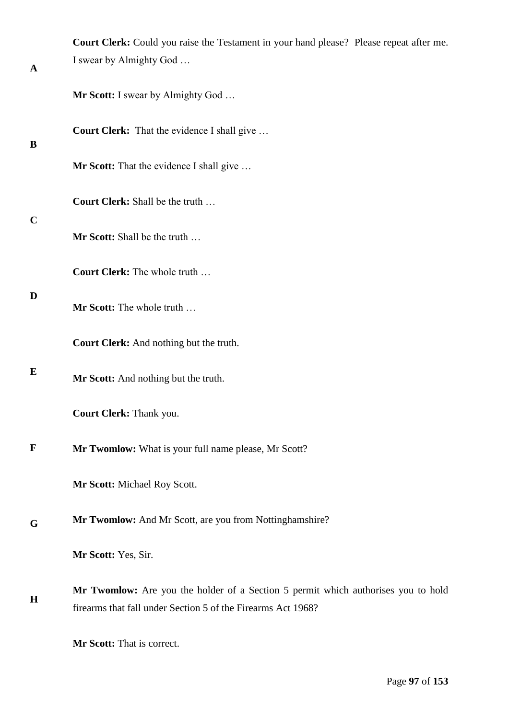|             | Court Clerk: Could you raise the Testament in your hand please? Please repeat after me.                                                           |
|-------------|---------------------------------------------------------------------------------------------------------------------------------------------------|
| A           | I swear by Almighty God                                                                                                                           |
|             | <b>Mr Scott:</b> I swear by Almighty God                                                                                                          |
| B           | Court Clerk: That the evidence I shall give                                                                                                       |
|             | Mr Scott: That the evidence I shall give                                                                                                          |
| $\mathbf C$ | Court Clerk: Shall be the truth                                                                                                                   |
|             | Mr Scott: Shall be the truth                                                                                                                      |
|             | Court Clerk: The whole truth                                                                                                                      |
| D           | Mr Scott: The whole truth                                                                                                                         |
|             | Court Clerk: And nothing but the truth.                                                                                                           |
| E           | Mr Scott: And nothing but the truth.                                                                                                              |
|             | <b>Court Clerk: Thank you.</b>                                                                                                                    |
| F           | Mr Twomlow: What is your full name please, Mr Scott?                                                                                              |
|             | Mr Scott: Michael Roy Scott.                                                                                                                      |
| G           | Mr Twomlow: And Mr Scott, are you from Nottinghamshire?<br>Mr Scott: Yes, Sir.                                                                    |
|             |                                                                                                                                                   |
| $\bf H$     | Mr Twomlow: Are you the holder of a Section 5 permit which authorises you to hold<br>firearms that fall under Section 5 of the Firearms Act 1968? |
|             | Mr Scott: That is correct.                                                                                                                        |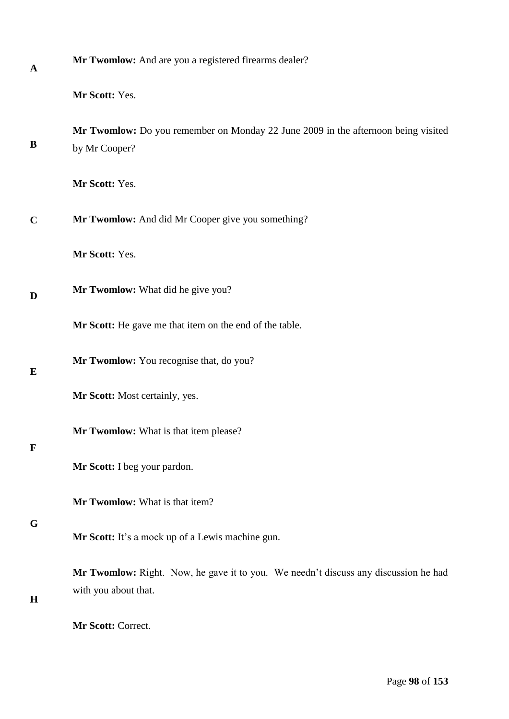| $\mathbf A$ | Mr Twomlow: And are you a registered firearms dealer?                                                       |
|-------------|-------------------------------------------------------------------------------------------------------------|
|             | Mr Scott: Yes.                                                                                              |
| B           | Mr Twomlow: Do you remember on Monday 22 June 2009 in the afternoon being visited<br>by Mr Cooper?          |
|             | Mr Scott: Yes.                                                                                              |
| $\mathbf C$ | Mr Twomlow: And did Mr Cooper give you something?                                                           |
|             | Mr Scott: Yes.                                                                                              |
| D           | Mr Twomlow: What did he give you?                                                                           |
|             | Mr Scott: He gave me that item on the end of the table.                                                     |
| E           | Mr Twomlow: You recognise that, do you?                                                                     |
|             | Mr Scott: Most certainly, yes.                                                                              |
| $\mathbf F$ | Mr Twomlow: What is that item please?                                                                       |
|             | Mr Scott: I beg your pardon.                                                                                |
| G           | Mr Twomlow: What is that item?                                                                              |
|             | Mr Scott: It's a mock up of a Lewis machine gun.                                                            |
| H           | Mr Twomlow: Right. Now, he gave it to you. We needn't discuss any discussion he had<br>with you about that. |
|             |                                                                                                             |

**Mr Scott:** Correct.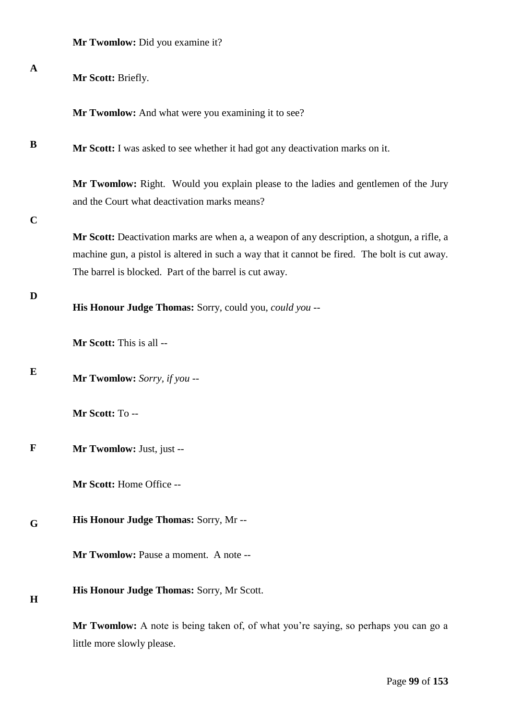|  |  |  |  |  | Mr Twomlow: Did you examine it? |  |
|--|--|--|--|--|---------------------------------|--|
|--|--|--|--|--|---------------------------------|--|

| $\mathbf A$ | Mr Scott: Briefly.                                                                                                                                                                                                                                     |
|-------------|--------------------------------------------------------------------------------------------------------------------------------------------------------------------------------------------------------------------------------------------------------|
|             | Mr Twomlow: And what were you examining it to see?                                                                                                                                                                                                     |
| B           | Mr Scott: I was asked to see whether it had got any deactivation marks on it.                                                                                                                                                                          |
| $\mathbf C$ | Mr Twomlow: Right. Would you explain please to the ladies and gentlemen of the Jury<br>and the Court what deactivation marks means?                                                                                                                    |
|             | Mr Scott: Deactivation marks are when a, a weapon of any description, a shotgun, a rifle, a<br>machine gun, a pistol is altered in such a way that it cannot be fired. The bolt is cut away.<br>The barrel is blocked. Part of the barrel is cut away. |
| D           | His Honour Judge Thomas: Sorry, could you, could you --                                                                                                                                                                                                |
|             | Mr Scott: This is all --                                                                                                                                                                                                                               |
| E           | Mr Twomlow: Sorry, if you --                                                                                                                                                                                                                           |
|             | Mr Scott: To --                                                                                                                                                                                                                                        |
| F           | Mr Twomlow: Just, just --                                                                                                                                                                                                                              |
|             | Mr Scott: Home Office --                                                                                                                                                                                                                               |
| G           | His Honour Judge Thomas: Sorry, Mr --                                                                                                                                                                                                                  |
|             | Mr Twomlow: Pause a moment. A note --                                                                                                                                                                                                                  |
| $\mathbf H$ | His Honour Judge Thomas: Sorry, Mr Scott.                                                                                                                                                                                                              |
|             | Mr Twomlow: A note is being taken of, of what you're saying, so perhaps you can go a<br>little more slowly please.                                                                                                                                     |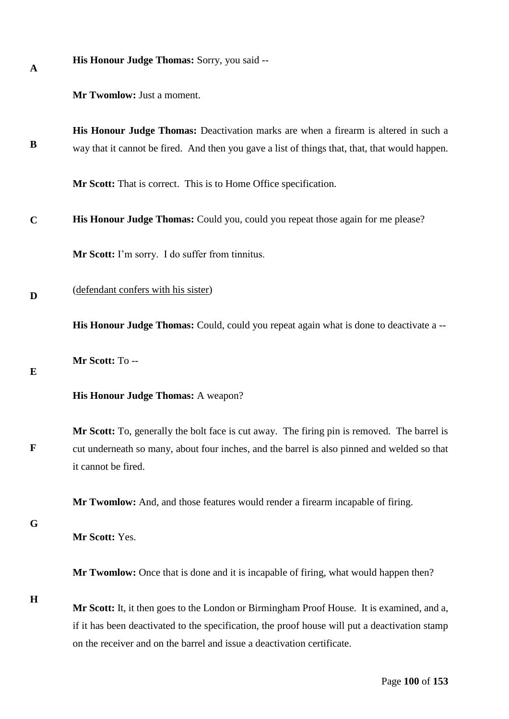|  |  |  |  |  | <b>His Honour Judge Thomas:</b> Sorry, you said -- |
|--|--|--|--|--|----------------------------------------------------|
|--|--|--|--|--|----------------------------------------------------|

**Mr Twomlow:** Just a moment.

**B His Honour Judge Thomas:** Deactivation marks are when a firearm is altered in such a way that it cannot be fired. And then you gave a list of things that, that, that would happen.

**Mr Scott:** That is correct. This is to Home Office specification.

**C His Honour Judge Thomas:** Could you, could you repeat those again for me please?

**Mr Scott:** I'm sorry. I do suffer from tinnitus.

**D** (defendant confers with his sister)

**His Honour Judge Thomas:** Could, could you repeat again what is done to deactivate a --

**Mr Scott:** To --

# **E**

**F**

**A**

## **His Honour Judge Thomas:** A weapon?

**Mr Scott:** To, generally the bolt face is cut away. The firing pin is removed. The barrel is cut underneath so many, about four inches, and the barrel is also pinned and welded so that it cannot be fired.

**Mr Twomlow:** And, and those features would render a firearm incapable of firing.

**G**

**Mr Scott:** Yes.

**Mr Twomlow:** Once that is done and it is incapable of firing, what would happen then?

**H**

**Mr Scott:** It, it then goes to the London or Birmingham Proof House. It is examined, and a, if it has been deactivated to the specification, the proof house will put a deactivation stamp on the receiver and on the barrel and issue a deactivation certificate.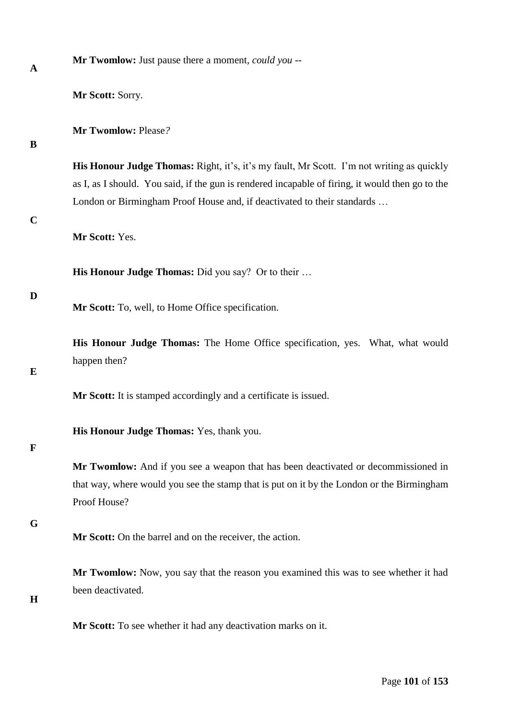| $\mathbf A$ | wound we same page incre a moment, comme                                                                                                                                                             |
|-------------|------------------------------------------------------------------------------------------------------------------------------------------------------------------------------------------------------|
|             | Mr Scott: Sorry.                                                                                                                                                                                     |
| B           | Mr Twomlow: Please?                                                                                                                                                                                  |
|             | <b>His Honour Judge Thomas:</b> Right, it's, it's my fault, Mr Scott. I'm not writing as quickly<br>as I, as I should. You said, if the gun is rendered incapable of firing, it would then go to the |
|             | London or Birmingham Proof House and, if deactivated to their standards                                                                                                                              |
| $\mathbf C$ | Mr Scott: Yes.                                                                                                                                                                                       |
|             | <b>His Honour Judge Thomas:</b> Did you say? Or to their                                                                                                                                             |
| D           | Mr Scott: To, well, to Home Office specification.                                                                                                                                                    |
| E           | His Honour Judge Thomas: The Home Office specification, yes. What, what would<br>happen then?                                                                                                        |
|             | Mr Scott: It is stamped accordingly and a certificate is issued.                                                                                                                                     |
|             | His Honour Judge Thomas: Yes, thank you.                                                                                                                                                             |
| $\mathbf F$ | Mr Twomlow: And if you see a weapon that has been deactivated or decommissioned in<br>that way, where would you see the stamp that is put on it by the London or the Birmingham<br>Proof House?      |
| G           | Mr Scott: On the barrel and on the receiver, the action.                                                                                                                                             |
| $\bf H$     | Mr Twomlow: Now, you say that the reason you examined this was to see whether it had<br>been deactivated.                                                                                            |

**Mr Twomlow:** Just pause there a moment*, could you* --

**Mr Scott:** To see whether it had any deactivation marks on it.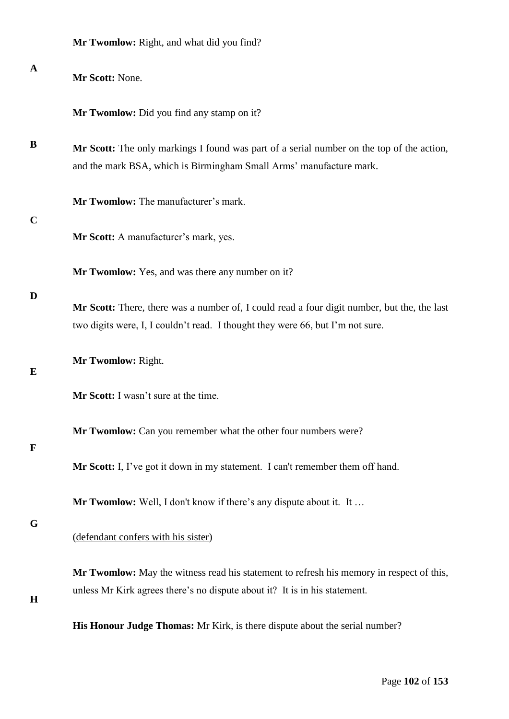|              | Mr Twomlow: Right, and what did you find?                                                                                                                                     |
|--------------|-------------------------------------------------------------------------------------------------------------------------------------------------------------------------------|
| $\mathbf{A}$ | Mr Scott: None.                                                                                                                                                               |
|              | Mr Twomlow: Did you find any stamp on it?                                                                                                                                     |
| B            | Mr Scott: The only markings I found was part of a serial number on the top of the action,<br>and the mark BSA, which is Birmingham Small Arms' manufacture mark.              |
| $\mathbf C$  | Mr Twomlow: The manufacturer's mark.                                                                                                                                          |
|              | Mr Scott: A manufacturer's mark, yes.                                                                                                                                         |
|              | Mr Twomlow: Yes, and was there any number on it?                                                                                                                              |
| D            | Mr Scott: There, there was a number of, I could read a four digit number, but the, the last<br>two digits were, I, I couldn't read. I thought they were 66, but I'm not sure. |
| E            | Mr Twomlow: Right.                                                                                                                                                            |
|              | Mr Scott: I wasn't sure at the time.                                                                                                                                          |
| $\mathbf F$  | Mr Twomlow: Can you remember what the other four numbers were?                                                                                                                |
|              | Mr Scott: I, I've got it down in my statement. I can't remember them off hand.                                                                                                |
|              | <b>Mr Twomlow:</b> Well, I don't know if there's any dispute about it. It                                                                                                     |
| G            | (defendant confers with his sister)                                                                                                                                           |
| H            | Mr Twomlow: May the witness read his statement to refresh his memory in respect of this,<br>unless Mr Kirk agrees there's no dispute about it? It is in his statement.        |
|              | His Honour Judge Thomas: Mr Kirk, is there dispute about the serial number?                                                                                                   |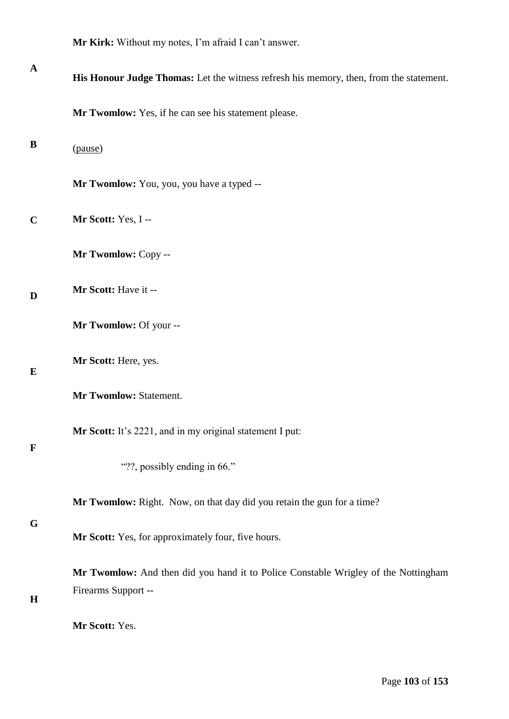**Mr Kirk:** Without my notes, I'm afraid I can't answer.

| $\mathbf A$ | His Honour Judge Thomas: Let the witness refresh his memory, then, from the statement.                    |
|-------------|-----------------------------------------------------------------------------------------------------------|
|             | Mr Twomlow: Yes, if he can see his statement please.                                                      |
| B           | (pause)                                                                                                   |
|             | Mr Twomlow: You, you, you have a typed --                                                                 |
| $\mathbf C$ | Mr Scott: Yes, I--                                                                                        |
|             | Mr Twomlow: Copy --                                                                                       |
| D           | Mr Scott: Have it --                                                                                      |
|             | Mr Twomlow: Of your --                                                                                    |
| E           | Mr Scott: Here, yes.                                                                                      |
|             | Mr Twomlow: Statement.                                                                                    |
| $\mathbf F$ | Mr Scott: It's 2221, and in my original statement I put:                                                  |
|             | "??, possibly ending in 66."                                                                              |
| G           | Mr Twomlow: Right. Now, on that day did you retain the gun for a time?                                    |
|             | Mr Scott: Yes, for approximately four, five hours.                                                        |
| H           | Mr Twomlow: And then did you hand it to Police Constable Wrigley of the Nottingham<br>Firearms Support -- |
|             | Mr Scott: Yes.                                                                                            |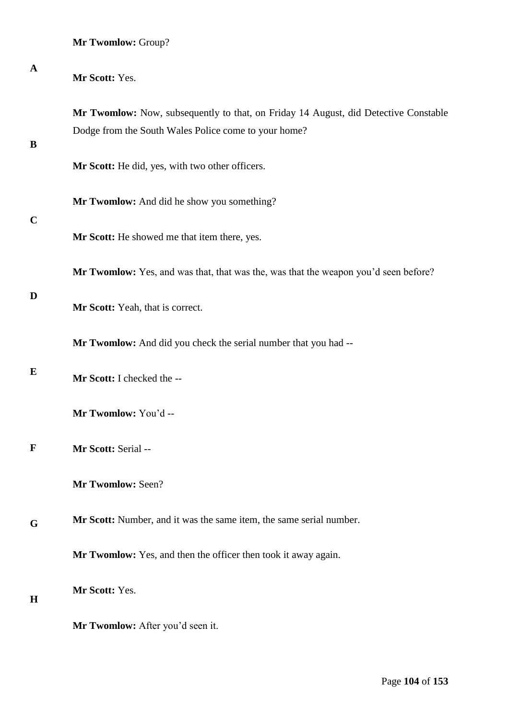| $\mathbf{A}$ | Mr Scott: Yes.                                                                                                                              |
|--------------|---------------------------------------------------------------------------------------------------------------------------------------------|
| B            | Mr Twomlow: Now, subsequently to that, on Friday 14 August, did Detective Constable<br>Dodge from the South Wales Police come to your home? |
|              | Mr Scott: He did, yes, with two other officers.                                                                                             |
| $\mathbf C$  | Mr Twomlow: And did he show you something?                                                                                                  |
|              | Mr Scott: He showed me that item there, yes.                                                                                                |
| D            | Mr Twomlow: Yes, and was that, that was the, was that the weapon you'd seen before?                                                         |
|              | Mr Scott: Yeah, that is correct.                                                                                                            |
|              | Mr Twomlow: And did you check the serial number that you had --                                                                             |
| E            | Mr Scott: I checked the --                                                                                                                  |
|              | Mr Twomlow: You'd --                                                                                                                        |
| $\mathbf F$  | Mr Scott: Serial --                                                                                                                         |
|              | Mr Twomlow: Seen?                                                                                                                           |
| G            | Mr Scott: Number, and it was the same item, the same serial number.                                                                         |
|              | Mr Twomlow: Yes, and then the officer then took it away again.                                                                              |
| $\bf H$      | Mr Scott: Yes.                                                                                                                              |
|              | Mr Twomlow: After you'd seen it.                                                                                                            |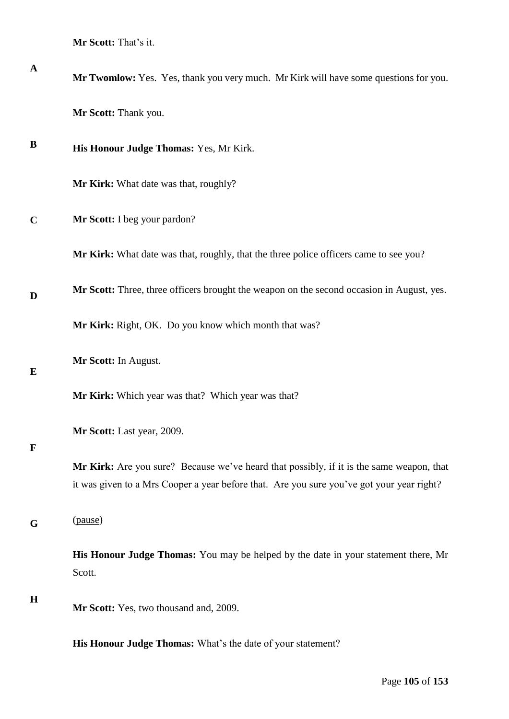**Mr Scott:** That's it.

| $\mathbf{A}$ | Mr Twomlow: Yes. Yes, thank you very much. Mr Kirk will have some questions for you.                                                                                                  |
|--------------|---------------------------------------------------------------------------------------------------------------------------------------------------------------------------------------|
|              | Mr Scott: Thank you.                                                                                                                                                                  |
| B            | His Honour Judge Thomas: Yes, Mr Kirk.                                                                                                                                                |
|              | Mr Kirk: What date was that, roughly?                                                                                                                                                 |
| $\mathbf C$  | Mr Scott: I beg your pardon?                                                                                                                                                          |
|              | Mr Kirk: What date was that, roughly, that the three police officers came to see you?                                                                                                 |
| D            | Mr Scott: Three, three officers brought the weapon on the second occasion in August, yes.                                                                                             |
|              | Mr Kirk: Right, OK. Do you know which month that was?                                                                                                                                 |
| E            | Mr Scott: In August.                                                                                                                                                                  |
|              | Mr Kirk: Which year was that? Which year was that?                                                                                                                                    |
|              | Mr Scott: Last year, 2009.                                                                                                                                                            |
| $\mathbf{F}$ | Mr Kirk: Are you sure? Because we've heard that possibly, if it is the same weapon, that<br>it was given to a Mrs Cooper a year before that. Are you sure you've got your year right? |
| G            | (pause)                                                                                                                                                                               |
|              | His Honour Judge Thomas: You may be helped by the date in your statement there, Mr<br>Scott.                                                                                          |
| H            | Mr Scott: Yes, two thousand and, 2009.                                                                                                                                                |
|              | His Honour Judge Thomas: What's the date of your statement?                                                                                                                           |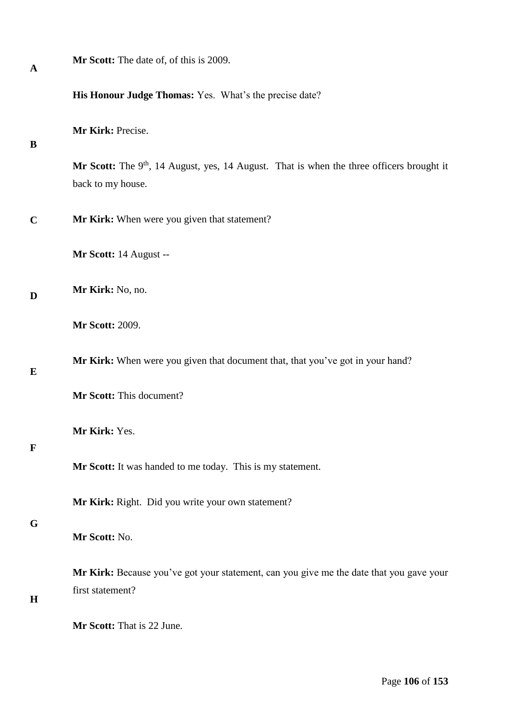| $\mathbf A$ | Mr Scott: The date of, of this is 2009.                                                                          |
|-------------|------------------------------------------------------------------------------------------------------------------|
|             | His Honour Judge Thomas: Yes. What's the precise date?                                                           |
| B           | Mr Kirk: Precise.                                                                                                |
|             | Mr Scott: The $9th$ , 14 August, yes, 14 August. That is when the three officers brought it<br>back to my house. |
| $\mathbf C$ | Mr Kirk: When were you given that statement?                                                                     |
|             | Mr Scott: 14 August --                                                                                           |
| D           | Mr Kirk: No, no.                                                                                                 |
|             | <b>Mr Scott: 2009.</b>                                                                                           |
| $\bf{E}$    | Mr Kirk: When were you given that document that, that you've got in your hand?                                   |
|             | Mr Scott: This document?                                                                                         |
| $\mathbf F$ | Mr Kirk: Yes.                                                                                                    |
|             | Mr Scott: It was handed to me today. This is my statement.                                                       |
| G           | Mr Kirk: Right. Did you write your own statement?                                                                |
|             | Mr Scott: No.                                                                                                    |
| H           | Mr Kirk: Because you've got your statement, can you give me the date that you gave your<br>first statement?      |
|             | Mr Scott: That is 22 June.                                                                                       |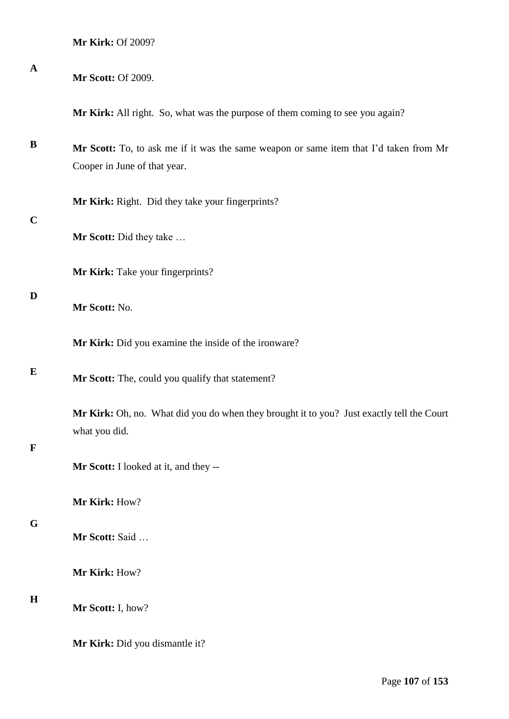**Mr Kirk:** Of 2009?

| $\mathbf A$ | <b>Mr Scott: Of 2009.</b>                                                                                             |
|-------------|-----------------------------------------------------------------------------------------------------------------------|
|             | Mr Kirk: All right. So, what was the purpose of them coming to see you again?                                         |
| B           | Mr Scott: To, to ask me if it was the same weapon or same item that I'd taken from Mr<br>Cooper in June of that year. |
|             | Mr Kirk: Right. Did they take your fingerprints?                                                                      |
| $\mathbf C$ | Mr Scott: Did they take                                                                                               |
|             | Mr Kirk: Take your fingerprints?                                                                                      |
| D           | Mr Scott: No.                                                                                                         |
|             | Mr Kirk: Did you examine the inside of the ironware?                                                                  |
| E           | Mr Scott: The, could you qualify that statement?                                                                      |
| $\mathbf F$ | Mr Kirk: Oh, no. What did you do when they brought it to you? Just exactly tell the Court<br>what you did.            |
|             | Mr Scott: I looked at it, and they --                                                                                 |
|             | Mr Kirk: How?                                                                                                         |
| G           | Mr Scott: Said                                                                                                        |
|             | Mr Kirk: How?                                                                                                         |
| $\mathbf H$ | Mr Scott: I, how?                                                                                                     |
|             | Mr Kirk: Did you dismantle it?                                                                                        |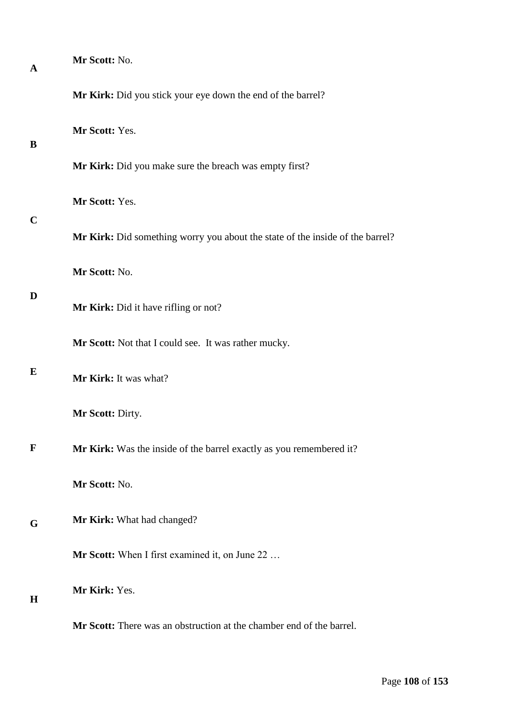| A           | Mr Scott: No.                                                                 |
|-------------|-------------------------------------------------------------------------------|
|             | Mr Kirk: Did you stick your eye down the end of the barrel?                   |
| B           | Mr Scott: Yes.                                                                |
|             | Mr Kirk: Did you make sure the breach was empty first?                        |
|             | Mr Scott: Yes.                                                                |
| $\mathbf C$ | Mr Kirk: Did something worry you about the state of the inside of the barrel? |
|             | Mr Scott: No.                                                                 |
| D           | Mr Kirk: Did it have rifling or not?                                          |
|             | Mr Scott: Not that I could see. It was rather mucky.                          |
| E           | Mr Kirk: It was what?                                                         |
|             | Mr Scott: Dirty.                                                              |
| $\mathbf F$ | Mr Kirk: Was the inside of the barrel exactly as you remembered it?           |
|             | Mr Scott: No.                                                                 |
| G           | Mr Kirk: What had changed?                                                    |
|             | Mr Scott: When I first examined it, on June 22                                |
| $\bf H$     | Mr Kirk: Yes.                                                                 |
|             | Mr Scott: There was an obstruction at the chamber end of the barrel.          |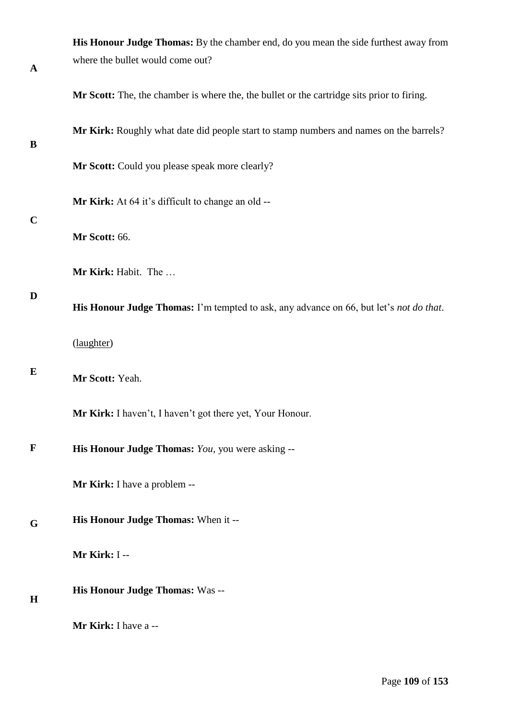|              | His Honour Judge Thomas: By the chamber end, do you mean the side furthest away from       |
|--------------|--------------------------------------------------------------------------------------------|
| $\mathbf{A}$ | where the bullet would come out?                                                           |
|              | Mr Scott: The, the chamber is where the, the bullet or the cartridge sits prior to firing. |
| B            | Mr Kirk: Roughly what date did people start to stamp numbers and names on the barrels?     |
|              | Mr Scott: Could you please speak more clearly?                                             |
| $\mathbf C$  | Mr Kirk: At 64 it's difficult to change an old --                                          |
|              | Mr Scott: 66.                                                                              |
|              | Mr Kirk: Habit. The                                                                        |
| D            | His Honour Judge Thomas: I'm tempted to ask, any advance on 66, but let's not do that.     |
|              | (laughter)                                                                                 |
| E            | Mr Scott: Yeah.                                                                            |
|              | Mr Kirk: I haven't, I haven't got there yet, Your Honour.                                  |
| F            | His Honour Judge Thomas: You, you were asking --                                           |
|              | <b>Mr Kirk:</b> I have a problem --                                                        |
| G            | His Honour Judge Thomas: When it --                                                        |
|              | Mr Kirk: I --                                                                              |
| H            | His Honour Judge Thomas: Was --                                                            |
|              | Mr Kirk: I have a --                                                                       |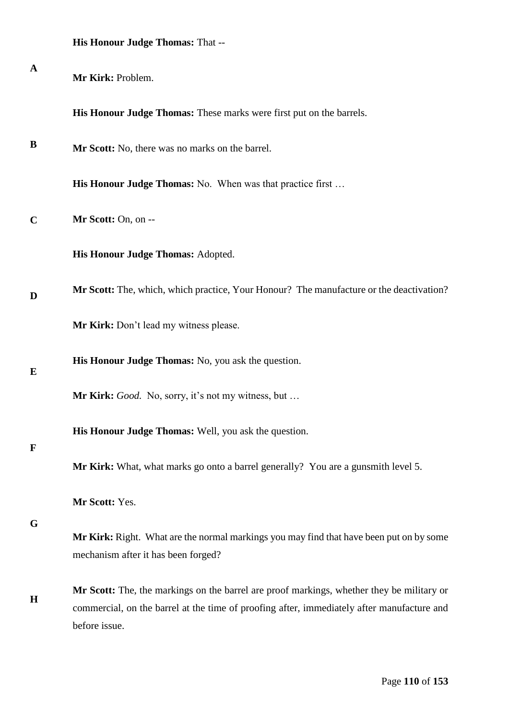|  |  |  | <b>His Honour Judge Thomas: That --</b> |  |
|--|--|--|-----------------------------------------|--|
|--|--|--|-----------------------------------------|--|

| $\mathbf{A}$ | Mr Kirk: Problem.                                                                                                                                                                       |
|--------------|-----------------------------------------------------------------------------------------------------------------------------------------------------------------------------------------|
|              | His Honour Judge Thomas: These marks were first put on the barrels.                                                                                                                     |
| B            | Mr Scott: No, there was no marks on the barrel.                                                                                                                                         |
|              | <b>His Honour Judge Thomas:</b> No. When was that practice first                                                                                                                        |
| $\mathbf C$  | Mr Scott: On, on --                                                                                                                                                                     |
|              | His Honour Judge Thomas: Adopted.                                                                                                                                                       |
| D            | Mr Scott: The, which, which practice, Your Honour? The manufacture or the deactivation?                                                                                                 |
|              | Mr Kirk: Don't lead my witness please.                                                                                                                                                  |
| E            | His Honour Judge Thomas: No, you ask the question.                                                                                                                                      |
|              | Mr Kirk: Good. No, sorry, it's not my witness, but                                                                                                                                      |
| $\mathbf F$  | His Honour Judge Thomas: Well, you ask the question.                                                                                                                                    |
|              | Mr Kirk: What, what marks go onto a barrel generally? You are a gunsmith level 5.                                                                                                       |
| G            | Mr Scott: Yes.                                                                                                                                                                          |
|              | Mr Kirk: Right. What are the normal markings you may find that have been put on by some<br>mechanism after it has been forged?                                                          |
| $\mathbf H$  | Mr Scott: The, the markings on the barrel are proof markings, whether they be military or<br>commercial, on the barrel at the time of proofing after, immediately after manufacture and |
|              | before issue.                                                                                                                                                                           |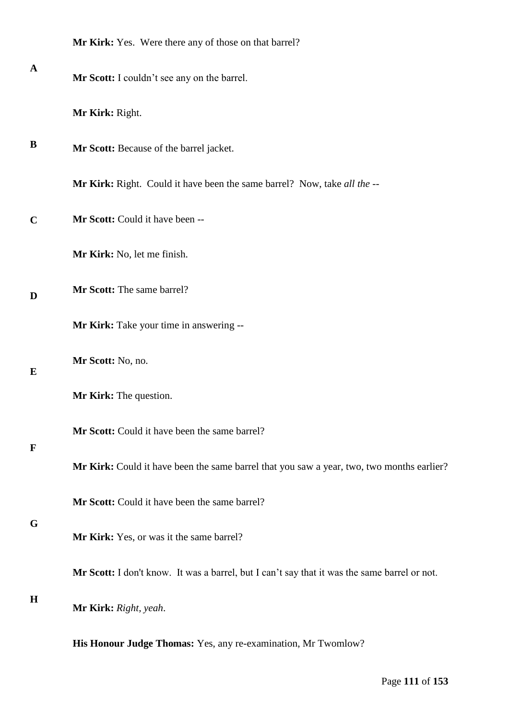| <b>Mr Kirk:</b> Yes. Were there any of those on that barrel? |
|--------------------------------------------------------------|
|                                                              |

**Mr Scott:** I couldn't see any on the barrel.

**Mr Kirk:** Right.

**B Mr Scott:** Because of the barrel jacket.

**Mr Kirk:** Right. Could it have been the same barrel? Now, take *all the* --

**C Mr Scott:** Could it have been --

**Mr Kirk:** No, let me finish.

**D Mr Scott:** The same barrel?

**Mr Kirk:** Take your time in answering --

**Mr Scott:** No, no.

**Mr Kirk:** The question.

**Mr Scott:** Could it have been the same barrel?

# **F**

**E**

**A**

**Mr Kirk:** Could it have been the same barrel that you saw a year, two, two months earlier?

**Mr Scott:** Could it have been the same barrel?

# **G**

**Mr Kirk:** Yes, or was it the same barrel?

**Mr Scott:** I don't know. It was a barrel, but I can't say that it was the same barrel or not.

## **H**

**Mr Kirk:** *Right, yeah*.

**His Honour Judge Thomas:** Yes, any re-examination, Mr Twomlow?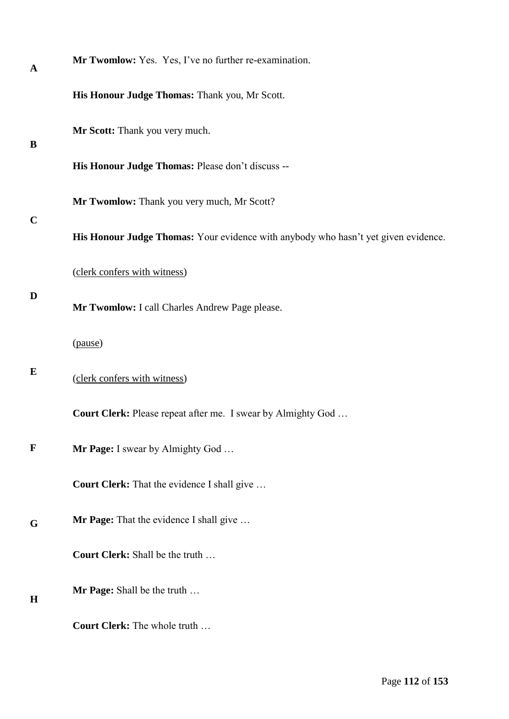| A           | Mr Twomlow: Yes. Yes, I've no further re-examination.                              |
|-------------|------------------------------------------------------------------------------------|
|             | His Honour Judge Thomas: Thank you, Mr Scott.                                      |
| B           | Mr Scott: Thank you very much.                                                     |
|             | His Honour Judge Thomas: Please don't discuss --                                   |
|             | Mr Twomlow: Thank you very much, Mr Scott?                                         |
| $\mathbf C$ | His Honour Judge Thomas: Your evidence with anybody who hasn't yet given evidence. |
|             | (clerk confers with witness)                                                       |
| D           | Mr Twomlow: I call Charles Andrew Page please.                                     |
|             | (pause)                                                                            |
| E           | (clerk confers with witness)                                                       |
|             | <b>Court Clerk:</b> Please repeat after me. I swear by Almighty God                |
| $\mathbf F$ | Mr Page: I swear by Almighty God                                                   |
|             | <b>Court Clerk:</b> That the evidence I shall give                                 |
| G           | Mr Page: That the evidence I shall give                                            |
|             | Court Clerk: Shall be the truth                                                    |
| H           | Mr Page: Shall be the truth                                                        |
|             | <b>Court Clerk:</b> The whole truth                                                |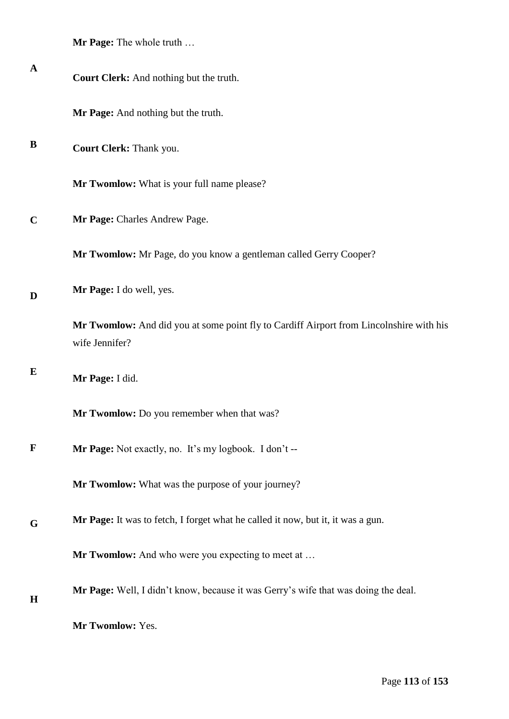| A           | Court Clerk: And nothing but the truth.                                                                   |
|-------------|-----------------------------------------------------------------------------------------------------------|
|             | Mr Page: And nothing but the truth.                                                                       |
| B           | Court Clerk: Thank you.                                                                                   |
|             | Mr Twomlow: What is your full name please?                                                                |
| $\mathbf C$ | Mr Page: Charles Andrew Page.                                                                             |
|             | Mr Twomlow: Mr Page, do you know a gentleman called Gerry Cooper?                                         |
| D           | Mr Page: I do well, yes.                                                                                  |
|             | Mr Twomlow: And did you at some point fly to Cardiff Airport from Lincolnshire with his<br>wife Jennifer? |
| E           | Mr Page: I did.                                                                                           |
|             | Mr Twomlow: Do you remember when that was?                                                                |
| $\mathbf F$ | Mr Page: Not exactly, no. It's my logbook. I don't --                                                     |
|             | Mr Twomlow: What was the purpose of your journey?                                                         |
| G           | Mr Page: It was to fetch, I forget what he called it now, but it, it was a gun.                           |
|             | <b>Mr Twomlow:</b> And who were you expecting to meet at                                                  |
| $\mathbf H$ | Mr Page: Well, I didn't know, because it was Gerry's wife that was doing the deal.                        |
|             | Mr Twomlow: Yes.                                                                                          |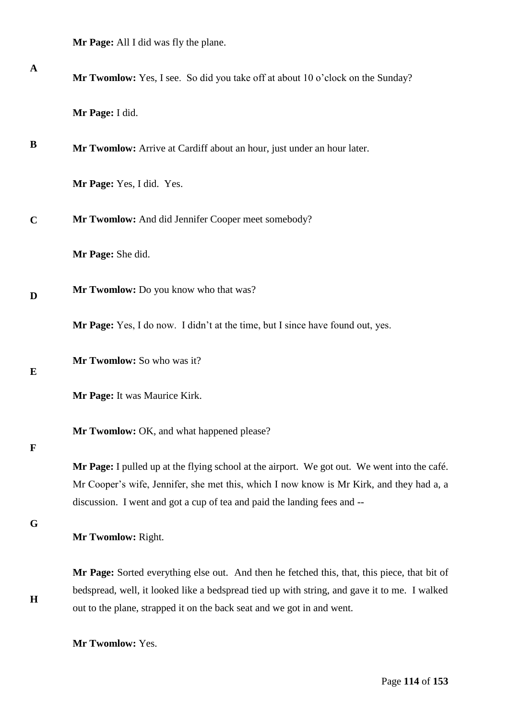**Mr Page:** All I did was fly the plane.

| $\mathbf A$  | Mr Twomlow: Yes, I see. So did you take off at about 10 o'clock on the Sunday?                                                                                                                                                                                         |
|--------------|------------------------------------------------------------------------------------------------------------------------------------------------------------------------------------------------------------------------------------------------------------------------|
|              | Mr Page: I did.                                                                                                                                                                                                                                                        |
| B            | Mr Twomlow: Arrive at Cardiff about an hour, just under an hour later.                                                                                                                                                                                                 |
|              | Mr Page: Yes, I did. Yes.                                                                                                                                                                                                                                              |
| $\mathbf C$  | Mr Twomlow: And did Jennifer Cooper meet somebody?                                                                                                                                                                                                                     |
|              | Mr Page: She did.                                                                                                                                                                                                                                                      |
| D            | Mr Twomlow: Do you know who that was?                                                                                                                                                                                                                                  |
|              | Mr Page: Yes, I do now. I didn't at the time, but I since have found out, yes.                                                                                                                                                                                         |
| E            | Mr Twomlow: So who was it?                                                                                                                                                                                                                                             |
|              | Mr Page: It was Maurice Kirk.                                                                                                                                                                                                                                          |
| $\mathbf{F}$ | Mr Twomlow: OK, and what happened please?                                                                                                                                                                                                                              |
|              | Mr Page: I pulled up at the flying school at the airport. We got out. We went into the café.<br>Mr Cooper's wife, Jennifer, she met this, which I now know is Mr Kirk, and they had a, a<br>discussion. I went and got a cup of tea and paid the landing fees and --   |
| G            | Mr Twomlow: Right.                                                                                                                                                                                                                                                     |
| $\mathbf H$  | Mr Page: Sorted everything else out. And then he fetched this, that, this piece, that bit of<br>bedspread, well, it looked like a bedspread tied up with string, and gave it to me. I walked<br>out to the plane, strapped it on the back seat and we got in and went. |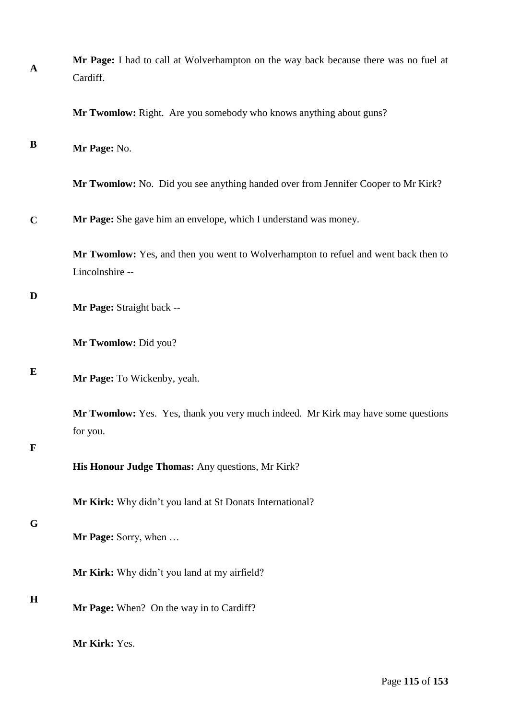| $\mathbf A$ | Mr Page: I had to call at Wolverhampton on the way back because there was no fuel at<br>Cardiff.       |
|-------------|--------------------------------------------------------------------------------------------------------|
|             | Mr Twomlow: Right. Are you somebody who knows anything about guns?                                     |
| B           | Mr Page: No.                                                                                           |
|             | Mr Twomlow: No. Did you see anything handed over from Jennifer Cooper to Mr Kirk?                      |
| $\mathbf C$ | Mr Page: She gave him an envelope, which I understand was money.                                       |
|             | Mr Twomlow: Yes, and then you went to Wolverhampton to refuel and went back then to<br>Lincolnshire -- |
| D           | Mr Page: Straight back --                                                                              |
|             | Mr Twomlow: Did you?                                                                                   |
| E           | Mr Page: To Wickenby, yeah.                                                                            |
| $\mathbf F$ | Mr Twomlow: Yes. Yes, thank you very much indeed. Mr Kirk may have some questions<br>for you.          |
|             | His Honour Judge Thomas: Any questions, Mr Kirk?                                                       |
|             | Mr Kirk: Why didn't you land at St Donats International?                                               |
| G           | Mr Page: Sorry, when                                                                                   |
|             | Mr Kirk: Why didn't you land at my airfield?                                                           |
| $\mathbf H$ | Mr Page: When? On the way in to Cardiff?                                                               |
|             | Mr Kirk: Yes.                                                                                          |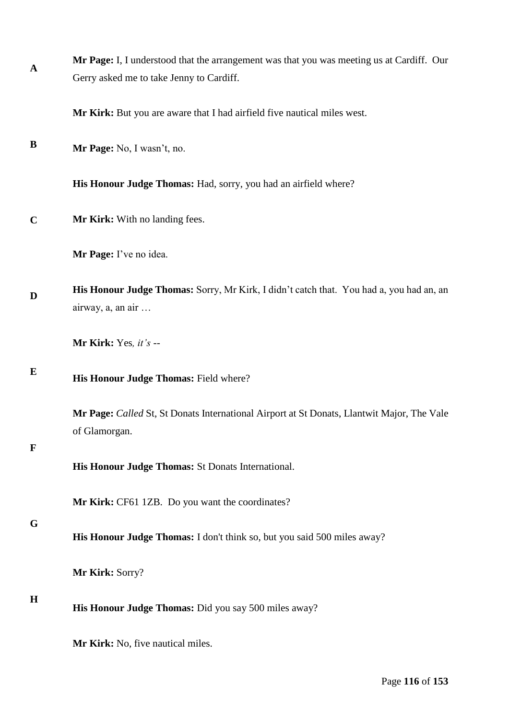| $\mathbf A$ | Mr Page: I, I understood that the arrangement was that you was meeting us at Cardiff. Our                    |
|-------------|--------------------------------------------------------------------------------------------------------------|
|             | Gerry asked me to take Jenny to Cardiff.                                                                     |
|             | Mr Kirk: But you are aware that I had airfield five nautical miles west.                                     |
| B           | Mr Page: No, I wasn't, no.                                                                                   |
|             | His Honour Judge Thomas: Had, sorry, you had an airfield where?                                              |
| $\mathbf C$ | Mr Kirk: With no landing fees.                                                                               |
|             | Mr Page: I've no idea.                                                                                       |
| D           | His Honour Judge Thomas: Sorry, Mr Kirk, I didn't catch that. You had a, you had an, an<br>airway, a, an air |
|             | Mr Kirk: Yes, it's --                                                                                        |
| E           | His Honour Judge Thomas: Field where?                                                                        |
| $\mathbf F$ | Mr Page: Called St, St Donats International Airport at St Donats, Llantwit Major, The Vale<br>of Glamorgan.  |
|             | His Honour Judge Thomas: St Donats International.                                                            |
|             | Mr Kirk: CF61 1ZB. Do you want the coordinates?                                                              |
| G           | His Honour Judge Thomas: I don't think so, but you said 500 miles away?                                      |
|             | Mr Kirk: Sorry?                                                                                              |
| H           | His Honour Judge Thomas: Did you say 500 miles away?                                                         |
|             | Mr Kirk: No, five nautical miles.                                                                            |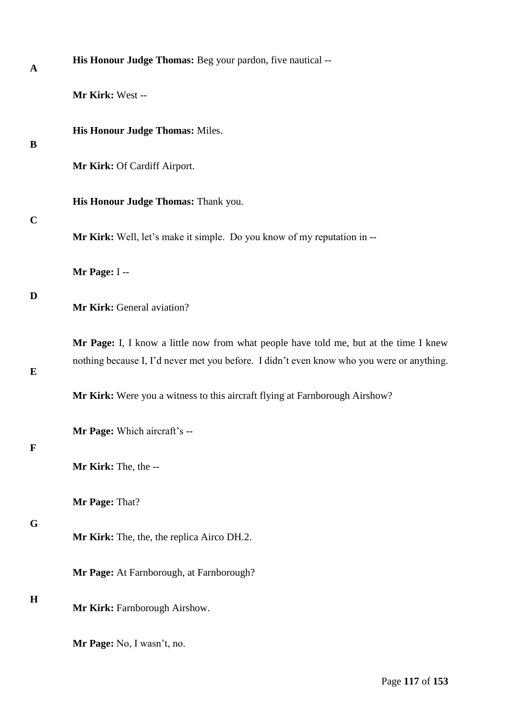| $\mathbf A$ | His Honour Judge Thomas: Beg your pardon, five nautical --                                                                                                                         |
|-------------|------------------------------------------------------------------------------------------------------------------------------------------------------------------------------------|
|             | Mr Kirk: West --                                                                                                                                                                   |
| B           | His Honour Judge Thomas: Miles.                                                                                                                                                    |
|             | Mr Kirk: Of Cardiff Airport.                                                                                                                                                       |
| $\mathbf C$ | His Honour Judge Thomas: Thank you.                                                                                                                                                |
|             | Mr Kirk: Well, let's make it simple. Do you know of my reputation in --                                                                                                            |
|             | Mr Page: I--                                                                                                                                                                       |
| D           | Mr Kirk: General aviation?                                                                                                                                                         |
| E           | Mr Page: I, I know a little now from what people have told me, but at the time I knew<br>nothing because I, I'd never met you before. I didn't even know who you were or anything. |
|             | Mr Kirk: Were you a witness to this aircraft flying at Farnborough Airshow?                                                                                                        |
| $\mathbf F$ | Mr Page: Which aircraft's --                                                                                                                                                       |
|             | Mr Kirk: The, the --                                                                                                                                                               |
|             | Mr Page: That?                                                                                                                                                                     |
| G           | Mr Kirk: The, the, the replica Airco DH.2.                                                                                                                                         |
|             | Mr Page: At Farnborough, at Farnborough?                                                                                                                                           |
| $\mathbf H$ | Mr Kirk: Farnborough Airshow.                                                                                                                                                      |
|             | Mr Page: No, I wasn't, no.                                                                                                                                                         |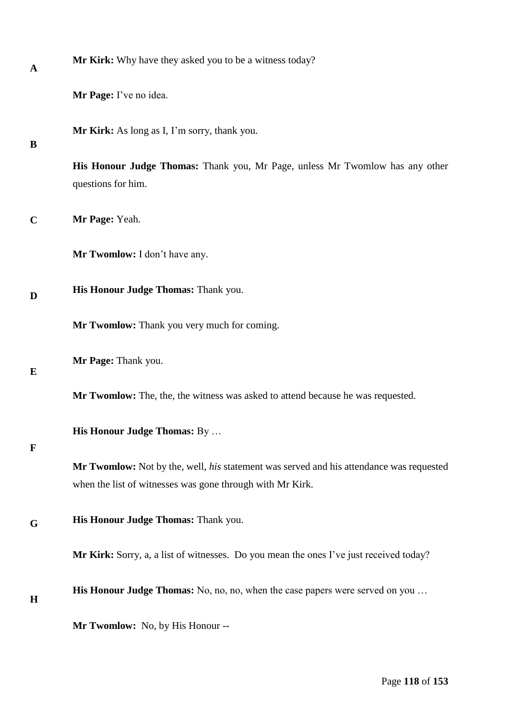| A           | Mr Kirk: Why have they asked you to be a witness today?                                                                                              |
|-------------|------------------------------------------------------------------------------------------------------------------------------------------------------|
|             | Mr Page: I've no idea.                                                                                                                               |
| B           | Mr Kirk: As long as I, I'm sorry, thank you.                                                                                                         |
|             | His Honour Judge Thomas: Thank you, Mr Page, unless Mr Twomlow has any other<br>questions for him.                                                   |
| $\mathbf C$ | Mr Page: Yeah.                                                                                                                                       |
|             | Mr Twomlow: I don't have any.                                                                                                                        |
| D           | His Honour Judge Thomas: Thank you.                                                                                                                  |
|             | Mr Twomlow: Thank you very much for coming.                                                                                                          |
| E           | Mr Page: Thank you.                                                                                                                                  |
|             | Mr Twomlow: The, the, the witness was asked to attend because he was requested.                                                                      |
| $\mathbf F$ | His Honour Judge Thomas: By                                                                                                                          |
|             | Mr Twomlow: Not by the, well, his statement was served and his attendance was requested<br>when the list of witnesses was gone through with Mr Kirk. |
| G           | His Honour Judge Thomas: Thank you.                                                                                                                  |
|             | Mr Kirk: Sorry, a, a list of witnesses. Do you mean the ones I've just received today?                                                               |
| $\mathbf H$ | <b>His Honour Judge Thomas:</b> No, no, no, when the case papers were served on you                                                                  |
|             | Mr Twomlow: No, by His Honour --                                                                                                                     |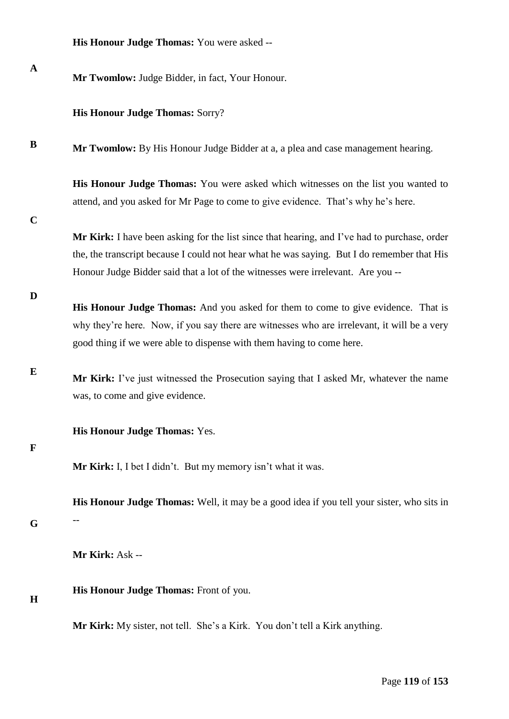| <b>His Honour Judge Thomas:</b> You were asked -- |  |
|---------------------------------------------------|--|
|---------------------------------------------------|--|

| $\mathbf A$ | Mr Twomlow: Judge Bidder, in fact, Your Honour.                                                                                                                                                                                                                                 |
|-------------|---------------------------------------------------------------------------------------------------------------------------------------------------------------------------------------------------------------------------------------------------------------------------------|
|             | <b>His Honour Judge Thomas: Sorry?</b>                                                                                                                                                                                                                                          |
| B           | Mr Twomlow: By His Honour Judge Bidder at a, a plea and case management hearing.                                                                                                                                                                                                |
| $\mathbf C$ | <b>His Honour Judge Thomas:</b> You were asked which witnesses on the list you wanted to<br>attend, and you asked for Mr Page to come to give evidence. That's why he's here.                                                                                                   |
|             | Mr Kirk: I have been asking for the list since that hearing, and I've had to purchase, order<br>the, the transcript because I could not hear what he was saying. But I do remember that His<br>Honour Judge Bidder said that a lot of the witnesses were irrelevant. Are you -- |
| D           | His Honour Judge Thomas: And you asked for them to come to give evidence. That is<br>why they're here. Now, if you say there are witnesses who are irrelevant, it will be a very<br>good thing if we were able to dispense with them having to come here.                       |
| E           | Mr Kirk: I've just witnessed the Prosecution saying that I asked Mr, whatever the name<br>was, to come and give evidence.                                                                                                                                                       |
| $\mathbf F$ | His Honour Judge Thomas: Yes.                                                                                                                                                                                                                                                   |
|             | Mr Kirk: I, I bet I didn't. But my memory isn't what it was.                                                                                                                                                                                                                    |
| G           | His Honour Judge Thomas: Well, it may be a good idea if you tell your sister, who sits in                                                                                                                                                                                       |
|             | Mr Kirk: Ask --                                                                                                                                                                                                                                                                 |
| H           | His Honour Judge Thomas: Front of you.                                                                                                                                                                                                                                          |
|             | Mr Kirk: My sister, not tell. She's a Kirk. You don't tell a Kirk anything.                                                                                                                                                                                                     |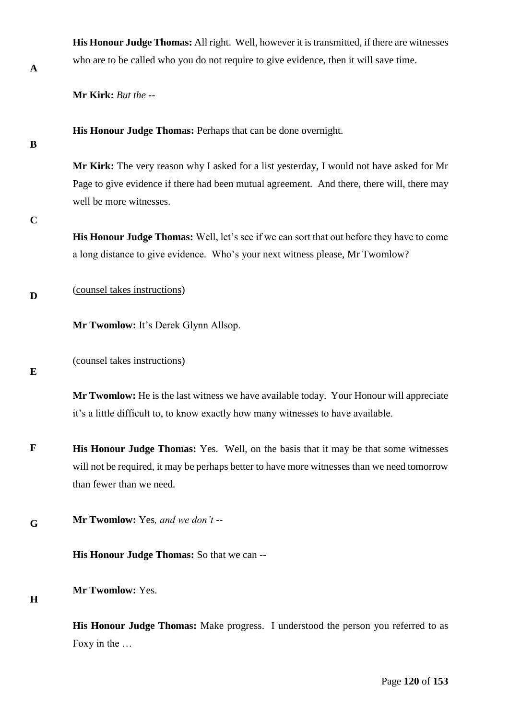| A | who are to     |
|---|----------------|
|   | M. L. I. P. L. |

**His Honour Judge Thomas:** All right. Well, however it is transmitted, if there are witnesses be called who you do not require to give evidence, then it will save time.

**Mr Kirk:** *But the --* 

**His Honour Judge Thomas:** Perhaps that can be done overnight.

**B**

**Mr Kirk:** The very reason why I asked for a list yesterday, I would not have asked for Mr Page to give evidence if there had been mutual agreement. And there, there will, there may well be more witnesses.

**C**

**His Honour Judge Thomas:** Well, let's see if we can sort that out before they have to come a long distance to give evidence. Who's your next witness please, Mr Twomlow?

**D** (counsel takes instructions)

**Mr Twomlow:** It's Derek Glynn Allsop.

**E**

(counsel takes instructions)

**Mr Twomlow:** He is the last witness we have available today. Your Honour will appreciate it's a little difficult to, to know exactly how many witnesses to have available.

- **F His Honour Judge Thomas:** Yes. Well, on the basis that it may be that some witnesses will not be required, it may be perhaps better to have more witnesses than we need tomorrow than fewer than we need.
- **G Mr Twomlow:** Yes*, and we don't* --

**His Honour Judge Thomas:** So that we can --

**H**

**Mr Twomlow:** Yes.

**His Honour Judge Thomas:** Make progress. I understood the person you referred to as Foxy in the …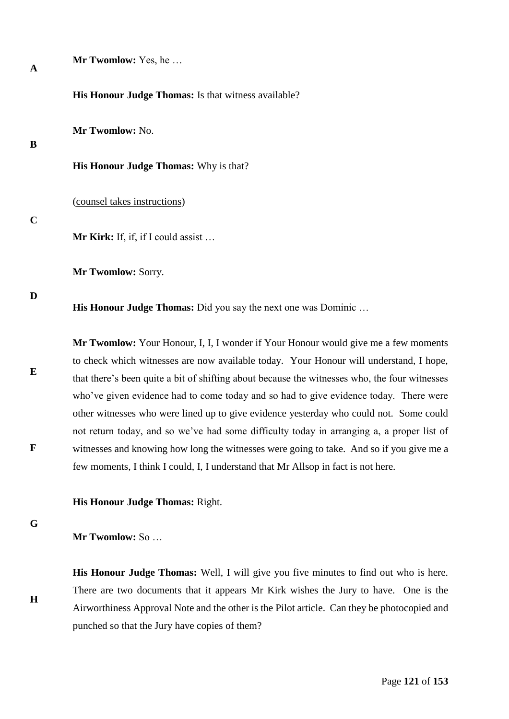| $\mathbf A$      |                                                                                                                                                                                                                                                                                                                                                                                                                                                                                                                                                                                                                                                           |
|------------------|-----------------------------------------------------------------------------------------------------------------------------------------------------------------------------------------------------------------------------------------------------------------------------------------------------------------------------------------------------------------------------------------------------------------------------------------------------------------------------------------------------------------------------------------------------------------------------------------------------------------------------------------------------------|
|                  | His Honour Judge Thomas: Is that witness available?                                                                                                                                                                                                                                                                                                                                                                                                                                                                                                                                                                                                       |
| B                | Mr Twomlow: No.                                                                                                                                                                                                                                                                                                                                                                                                                                                                                                                                                                                                                                           |
|                  | <b>His Honour Judge Thomas:</b> Why is that?                                                                                                                                                                                                                                                                                                                                                                                                                                                                                                                                                                                                              |
|                  | (counsel takes instructions)                                                                                                                                                                                                                                                                                                                                                                                                                                                                                                                                                                                                                              |
| $\mathbf C$      | Mr Kirk: If, if, if I could assist                                                                                                                                                                                                                                                                                                                                                                                                                                                                                                                                                                                                                        |
|                  | Mr Twomlow: Sorry.                                                                                                                                                                                                                                                                                                                                                                                                                                                                                                                                                                                                                                        |
| D                | <b>His Honour Judge Thomas:</b> Did you say the next one was Dominic                                                                                                                                                                                                                                                                                                                                                                                                                                                                                                                                                                                      |
| E<br>$\mathbf F$ | Mr Twomlow: Your Honour, I, I, I wonder if Your Honour would give me a few moments<br>to check which witnesses are now available today. Your Honour will understand, I hope,<br>that there's been quite a bit of shifting about because the witnesses who, the four witnesses<br>who've given evidence had to come today and so had to give evidence today. There were<br>other witnesses who were lined up to give evidence yesterday who could not. Some could<br>not return today, and so we've had some difficulty today in arranging a, a proper list of<br>witnesses and knowing how long the witnesses were going to take. And so if you give me a |
|                  | few moments, I think I could, I, I understand that Mr Allsop in fact is not here.                                                                                                                                                                                                                                                                                                                                                                                                                                                                                                                                                                         |
|                  | His Honour Judge Thomas: Right.                                                                                                                                                                                                                                                                                                                                                                                                                                                                                                                                                                                                                           |

**G**

**H**

**Mr Twomlow:** So …

**Mr Twomlow:** Yes, he …

**His Honour Judge Thomas:** Well, I will give you five minutes to find out who is here. There are two documents that it appears Mr Kirk wishes the Jury to have. One is the Airworthiness Approval Note and the other is the Pilot article. Can they be photocopied and punched so that the Jury have copies of them?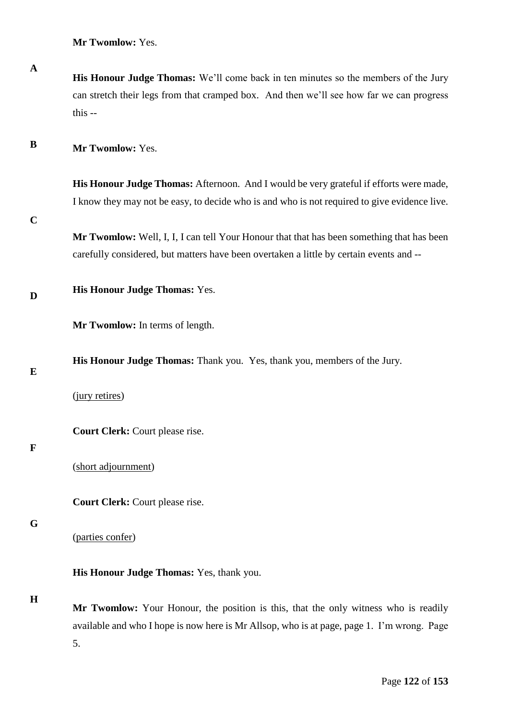**Mr Twomlow:** Yes.

**His Honour Judge Thomas:** We'll come back in ten minutes so the members of the Jury can stretch their legs from that cramped box. And then we'll see how far we can progress this --

**B Mr Twomlow:** Yes.

> **His Honour Judge Thomas:** Afternoon. And I would be very grateful if efforts were made, I know they may not be easy, to decide who is and who is not required to give evidence live.

**C**

**A**

**Mr Twomlow:** Well, I, I, I can tell Your Honour that that has been something that has been carefully considered, but matters have been overtaken a little by certain events and --

**D His Honour Judge Thomas:** Yes.

**Mr Twomlow:** In terms of length.

**His Honour Judge Thomas:** Thank you. Yes, thank you, members of the Jury.

**E**

(jury retires)

**Court Clerk:** Court please rise.

#### **F**

(short adjournment)

**Court Clerk:** Court please rise.

#### **G**

(parties confer)

**His Honour Judge Thomas:** Yes, thank you.

#### **H**

**Mr Twomlow:** Your Honour, the position is this, that the only witness who is readily available and who I hope is now here is Mr Allsop, who is at page, page 1. I'm wrong. Page 5.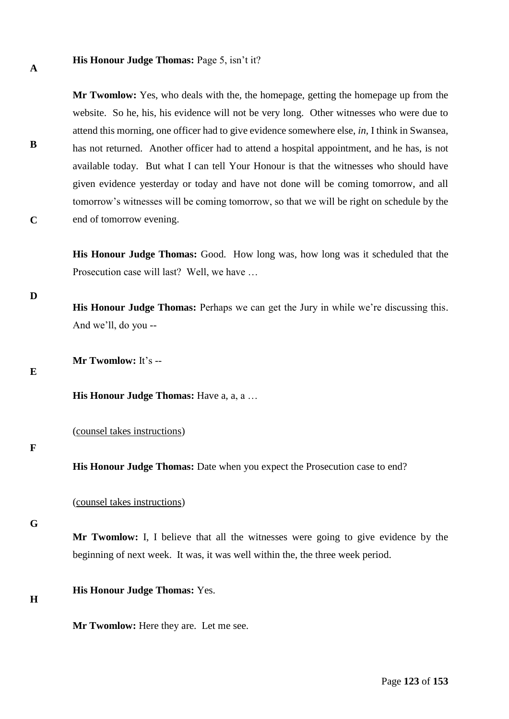#### **His Honour Judge Thomas:** Page 5, isn't it?

**Mr Twomlow:** Yes, who deals with the, the homepage, getting the homepage up from the website. So he, his, his evidence will not be very long. Other witnesses who were due to attend this morning, one officer had to give evidence somewhere else, *in,* I think in Swansea, has not returned. Another officer had to attend a hospital appointment, and he has, is not available today. But what I can tell Your Honour is that the witnesses who should have given evidence yesterday or today and have not done will be coming tomorrow, and all tomorrow's witnesses will be coming tomorrow, so that we will be right on schedule by the end of tomorrow evening.

**His Honour Judge Thomas:** Good. How long was, how long was it scheduled that the Prosecution case will last? Well, we have …

**His Honour Judge Thomas:** Perhaps we can get the Jury in while we're discussing this. And we'll, do you --

**Mr Twomlow:** It's --

**E**

**A**

**B**

**C**

**D**

**His Honour Judge Thomas:** Have a, a, a …

(counsel takes instructions)

#### **F**

**His Honour Judge Thomas:** Date when you expect the Prosecution case to end?

(counsel takes instructions)

**G**

**Mr Twomlow:** I, I believe that all the witnesses were going to give evidence by the beginning of next week. It was, it was well within the, the three week period.

**His Honour Judge Thomas:** Yes.

**H**

**Mr Twomlow:** Here they are. Let me see.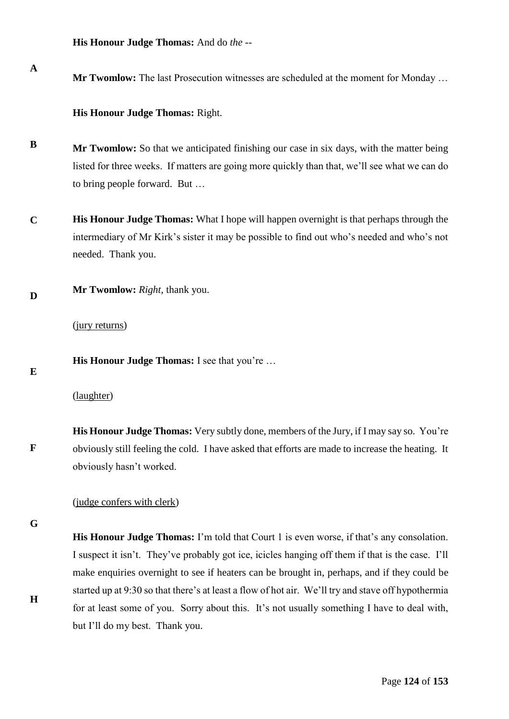**His Honour Judge Thomas:** And do *the* --

**Mr Twomlow:** The last Prosecution witnesses are scheduled at the moment for Monday …

**His Honour Judge Thomas:** Right.

- **B Mr Twomlow:** So that we anticipated finishing our case in six days, with the matter being listed for three weeks. If matters are going more quickly than that, we'll see what we can do to bring people forward. But …
- **C His Honour Judge Thomas:** What I hope will happen overnight is that perhaps through the intermediary of Mr Kirk's sister it may be possible to find out who's needed and who's not needed. Thank you.
- **D Mr Twomlow:** *Right,* thank you.

(jury returns)

**His Honour Judge Thomas:** I see that you're …

(laughter)

**F His Honour Judge Thomas:** Very subtly done, members of the Jury, if I may say so. You're obviously still feeling the cold. I have asked that efforts are made to increase the heating. It obviously hasn't worked.

## (judge confers with clerk)

**G**

**H**

**E**

**A**

**His Honour Judge Thomas:** I'm told that Court 1 is even worse, if that's any consolation. I suspect it isn't. They've probably got ice, icicles hanging off them if that is the case. I'll make enquiries overnight to see if heaters can be brought in, perhaps, and if they could be started up at 9:30 so that there's at least a flow of hot air. We'll try and stave off hypothermia for at least some of you. Sorry about this. It's not usually something I have to deal with, but I'll do my best. Thank you.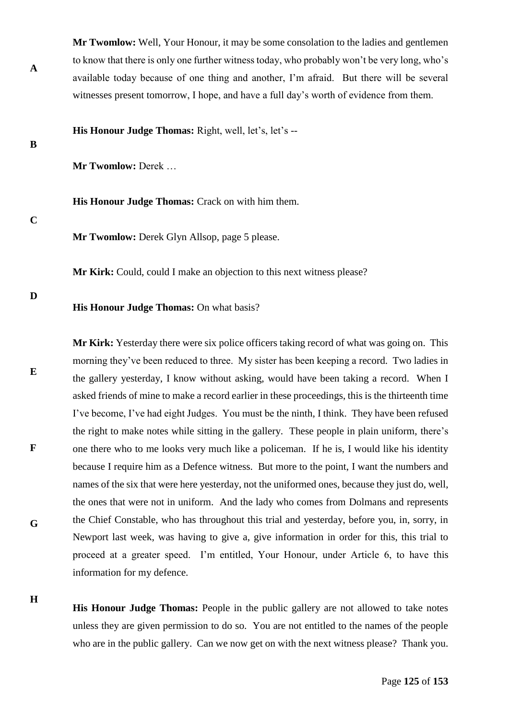**Mr Twomlow:** Well, Your Honour, it may be some consolation to the ladies and gentlemen to know that there is only one further witness today, who probably won't be very long, who's available today because of one thing and another, I'm afraid. But there will be several witnesses present tomorrow, I hope, and have a full day's worth of evidence from them.

**His Honour Judge Thomas:** Right, well, let's, let's --

**B**

**A**

**Mr Twomlow:** Derek …

**His Honour Judge Thomas:** Crack on with him them.

**C**

**Mr Twomlow:** Derek Glyn Allsop, page 5 please.

**Mr Kirk:** Could, could I make an objection to this next witness please?

**D**

**E**

**F**

### **His Honour Judge Thomas:** On what basis?

**Mr Kirk:** Yesterday there were six police officers taking record of what was going on. This morning they've been reduced to three. My sister has been keeping a record. Two ladies in the gallery yesterday, I know without asking, would have been taking a record. When I asked friends of mine to make a record earlier in these proceedings, this is the thirteenth time I've become, I've had eight Judges. You must be the ninth, I think. They have been refused the right to make notes while sitting in the gallery. These people in plain uniform, there's one there who to me looks very much like a policeman. If he is, I would like his identity because I require him as a Defence witness. But more to the point, I want the numbers and names of the six that were here yesterday, not the uniformed ones, because they just do, well, the ones that were not in uniform. And the lady who comes from Dolmans and represents the Chief Constable, who has throughout this trial and yesterday, before you, in, sorry, in Newport last week, was having to give a, give information in order for this, this trial to proceed at a greater speed. I'm entitled, Your Honour, under Article 6, to have this information for my defence.

**H**

**G**

**His Honour Judge Thomas:** People in the public gallery are not allowed to take notes unless they are given permission to do so. You are not entitled to the names of the people who are in the public gallery. Can we now get on with the next witness please? Thank you.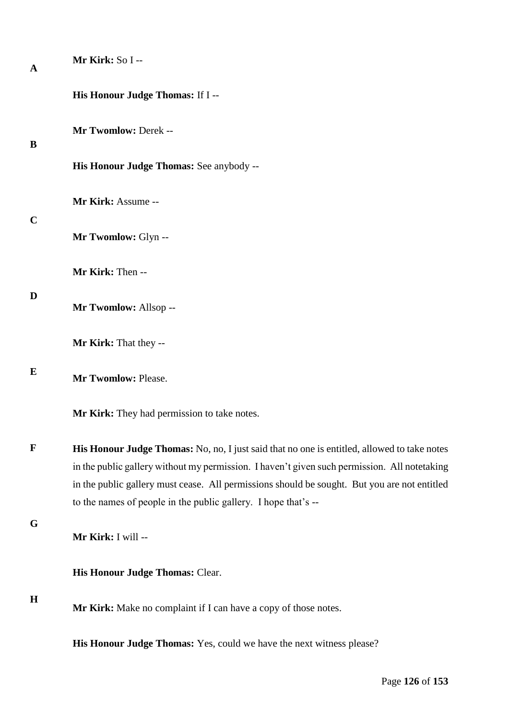| A           | Mr Kirk: So I --                                                                                                                                                                            |
|-------------|---------------------------------------------------------------------------------------------------------------------------------------------------------------------------------------------|
|             | His Honour Judge Thomas: If I --                                                                                                                                                            |
| B           | Mr Twomlow: Derek --                                                                                                                                                                        |
|             | His Honour Judge Thomas: See anybody --                                                                                                                                                     |
| $\mathbf C$ | Mr Kirk: Assume --                                                                                                                                                                          |
|             | Mr Twomlow: Glyn --                                                                                                                                                                         |
|             | Mr Kirk: Then --                                                                                                                                                                            |
| D           | Mr Twomlow: Allsop --                                                                                                                                                                       |
|             | Mr Kirk: That they --                                                                                                                                                                       |
| E           | Mr Twomlow: Please.                                                                                                                                                                         |
|             | Mr Kirk: They had permission to take notes.                                                                                                                                                 |
| $\mathbf F$ | His Honour Judge Thomas: No, no, I just said that no one is entitled, allowed to take notes<br>in the public gallery without my permission. I haven't given such permission. All notetaking |
|             | in the public gallery must cease. All permissions should be sought. But you are not entitled<br>to the names of people in the public gallery. I hope that's --                              |
| G           |                                                                                                                                                                                             |
|             | Mr Kirk: I will --                                                                                                                                                                          |
|             | His Honour Judge Thomas: Clear.                                                                                                                                                             |
| $\mathbf H$ | Mr Kirk: Make no complaint if I can have a copy of those notes.                                                                                                                             |
|             | His Honour Judge Thomas: Yes, could we have the next witness please?                                                                                                                        |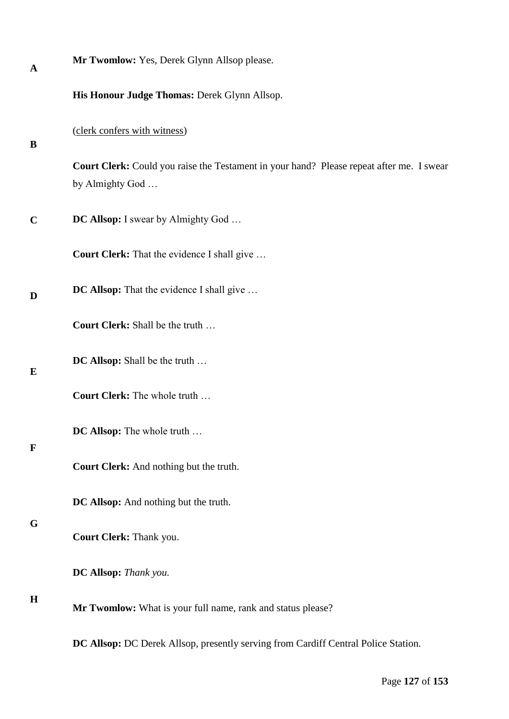| $\mathbf A$ | Mr Twomlow: Yes, Derek Glynn Allsop please.                                                                 |
|-------------|-------------------------------------------------------------------------------------------------------------|
|             | His Honour Judge Thomas: Derek Glynn Allsop.                                                                |
| B           | (clerk confers with witness)                                                                                |
|             | Court Clerk: Could you raise the Testament in your hand? Please repeat after me. I swear<br>by Almighty God |
| $\mathbf C$ | <b>DC Allsop:</b> I swear by Almighty God                                                                   |
|             | Court Clerk: That the evidence I shall give                                                                 |
| D           | DC Allsop: That the evidence I shall give                                                                   |
|             | Court Clerk: Shall be the truth                                                                             |
| E           | <b>DC Allsop:</b> Shall be the truth                                                                        |
|             | Court Clerk: The whole truth                                                                                |
| $\mathbf F$ | DC Allsop: The whole truth                                                                                  |
|             | Court Clerk: And nothing but the truth.                                                                     |
|             | DC Allsop: And nothing but the truth.                                                                       |
| G           | Court Clerk: Thank you.                                                                                     |
|             | DC Allsop: Thank you.                                                                                       |
| $\mathbf H$ | Mr Twomlow: What is your full name, rank and status please?                                                 |
|             | DC Allsop: DC Derek Allsop, presently serving from Cardiff Central Police Station.                          |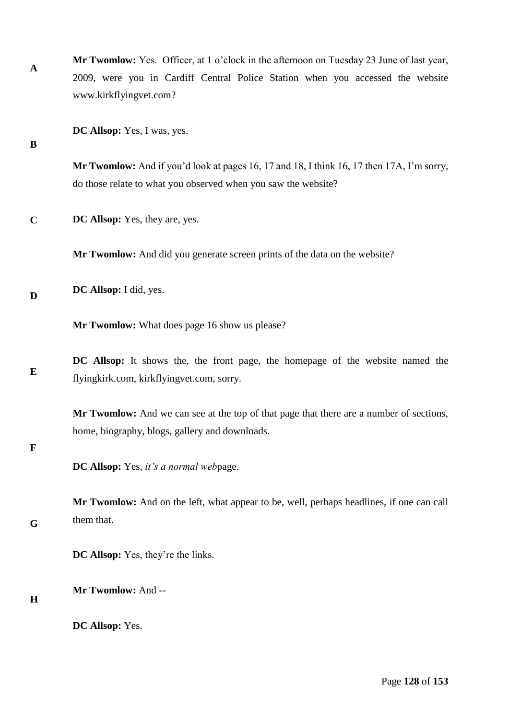| $\mathbf A$ | <b>Mr Twomlow:</b> Yes. Officer, at 1 o'clock in the afternoon on Tuesday 23 June of last year, |
|-------------|-------------------------------------------------------------------------------------------------|
|             | 2009, were you in Cardiff Central Police Station when you accessed the website                  |
|             | www.kirkflyingvet.com?                                                                          |

**DC Allsop:** Yes, I was, yes.

**B**

**Mr Twomlow:** And if you'd look at pages 16, 17 and 18, I think 16, 17 then 17A, I'm sorry, do those relate to what you observed when you saw the website?

**C DC Allsop:** Yes, they are, yes.

**Mr Twomlow:** And did you generate screen prints of the data on the website?

**D DC Allsop:** I did, yes.

**Mr Twomlow:** What does page 16 show us please?

**E DC Allsop:** It shows the, the front page, the homepage of the website named the flyingkirk.com, kirkflyingvet.com, sorry.

**Mr Twomlow:** And we can see at the top of that page that there are a number of sections, home, biography, blogs, gallery and downloads.

# **F**

**G Mr Twomlow:** And on the left, what appear to be, well, perhaps headlines, if one can call them that.

**DC Allsop:** Yes, they're the links.

**Mr Twomlow:** And --

**H**

**DC Allsop:** Yes.

**DC Allsop:** Yes, *it's a normal web*page.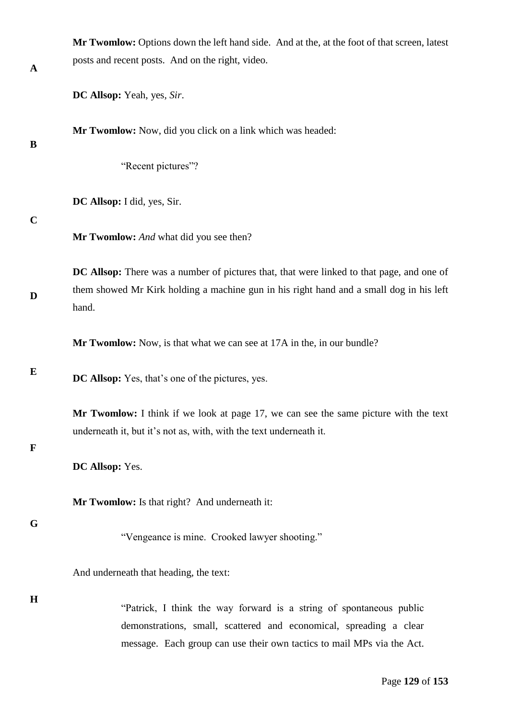| $\mathbf A$ | Mr Twomlow: Options down the left hand side. And at the, at the foot of that screen, latest<br>posts and recent posts. And on the right, video.                                                                     |
|-------------|---------------------------------------------------------------------------------------------------------------------------------------------------------------------------------------------------------------------|
|             | DC Allsop: Yeah, yes, Sir.                                                                                                                                                                                          |
| B           | Mr Twomlow: Now, did you click on a link which was headed:                                                                                                                                                          |
|             | "Recent pictures"?                                                                                                                                                                                                  |
| $\mathbf C$ | DC Allsop: I did, yes, Sir.                                                                                                                                                                                         |
|             | Mr Twomlow: And what did you see then?                                                                                                                                                                              |
| D           | DC Allsop: There was a number of pictures that, that were linked to that page, and one of<br>them showed Mr Kirk holding a machine gun in his right hand and a small dog in his left<br>hand.                       |
|             | Mr Twomlow: Now, is that what we can see at 17A in the, in our bundle?                                                                                                                                              |
| E           | <b>DC Allsop:</b> Yes, that's one of the pictures, yes.                                                                                                                                                             |
| $\mathbf F$ | Mr Twomlow: I think if we look at page 17, we can see the same picture with the text<br>underneath it, but it's not as, with, with the text underneath it.                                                          |
|             | DC Allsop: Yes.                                                                                                                                                                                                     |
|             | Mr Twomlow: Is that right? And underneath it:                                                                                                                                                                       |
| G           | "Vengeance is mine. Crooked lawyer shooting."                                                                                                                                                                       |
|             | And underneath that heading, the text:                                                                                                                                                                              |
| $\mathbf H$ | "Patrick, I think the way forward is a string of spontaneous public<br>demonstrations, small, scattered and economical, spreading a clear<br>message. Each group can use their own tactics to mail MPs via the Act. |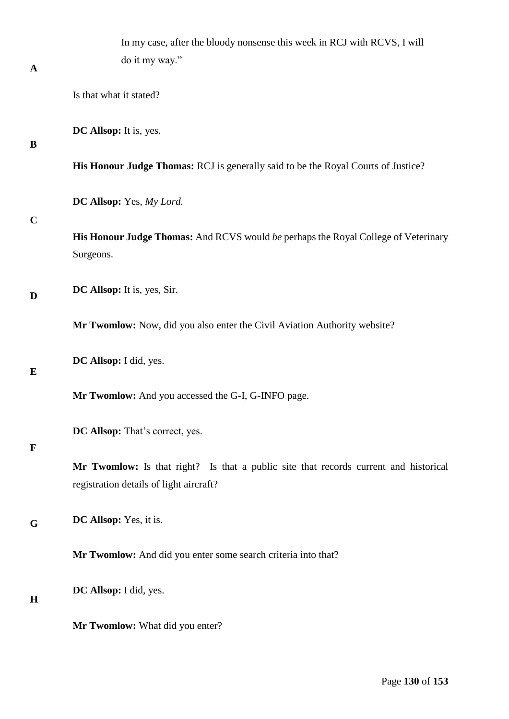|              | In my case, after the bloody nonsense this week in RCJ with RCVS, I will                                                        |
|--------------|---------------------------------------------------------------------------------------------------------------------------------|
| $\mathbf{A}$ | do it my way."                                                                                                                  |
|              | Is that what it stated?                                                                                                         |
| B            | DC Allsop: It is, yes.                                                                                                          |
|              | His Honour Judge Thomas: RCJ is generally said to be the Royal Courts of Justice?                                               |
| $\mathbf C$  | DC Allsop: Yes, My Lord.                                                                                                        |
|              | His Honour Judge Thomas: And RCVS would be perhaps the Royal College of Veterinary<br>Surgeons.                                 |
| D            | DC Allsop: It is, yes, Sir.                                                                                                     |
|              | Mr Twomlow: Now, did you also enter the Civil Aviation Authority website?                                                       |
| E            | DC Allsop: I did, yes.                                                                                                          |
|              | Mr Twomlow: And you accessed the G-I, G-INFO page.                                                                              |
| $\mathbf F$  | DC Allsop: That's correct, yes.                                                                                                 |
|              | Mr Twomlow: Is that right? Is that a public site that records current and historical<br>registration details of light aircraft? |
| G            | DC Allsop: Yes, it is.                                                                                                          |
|              | Mr Twomlow: And did you enter some search criteria into that?                                                                   |
| H            | DC Allsop: I did, yes.                                                                                                          |
|              | Mr Twomlow: What did you enter?                                                                                                 |

Page **130** of **153**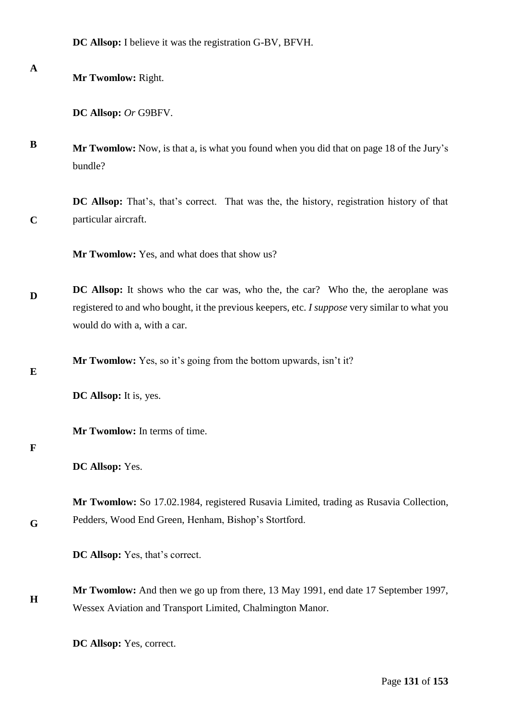**DC Allsop:** I believe it was the registration G-BV, BFVH.

**Mr Twomlow:** Right.

**DC Allsop:** *Or* G9BFV.

**B Mr Twomlow:** Now, is that a, is what you found when you did that on page 18 of the Jury's bundle?

**C DC Allsop:** That's, that's correct. That was the, the history, registration history of that particular aircraft.

**Mr Twomlow:** Yes, and what does that show us?

**D DC Allsop:** It shows who the car was, who the, the car? Who the, the aeroplane was registered to and who bought, it the previous keepers, etc. *I suppose* very similar to what you would do with a, with a car.

**Mr Twomlow:** Yes, so it's going from the bottom upwards, isn't it?

**E**

**A**

**DC Allsop:** It is, yes.

**Mr Twomlow:** In terms of time.

#### **F**

**G**

**DC Allsop:** Yes.

**Mr Twomlow:** So 17.02.1984, registered Rusavia Limited, trading as Rusavia Collection, Pedders, Wood End Green, Henham, Bishop's Stortford.

**DC Allsop:** Yes, that's correct.

**H Mr Twomlow:** And then we go up from there, 13 May 1991, end date 17 September 1997, Wessex Aviation and Transport Limited, Chalmington Manor.

**DC Allsop:** Yes, correct.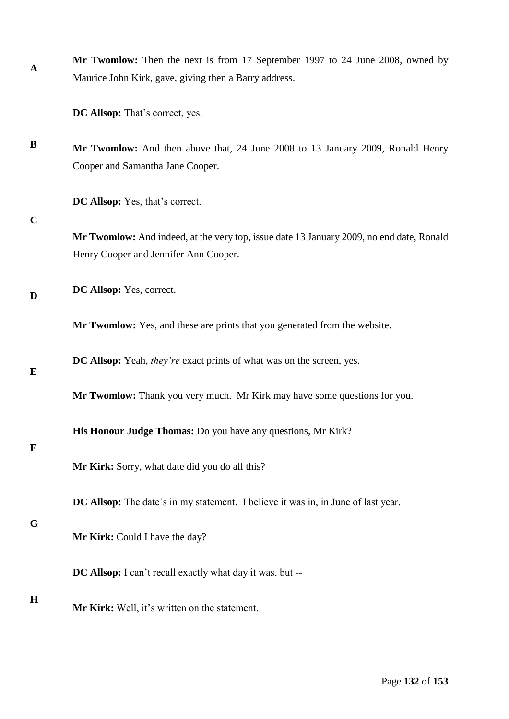| A | <b>Mr Twomlow:</b> Then the next is from 17 September 1997 to 24 June 2008, owned by |
|---|--------------------------------------------------------------------------------------|
|   | Maurice John Kirk, gave, giving then a Barry address.                                |

**DC Allsop:** That's correct, yes.

**B Mr Twomlow:** And then above that, 24 June 2008 to 13 January 2009, Ronald Henry Cooper and Samantha Jane Cooper.

**DC Allsop:** Yes, that's correct.

#### **C**

**Mr Twomlow:** And indeed, at the very top, issue date 13 January 2009, no end date, Ronald Henry Cooper and Jennifer Ann Cooper.

**D DC Allsop:** Yes, correct.

**Mr Twomlow:** Yes, and these are prints that you generated from the website.

**DC Allsop:** Yeah, *they're* exact prints of what was on the screen, yes.

**Mr Twomlow:** Thank you very much. Mr Kirk may have some questions for you.

**His Honour Judge Thomas:** Do you have any questions, Mr Kirk?

#### **F**

**E**

**Mr Kirk:** Sorry, what date did you do all this?

**DC Allsop:** The date's in my statement. I believe it was in, in June of last year.

#### **G**

**Mr Kirk:** Could I have the day?

**DC Allsop:** I can't recall exactly what day it was, but --

#### **H**

**Mr Kirk:** Well, it's written on the statement.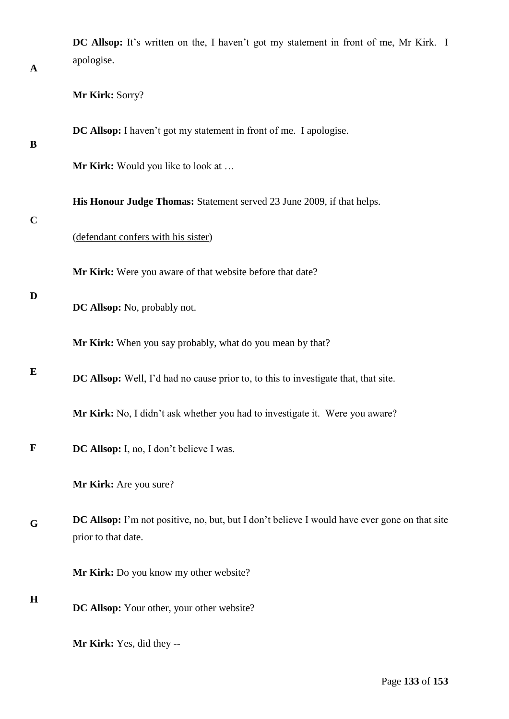| $\mathbf A$ | DC Allsop: It's written on the, I haven't got my statement in front of me, Mr Kirk. I<br>apologise.                         |
|-------------|-----------------------------------------------------------------------------------------------------------------------------|
|             | Mr Kirk: Sorry?                                                                                                             |
| B           | DC Allsop: I haven't got my statement in front of me. I apologise.                                                          |
|             | Mr Kirk: Would you like to look at                                                                                          |
|             | His Honour Judge Thomas: Statement served 23 June 2009, if that helps.                                                      |
| $\mathbf C$ | (defendant confers with his sister)                                                                                         |
|             | Mr Kirk: Were you aware of that website before that date?                                                                   |
| D           | DC Allsop: No, probably not.                                                                                                |
|             | Mr Kirk: When you say probably, what do you mean by that?                                                                   |
| E           | DC Allsop: Well, I'd had no cause prior to, to this to investigate that, that site.                                         |
|             | Mr Kirk: No, I didn't ask whether you had to investigate it. Were you aware?                                                |
| F           | DC Allsop: I, no, I don't believe I was.                                                                                    |
|             | Mr Kirk: Are you sure?                                                                                                      |
| G           | <b>DC Allsop:</b> I'm not positive, no, but, but I don't believe I would have ever gone on that site<br>prior to that date. |
|             | Mr Kirk: Do you know my other website?                                                                                      |
| $\bf H$     | DC Allsop: Your other, your other website?                                                                                  |
|             | Mr Kirk: Yes, did they --                                                                                                   |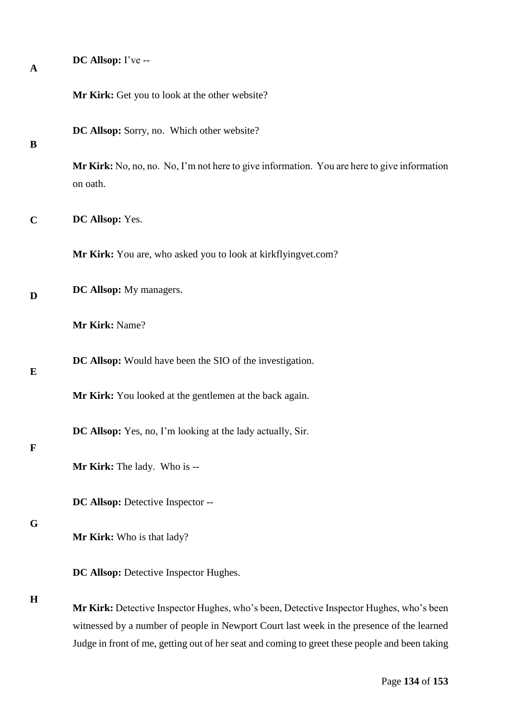| $\mathbf{A}$ | DC Allsop: I've --                                                                                                                                                                                                                                                                     |
|--------------|----------------------------------------------------------------------------------------------------------------------------------------------------------------------------------------------------------------------------------------------------------------------------------------|
|              | Mr Kirk: Get you to look at the other website?                                                                                                                                                                                                                                         |
| B            | DC Allsop: Sorry, no. Which other website?                                                                                                                                                                                                                                             |
|              | Mr Kirk: No, no, no. No, I'm not here to give information. You are here to give information<br>on oath.                                                                                                                                                                                |
| $\mathbf C$  | DC Allsop: Yes.                                                                                                                                                                                                                                                                        |
|              | Mr Kirk: You are, who asked you to look at kirkflyingvet.com?                                                                                                                                                                                                                          |
| D            | DC Allsop: My managers.                                                                                                                                                                                                                                                                |
|              | Mr Kirk: Name?                                                                                                                                                                                                                                                                         |
| E            | DC Allsop: Would have been the SIO of the investigation.                                                                                                                                                                                                                               |
|              | Mr Kirk: You looked at the gentlemen at the back again.                                                                                                                                                                                                                                |
| $\mathbf F$  | DC Allsop: Yes, no, I'm looking at the lady actually, Sir.                                                                                                                                                                                                                             |
|              | Mr Kirk: The lady. Who is --                                                                                                                                                                                                                                                           |
|              | DC Allsop: Detective Inspector --                                                                                                                                                                                                                                                      |
| G            | Mr Kirk: Who is that lady?                                                                                                                                                                                                                                                             |
|              | DC Allsop: Detective Inspector Hughes.                                                                                                                                                                                                                                                 |
| $\mathbf H$  | Mr Kirk: Detective Inspector Hughes, who's been, Detective Inspector Hughes, who's been<br>witnessed by a number of people in Newport Court last week in the presence of the learned<br>Judge in front of me, getting out of her seat and coming to greet these people and been taking |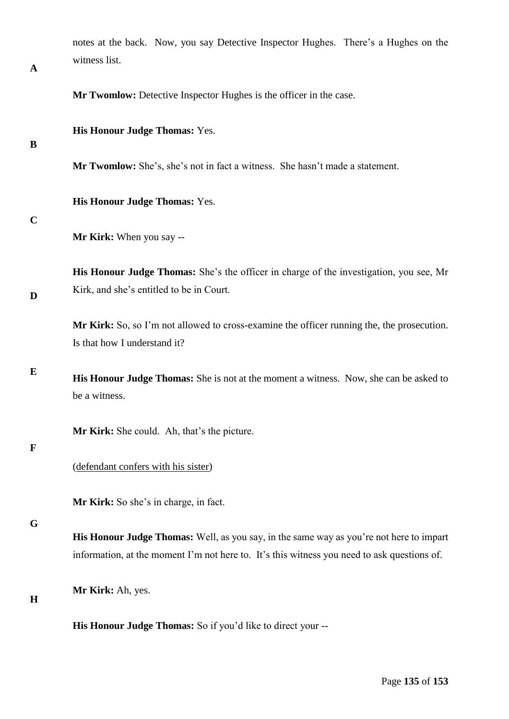| notes at the back. Now, you say Detective Inspector Hughes. There's a Hughes on the<br>witness list. |  |
|------------------------------------------------------------------------------------------------------|--|
| <b>Mr Twomlow:</b> Detective Inspector Hughes is the officer in the case.                            |  |
| <b>His Honour Judge Thomas: Yes.</b>                                                                 |  |
| <b>Mr Twomlow:</b> She's, she's not in fact a witness. She hasn't made a statement.                  |  |
| <b>His Honour Judge Thomas: Yes.</b>                                                                 |  |
|                                                                                                      |  |

**Mr Kirk:** When you say --

**His Honour Judge Thomas:** She's the officer in charge of the investigation, you see, Mr Kirk, and she's entitled to be in Court.

**Mr Kirk:** So, so I'm not allowed to cross-examine the officer running the, the prosecution. Is that how I understand it?

**E His Honour Judge Thomas:** She is not at the moment a witness. Now, she can be asked to be a witness.

**Mr Kirk:** She could. Ah, that's the picture.

## **F**

**A**

**B**

**C**

**D**

(defendant confers with his sister)

**Mr Kirk:** So she's in charge, in fact.

**G**

**H**

**His Honour Judge Thomas:** Well, as you say, in the same way as you're not here to impart information, at the moment I'm not here to. It's this witness you need to ask questions of.

**Mr Kirk:** Ah, yes.

**His Honour Judge Thomas:** So if you'd like to direct your --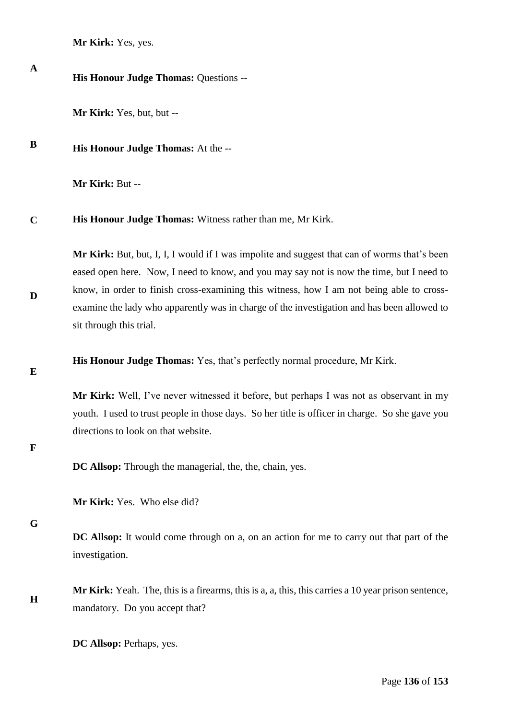**Mr Kirk:** Yes, yes.

| $\mathbf A$ | His Honour Judge Thomas: Questions --                                                                                                                                                                                                                                                                                                                                                                         |
|-------------|---------------------------------------------------------------------------------------------------------------------------------------------------------------------------------------------------------------------------------------------------------------------------------------------------------------------------------------------------------------------------------------------------------------|
|             | Mr Kirk: Yes, but, but --                                                                                                                                                                                                                                                                                                                                                                                     |
| B           | His Honour Judge Thomas: At the --                                                                                                                                                                                                                                                                                                                                                                            |
|             | Mr Kirk: But --                                                                                                                                                                                                                                                                                                                                                                                               |
| $\mathbf C$ | His Honour Judge Thomas: Witness rather than me, Mr Kirk.                                                                                                                                                                                                                                                                                                                                                     |
| D           | Mr Kirk: But, but, I, I, I would if I was impolite and suggest that can of worms that's been<br>eased open here. Now, I need to know, and you may say not is now the time, but I need to<br>know, in order to finish cross-examining this witness, how I am not being able to cross-<br>examine the lady who apparently was in charge of the investigation and has been allowed to<br>sit through this trial. |
| E           | His Honour Judge Thomas: Yes, that's perfectly normal procedure, Mr Kirk.                                                                                                                                                                                                                                                                                                                                     |
| F           | Mr Kirk: Well, I've never witnessed it before, but perhaps I was not as observant in my<br>youth. I used to trust people in those days. So her title is officer in charge. So she gave you<br>directions to look on that website.                                                                                                                                                                             |
|             | DC Allsop: Through the managerial, the, the, chain, yes.                                                                                                                                                                                                                                                                                                                                                      |
|             | Mr Kirk: Yes. Who else did?                                                                                                                                                                                                                                                                                                                                                                                   |
| G           | <b>DC Allsop:</b> It would come through on a, on an action for me to carry out that part of the<br>investigation.                                                                                                                                                                                                                                                                                             |
| H           | Mr Kirk: Yeah. The, this is a firearms, this is a, a, this, this carries a 10 year prison sentence,<br>mandatory. Do you accept that?                                                                                                                                                                                                                                                                         |
|             | DC Allsop: Perhaps, yes.                                                                                                                                                                                                                                                                                                                                                                                      |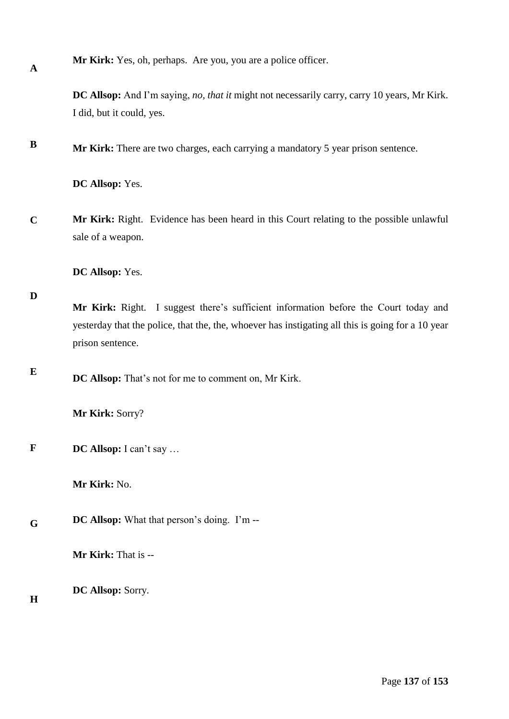**Mr Kirk:** Yes, oh, perhaps. Are you, you are a police officer.

**DC Allsop:** And I'm saying, *no, that it* might not necessarily carry, carry 10 years, Mr Kirk. I did, but it could, yes.

**B Mr Kirk:** There are two charges, each carrying a mandatory 5 year prison sentence.

**DC Allsop:** Yes.

**C Mr Kirk:** Right. Evidence has been heard in this Court relating to the possible unlawful sale of a weapon.

**DC Allsop:** Yes.

## **D**

**A**

**Mr Kirk:** Right. I suggest there's sufficient information before the Court today and yesterday that the police, that the, the, whoever has instigating all this is going for a 10 year prison sentence.

**E DC Allsop:** That's not for me to comment on, Mr Kirk.

**Mr Kirk:** Sorry?

**F DC Allsop:** I can't say …

**Mr Kirk:** No.

**G DC Allsop:** What that person's doing. I'm --

**Mr Kirk:** That is --

**DC Allsop:** Sorry.

**H**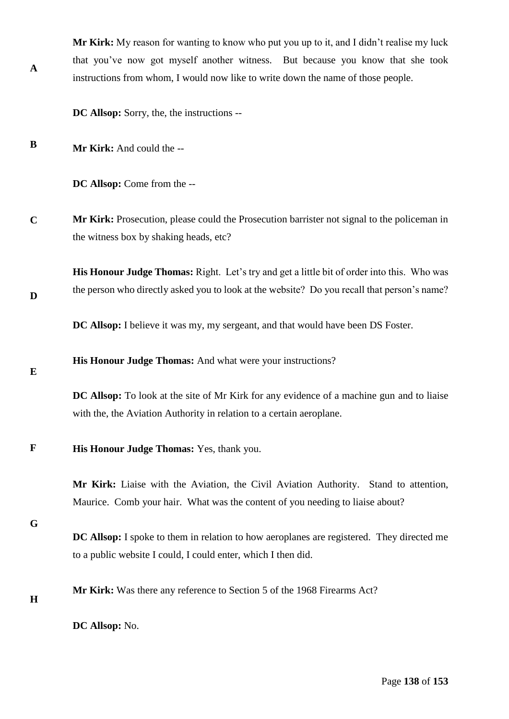**Mr Kirk:** My reason for wanting to know who put you up to it, and I didn't realise my luck that you've now got myself another witness. But because you know that she took instructions from whom, I would now like to write down the name of those people.

**DC Allsop:** Sorry, the, the instructions --

**B Mr Kirk:** And could the --

**A**

**D**

**E**

**DC Allsop:** Come from the --

**C Mr Kirk:** Prosecution, please could the Prosecution barrister not signal to the policeman in the witness box by shaking heads, etc?

**His Honour Judge Thomas:** Right. Let's try and get a little bit of order into this. Who was the person who directly asked you to look at the website? Do you recall that person's name?

**DC Allsop:** I believe it was my, my sergeant, and that would have been DS Foster.

**His Honour Judge Thomas:** And what were your instructions?

**DC Allsop:** To look at the site of Mr Kirk for any evidence of a machine gun and to liaise with the, the Aviation Authority in relation to a certain aeroplane.

#### **F His Honour Judge Thomas:** Yes, thank you.

**Mr Kirk:** Liaise with the Aviation, the Civil Aviation Authority. Stand to attention, Maurice. Comb your hair. What was the content of you needing to liaise about?

**G**

- **DC Allsop:** I spoke to them in relation to how aeroplanes are registered. They directed me to a public website I could, I could enter, which I then did.
- **H**

**Mr Kirk:** Was there any reference to Section 5 of the 1968 Firearms Act?

**DC Allsop:** No.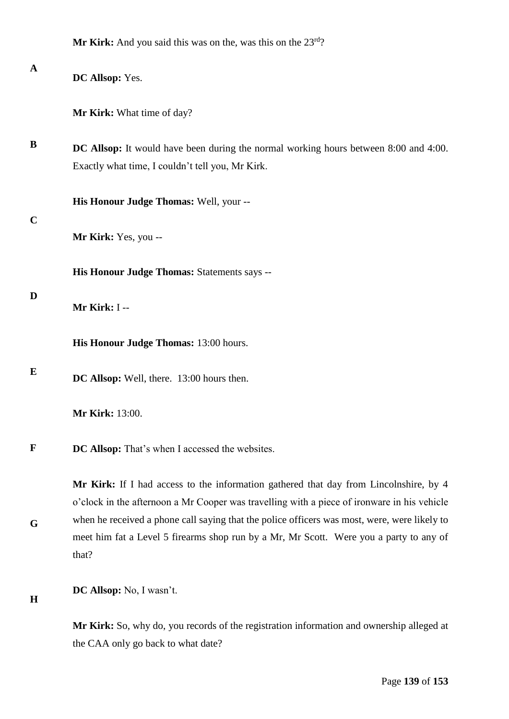**A B C D E F G H DC Allsop:** Yes. **Mr Kirk:** What time of day? **DC Allsop:** It would have been during the normal working hours between 8:00 and 4:00. Exactly what time, I couldn't tell you, Mr Kirk. **His Honour Judge Thomas:** Well, your -- **Mr Kirk:** Yes, you -- **His Honour Judge Thomas:** Statements says -- **Mr Kirk:** I -- **His Honour Judge Thomas:** 13:00 hours. **DC Allsop:** Well, there. 13:00 hours then. **Mr Kirk:** 13:00. **DC Allsop:** That's when I accessed the websites. **Mr Kirk:** If I had access to the information gathered that day from Lincolnshire, by 4 o'clock in the afternoon a Mr Cooper was travelling with a piece of ironware in his vehicle when he received a phone call saying that the police officers was most, were, were likely to meet him fat a Level 5 firearms shop run by a Mr, Mr Scott. Were you a party to any of that? **DC Allsop:** No, I wasn't. **Mr Kirk:** So, why do, you records of the registration information and ownership alleged at

the CAA only go back to what date?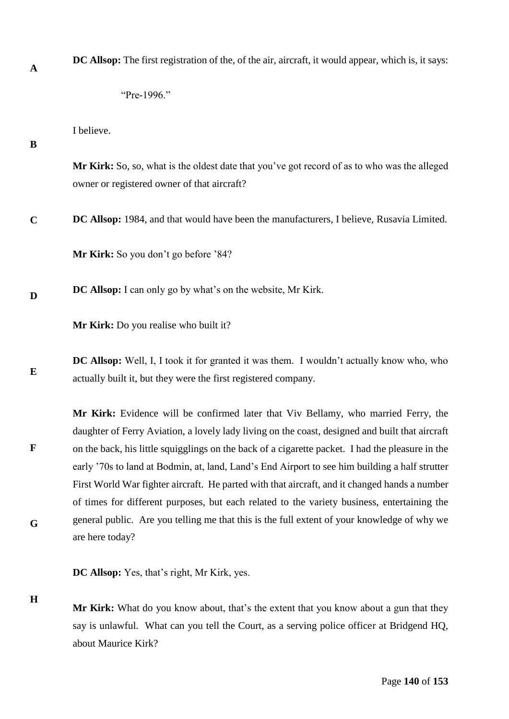**DC Allsop:** The first registration of the, of the air, aircraft, it would appear, which is, it says:

I believe.

# **B**

**A**

**Mr Kirk:** So, so, what is the oldest date that you've got record of as to who was the alleged owner or registered owner of that aircraft?

**C DC Allsop:** 1984, and that would have been the manufacturers, I believe, Rusavia Limited.

**Mr Kirk:** So you don't go before '84?

**D DC Allsop:** I can only go by what's on the website, Mr Kirk.

**Mr Kirk:** Do you realise who built it?

**E DC Allsop:** Well, I, I took it for granted it was them. I wouldn't actually know who, who actually built it, but they were the first registered company.

**F G Mr Kirk:** Evidence will be confirmed later that Viv Bellamy, who married Ferry, the daughter of Ferry Aviation, a lovely lady living on the coast, designed and built that aircraft on the back, his little squigglings on the back of a cigarette packet. I had the pleasure in the early '70s to land at Bodmin, at, land, Land's End Airport to see him building a half strutter First World War fighter aircraft. He parted with that aircraft, and it changed hands a number of times for different purposes, but each related to the variety business, entertaining the general public. Are you telling me that this is the full extent of your knowledge of why we are here today?

**DC Allsop:** Yes, that's right, Mr Kirk, yes.

**H**

**Mr Kirk:** What do you know about, that's the extent that you know about a gun that they say is unlawful. What can you tell the Court, as a serving police officer at Bridgend HQ, about Maurice Kirk?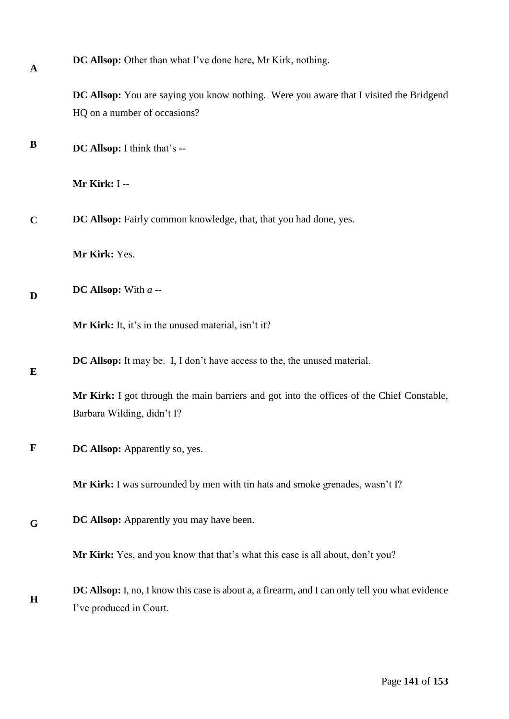| $\mathbf A$ | DC Allsop: Other than what I've done here, Mr Kirk, nothing.                                                               |
|-------------|----------------------------------------------------------------------------------------------------------------------------|
|             | DC Allsop: You are saying you know nothing. Were you aware that I visited the Bridgend<br>HQ on a number of occasions?     |
|             |                                                                                                                            |
| B           | DC Allsop: I think that's --                                                                                               |
|             | Mr Kirk: I --                                                                                                              |
| $\mathbf C$ | DC Allsop: Fairly common knowledge, that, that you had done, yes.                                                          |
|             | Mr Kirk: Yes.                                                                                                              |
| D           | DC Allsop: With $a -$                                                                                                      |
|             | Mr Kirk: It, it's in the unused material, isn't it?                                                                        |
| E           | <b>DC Allsop:</b> It may be. I, I don't have access to the, the unused material.                                           |
|             | Mr Kirk: I got through the main barriers and got into the offices of the Chief Constable,<br>Barbara Wilding, didn't I?    |
| $\mathbf F$ | DC Allsop: Apparently so, yes.                                                                                             |
|             | Mr Kirk: I was surrounded by men with tin hats and smoke grenades, wasn't I?                                               |
| G           | <b>DC Allsop:</b> Apparently you may have been.                                                                            |
|             | Mr Kirk: Yes, and you know that that's what this case is all about, don't you?                                             |
| H           | DC Allsop: I, no, I know this case is about a, a firearm, and I can only tell you what evidence<br>I've produced in Court. |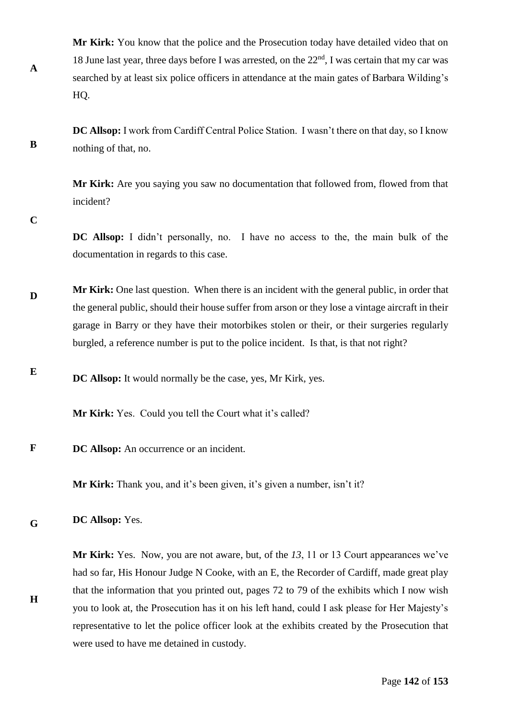**Mr Kirk:** You know that the police and the Prosecution today have detailed video that on 18 June last year, three days before I was arrested, on the  $22<sup>nd</sup>$ , I was certain that my car was searched by at least six police officers in attendance at the main gates of Barbara Wilding's HQ.

**DC Allsop:** I work from Cardiff Central Police Station. I wasn't there on that day, so I know nothing of that, no.

**Mr Kirk:** Are you saying you saw no documentation that followed from, flowed from that incident?

**C**

**A**

**B**

**DC Allsop:** I didn't personally, no. I have no access to the, the main bulk of the documentation in regards to this case.

- **D Mr Kirk:** One last question. When there is an incident with the general public, in order that the general public, should their house suffer from arson or they lose a vintage aircraft in their garage in Barry or they have their motorbikes stolen or their, or their surgeries regularly burgled, a reference number is put to the police incident. Is that, is that not right?
- **E DC Allsop:** It would normally be the case, yes, Mr Kirk, yes.

**Mr Kirk:** Yes. Could you tell the Court what it's called?

**F DC Allsop:** An occurrence or an incident.

**Mr Kirk:** Thank you, and it's been given, it's given a number, isn't it?

**G DC Allsop:** Yes.

**H**

**Mr Kirk:** Yes. Now, you are not aware, but, of the *13*, 11 or 13 Court appearances we've had so far, His Honour Judge N Cooke, with an E, the Recorder of Cardiff, made great play that the information that you printed out, pages 72 to 79 of the exhibits which I now wish you to look at, the Prosecution has it on his left hand, could I ask please for Her Majesty's representative to let the police officer look at the exhibits created by the Prosecution that were used to have me detained in custody.

Page **142** of **153**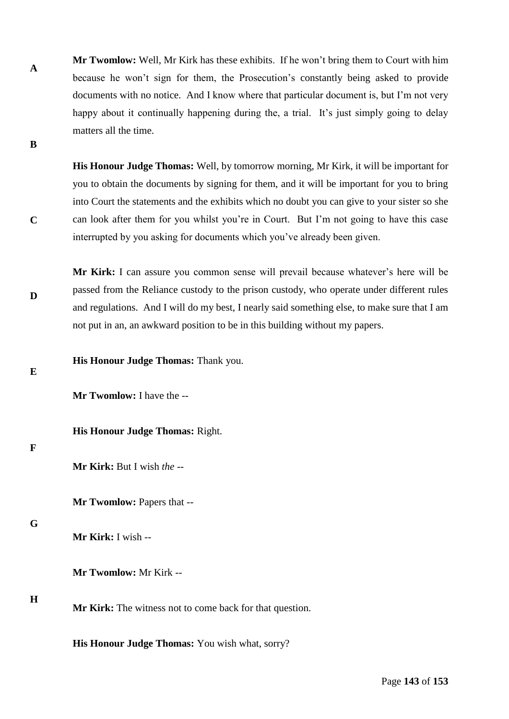**A Mr Twomlow:** Well, Mr Kirk has these exhibits. If he won't bring them to Court with him because he won't sign for them, the Prosecution's constantly being asked to provide documents with no notice. And I know where that particular document is, but I'm not very happy about it continually happening during the, a trial. It's just simply going to delay matters all the time.

**His Honour Judge Thomas:** Well, by tomorrow morning, Mr Kirk, it will be important for you to obtain the documents by signing for them, and it will be important for you to bring into Court the statements and the exhibits which no doubt you can give to your sister so she can look after them for you whilst you're in Court. But I'm not going to have this case interrupted by you asking for documents which you've already been given.

**D Mr Kirk:** I can assure you common sense will prevail because whatever's here will be passed from the Reliance custody to the prison custody, who operate under different rules and regulations. And I will do my best, I nearly said something else, to make sure that I am not put in an, an awkward position to be in this building without my papers.

**His Honour Judge Thomas:** Thank you.

**Mr Twomlow:** I have the --

**His Honour Judge Thomas:** Right.

#### **F**

**E**

**B**

**C**

**Mr Kirk:** But I wish *the* --

**Mr Twomlow:** Papers that --

## **G**

**Mr Kirk:** I wish --

**Mr Twomlow:** Mr Kirk --

## **H**

**Mr Kirk:** The witness not to come back for that question.

**His Honour Judge Thomas:** You wish what, sorry?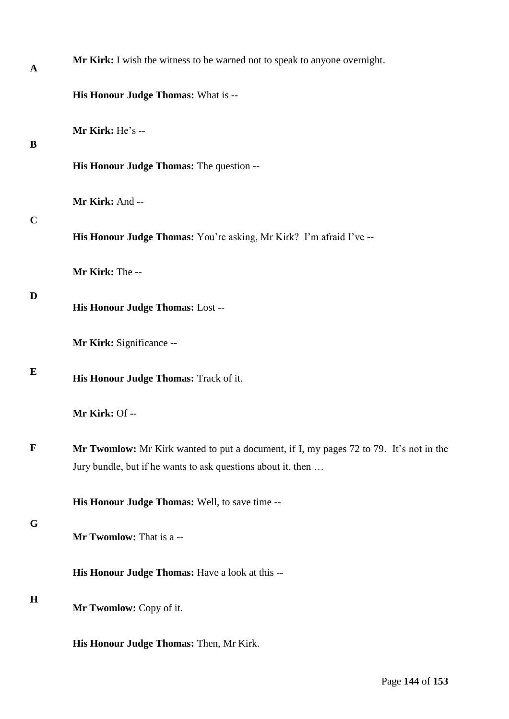| A           | Mr Kirk: I wish the witness to be warned not to speak to anyone overnight.                                                                             |
|-------------|--------------------------------------------------------------------------------------------------------------------------------------------------------|
|             | <b>His Honour Judge Thomas: What is --</b>                                                                                                             |
| B           | Mr Kirk: He's --                                                                                                                                       |
|             | His Honour Judge Thomas: The question --                                                                                                               |
| $\mathbf C$ | Mr Kirk: And --                                                                                                                                        |
|             | His Honour Judge Thomas: You're asking, Mr Kirk? I'm afraid I've --                                                                                    |
|             | Mr Kirk: The --                                                                                                                                        |
| D           | His Honour Judge Thomas: Lost --                                                                                                                       |
|             | Mr Kirk: Significance --                                                                                                                               |
| E           | His Honour Judge Thomas: Track of it.                                                                                                                  |
|             | Mr Kirk: Of --                                                                                                                                         |
| $\mathbf F$ | Mr Twomlow: Mr Kirk wanted to put a document, if I, my pages 72 to 79. It's not in the<br>Jury bundle, but if he wants to ask questions about it, then |
|             | His Honour Judge Thomas: Well, to save time --                                                                                                         |
| G           | Mr Twomlow: That is a --                                                                                                                               |
|             | His Honour Judge Thomas: Have a look at this --                                                                                                        |
| $\mathbf H$ | Mr Twomlow: Copy of it.                                                                                                                                |
|             | His Honour Judge Thomas: Then, Mr Kirk.                                                                                                                |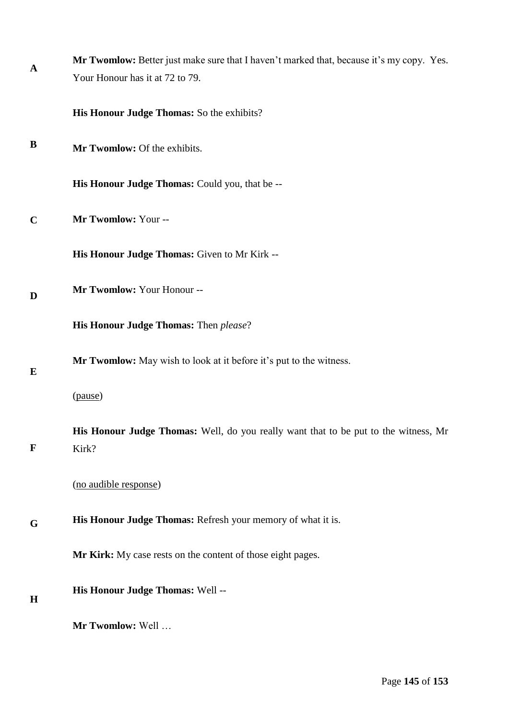| $\mathbf{A}$ | Mr Twomlow: Better just make sure that I haven't marked that, because it's my copy. Yes.     |
|--------------|----------------------------------------------------------------------------------------------|
|              | Your Honour has it at 72 to 79.                                                              |
|              | His Honour Judge Thomas: So the exhibits?                                                    |
| $\bf{B}$     | Mr Twomlow: Of the exhibits.                                                                 |
|              | His Honour Judge Thomas: Could you, that be --                                               |
| $\mathbf C$  | Mr Twomlow: Your --                                                                          |
|              | His Honour Judge Thomas: Given to Mr Kirk --                                                 |
| D            | Mr Twomlow: Your Honour --                                                                   |
|              | His Honour Judge Thomas: Then please?                                                        |
| E            | <b>Mr Twomlow:</b> May wish to look at it before it's put to the witness.                    |
|              | (pause)                                                                                      |
| $\mathbf F$  | His Honour Judge Thomas: Well, do you really want that to be put to the witness, Mr<br>Kirk? |
|              | (no audible response)                                                                        |
| G            | His Honour Judge Thomas: Refresh your memory of what it is.                                  |
|              | Mr Kirk: My case rests on the content of those eight pages.                                  |
| H            | His Honour Judge Thomas: Well --                                                             |
|              | Mr Twomlow: Well                                                                             |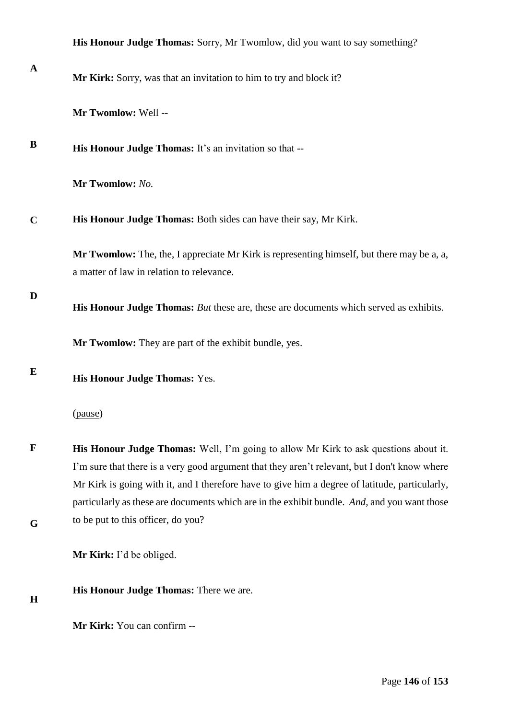|             | His Honour Judge Thomas: Sorry, Mr Twomlow, did you want to say something?                                                                                                                                                                                                                                                                                                                     |
|-------------|------------------------------------------------------------------------------------------------------------------------------------------------------------------------------------------------------------------------------------------------------------------------------------------------------------------------------------------------------------------------------------------------|
| $\mathbf A$ | Mr Kirk: Sorry, was that an invitation to him to try and block it?                                                                                                                                                                                                                                                                                                                             |
|             | Mr Twomlow: Well --                                                                                                                                                                                                                                                                                                                                                                            |
| B           | His Honour Judge Thomas: It's an invitation so that --                                                                                                                                                                                                                                                                                                                                         |
|             | Mr Twomlow: No.                                                                                                                                                                                                                                                                                                                                                                                |
| $\mathbf C$ | His Honour Judge Thomas: Both sides can have their say, Mr Kirk.                                                                                                                                                                                                                                                                                                                               |
|             | Mr Twomlow: The, the, I appreciate Mr Kirk is representing himself, but there may be a, a,<br>a matter of law in relation to relevance.                                                                                                                                                                                                                                                        |
| D           | His Honour Judge Thomas: But these are, these are documents which served as exhibits.                                                                                                                                                                                                                                                                                                          |
|             | Mr Twomlow: They are part of the exhibit bundle, yes.                                                                                                                                                                                                                                                                                                                                          |
| E           | His Honour Judge Thomas: Yes.                                                                                                                                                                                                                                                                                                                                                                  |
|             | (pause)                                                                                                                                                                                                                                                                                                                                                                                        |
| $\mathbf F$ | <b>His Honour Judge Thomas:</b> Well, I'm going to allow Mr Kirk to ask questions about it.<br>I'm sure that there is a very good argument that they aren't relevant, but I don't know where<br>Mr Kirk is going with it, and I therefore have to give him a degree of latitude, particularly,<br>particularly as these are documents which are in the exhibit bundle. And, and you want those |
| G           | to be put to this officer, do you?                                                                                                                                                                                                                                                                                                                                                             |
|             | Mr Kirk: I'd be obliged.                                                                                                                                                                                                                                                                                                                                                                       |
| H           | His Honour Judge Thomas: There we are.                                                                                                                                                                                                                                                                                                                                                         |
|             | Mr Kirk: You can confirm --                                                                                                                                                                                                                                                                                                                                                                    |
|             |                                                                                                                                                                                                                                                                                                                                                                                                |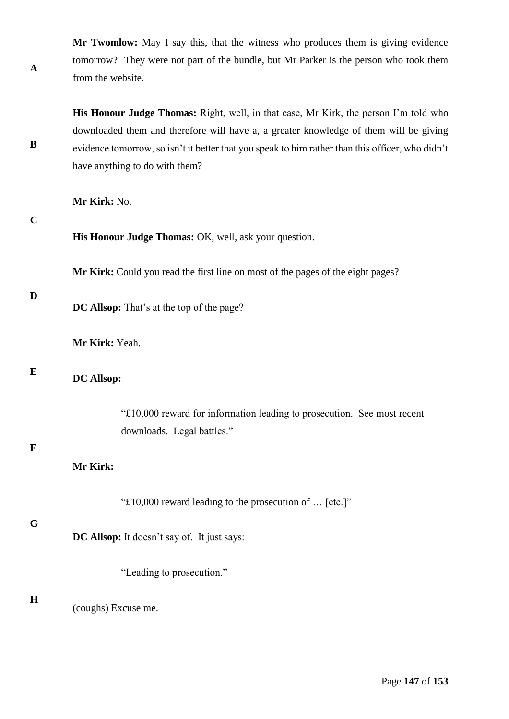**Mr Twomlow:** May I say this, that the witness who produces them is giving evidence tomorrow? They were not part of the bundle, but Mr Parker is the person who took them from the website.

**His Honour Judge Thomas:** Right, well, in that case, Mr Kirk, the person I'm told who downloaded them and therefore will have a, a greater knowledge of them will be giving evidence tomorrow, so isn't it better that you speak to him rather than this officer, who didn't have anything to do with them?

**Mr Kirk:** No.

**C**

**A**

**B**

**His Honour Judge Thomas:** OK, well, ask your question.

**Mr Kirk:** Could you read the first line on most of the pages of the eight pages?

### **D**

**DC Allsop:** That's at the top of the page?

**Mr Kirk:** Yeah.

## **E**

# **DC Allsop:**

"£10,000 reward for information leading to prosecution. See most recent downloads. Legal battles."

# **F**

# **Mr Kirk:**

|  | "£10,000 reward leading to the prosecution of $\dots$ [etc.]" |  |  |
|--|---------------------------------------------------------------|--|--|
|--|---------------------------------------------------------------|--|--|

# **G**

**DC Allsop:** It doesn't say of. It just says:

"Leading to prosecution."

## **H**

(coughs) Excuse me.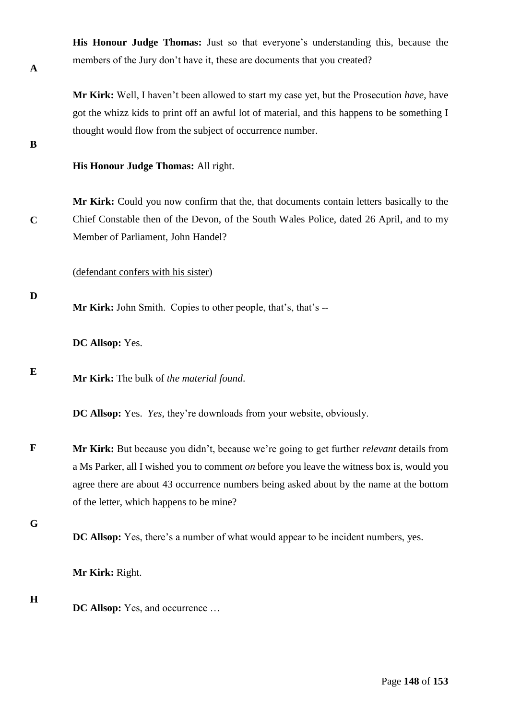**His Honour Judge Thomas:** Just so that everyone's understanding this, because the members of the Jury don't have it, these are documents that you created?

**Mr Kirk:** Well, I haven't been allowed to start my case yet, but the Prosecution *have,* have got the whizz kids to print off an awful lot of material, and this happens to be something I thought would flow from the subject of occurrence number.

**B**

**C**

**D**

**A**

**His Honour Judge Thomas:** All right.

**Mr Kirk:** Could you now confirm that the, that documents contain letters basically to the Chief Constable then of the Devon, of the South Wales Police, dated 26 April, and to my Member of Parliament, John Handel?

(defendant confers with his sister)

**Mr Kirk:** John Smith. Copies to other people, that's, that's --

**DC Allsop:** Yes.

**E Mr Kirk:** The bulk of *the material found*.

**DC Allsop:** Yes. *Yes,* they're downloads from your website, obviously.

**F Mr Kirk:** But because you didn't, because we're going to get further *relevant* details from a Ms Parker, all I wished you to comment *on* before you leave the witness box is, would you agree there are about 43 occurrence numbers being asked about by the name at the bottom of the letter, which happens to be mine?

**G**

**DC Allsop:** Yes, there's a number of what would appear to be incident numbers, yes.

**Mr Kirk:** Right.

**H**

**DC Allsop:** Yes, and occurrence …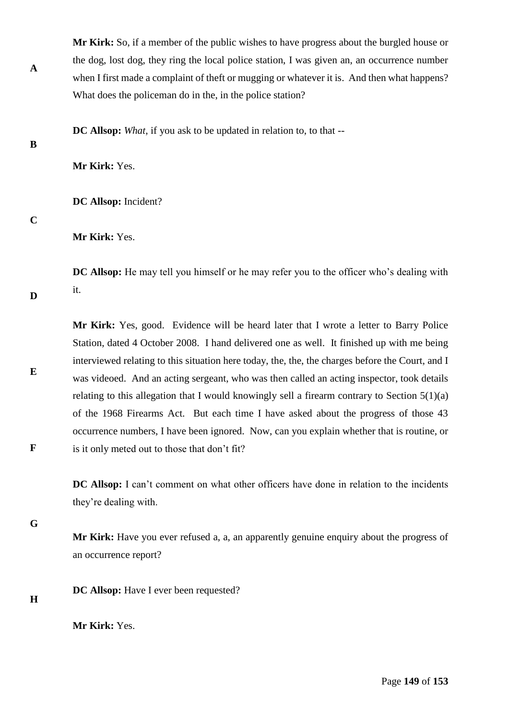**Mr Kirk:** So, if a member of the public wishes to have progress about the burgled house or the dog, lost dog, they ring the local police station, I was given an, an occurrence number when I first made a complaint of theft or mugging or whatever it is. And then what happens? What does the policeman do in the, in the police station?

**DC Allsop:** *What*, if you ask to be updated in relation to, to that --

**B**

**A**

**Mr Kirk:** Yes.

**DC Allsop:** Incident?

### **C**

**D**

**E**

**F**

**Mr Kirk:** Yes.

**DC Allsop:** He may tell you himself or he may refer you to the officer who's dealing with it.

**Mr Kirk:** Yes, good. Evidence will be heard later that I wrote a letter to Barry Police Station, dated 4 October 2008. I hand delivered one as well. It finished up with me being interviewed relating to this situation here today, the, the, the charges before the Court, and I was videoed. And an acting sergeant, who was then called an acting inspector, took details relating to this allegation that I would knowingly sell a firearm contrary to Section  $5(1)(a)$ of the 1968 Firearms Act. But each time I have asked about the progress of those 43 occurrence numbers, I have been ignored. Now, can you explain whether that is routine, or is it only meted out to those that don't fit?

**DC Allsop:** I can't comment on what other officers have done in relation to the incidents they're dealing with.

**G**

**Mr Kirk:** Have you ever refused a, a, an apparently genuine enquiry about the progress of an occurrence report?

**DC Allsop:** Have I ever been requested?

**H**

**Mr Kirk:** Yes.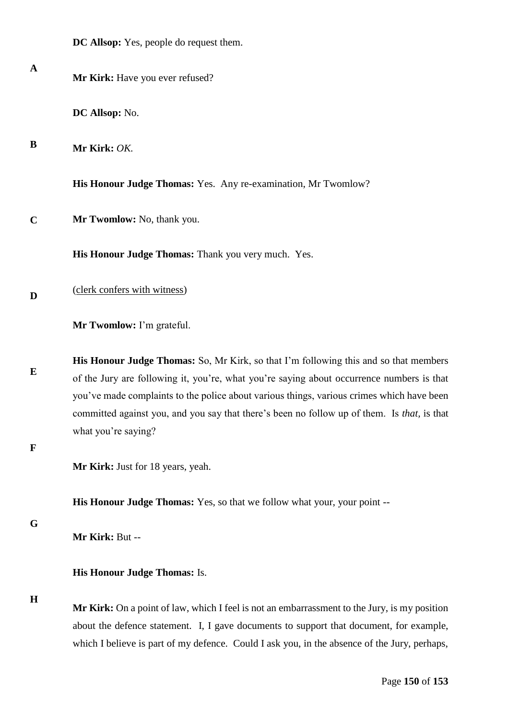|              | <b>DC Allsop:</b> Yes, people do request them.                                                                                                                                                                                                                                          |
|--------------|-----------------------------------------------------------------------------------------------------------------------------------------------------------------------------------------------------------------------------------------------------------------------------------------|
| $\mathbf{A}$ | Mr Kirk: Have you ever refused?                                                                                                                                                                                                                                                         |
|              | DC Allsop: No.                                                                                                                                                                                                                                                                          |
| B            | Mr Kirk: OK.                                                                                                                                                                                                                                                                            |
|              | <b>His Honour Judge Thomas:</b> Yes. Any re-examination, Mr Twomlow?                                                                                                                                                                                                                    |
| $\mathbf C$  | Mr Twomlow: No, thank you.                                                                                                                                                                                                                                                              |
|              | His Honour Judge Thomas: Thank you very much. Yes.                                                                                                                                                                                                                                      |
| D            | (clerk confers with witness)                                                                                                                                                                                                                                                            |
|              | Mr Twomlow: I'm grateful.                                                                                                                                                                                                                                                               |
| E            | <b>His Honour Judge Thomas:</b> So, Mr Kirk, so that I'm following this and so that members<br>of the Jury are following it, you're, what you're saying about occurrence numbers is that<br>you've made complaints to the police about various things, various crimes which have been   |
| F            | committed against you, and you say that there's been no follow up of them. Is that, is that<br>what you're saying?                                                                                                                                                                      |
|              | Mr Kirk: Just for 18 years, yeah.                                                                                                                                                                                                                                                       |
|              | <b>His Honour Judge Thomas:</b> Yes, so that we follow what your, your point --                                                                                                                                                                                                         |
| G            | Mr Kirk: But --                                                                                                                                                                                                                                                                         |
|              | <b>His Honour Judge Thomas: Is.</b>                                                                                                                                                                                                                                                     |
| H            | Mr Kirk: On a point of law, which I feel is not an embarrassment to the Jury, is my position<br>about the defence statement. I, I gave documents to support that document, for example,<br>which I believe is part of my defence. Could I ask you, in the absence of the Jury, perhaps, |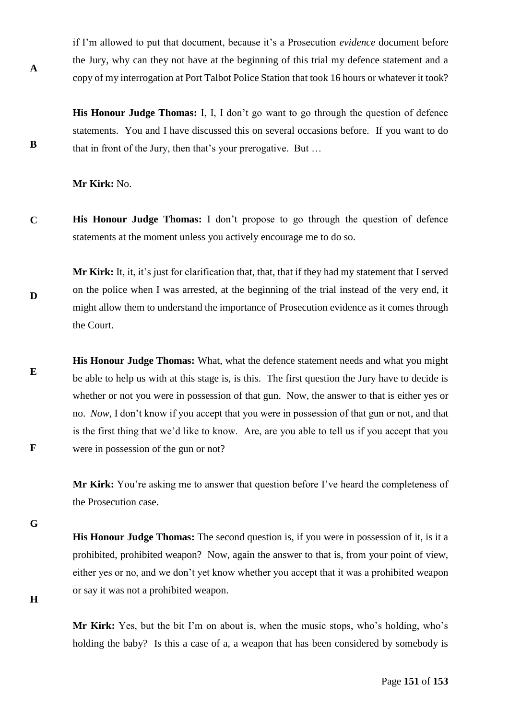if I'm allowed to put that document, because it's a Prosecution *evidence* document before the Jury, why can they not have at the beginning of this trial my defence statement and a copy of my interrogation at Port Talbot Police Station that took 16 hours or whatever it took?

**His Honour Judge Thomas:** I, I, I don't go want to go through the question of defence statements. You and I have discussed this on several occasions before. If you want to do that in front of the Jury, then that's your prerogative. But …

**Mr Kirk:** No.

**C His Honour Judge Thomas:** I don't propose to go through the question of defence statements at the moment unless you actively encourage me to do so.

**D Mr Kirk:** It, it, it's just for clarification that, that, that if they had my statement that I served on the police when I was arrested, at the beginning of the trial instead of the very end, it might allow them to understand the importance of Prosecution evidence as it comes through the Court.

**E F His Honour Judge Thomas:** What, what the defence statement needs and what you might be able to help us with at this stage is, is this. The first question the Jury have to decide is whether or not you were in possession of that gun. Now, the answer to that is either yes or no. *Now,* I don't know if you accept that you were in possession of that gun or not, and that is the first thing that we'd like to know. Are, are you able to tell us if you accept that you were in possession of the gun or not?

> **Mr Kirk:** You're asking me to answer that question before I've heard the completeness of the Prosecution case.

**G**

**A**

**B**

**His Honour Judge Thomas:** The second question is, if you were in possession of it, is it a prohibited, prohibited weapon? Now, again the answer to that is, from your point of view, either yes or no, and we don't yet know whether you accept that it was a prohibited weapon or say it was not a prohibited weapon.

**H**

**Mr Kirk:** Yes, but the bit I'm on about is, when the music stops, who's holding, who's holding the baby? Is this a case of a, a weapon that has been considered by somebody is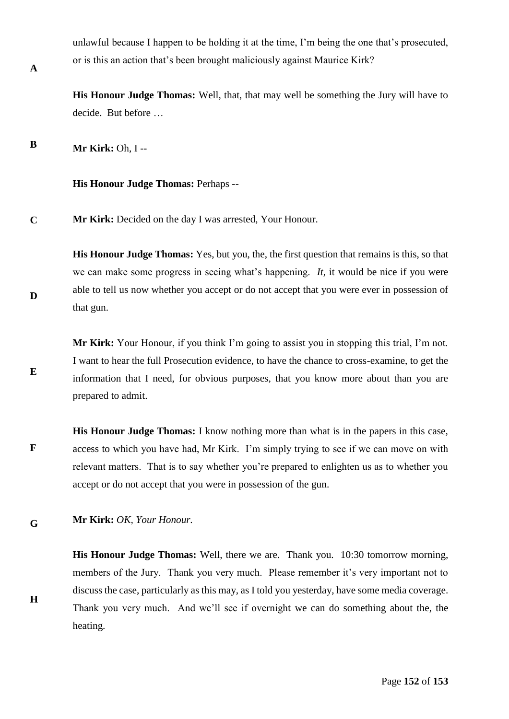unlawful because I happen to be holding it at the time, I'm being the one that's prosecuted, or is this an action that's been brought maliciously against Maurice Kirk?

**His Honour Judge Thomas:** Well, that, that may well be something the Jury will have to decide. But before …

**B Mr Kirk:** Oh, I --

**His Honour Judge Thomas:** Perhaps --

**C Mr Kirk:** Decided on the day I was arrested, Your Honour.

**His Honour Judge Thomas:** Yes, but you, the, the first question that remains is this, so that we can make some progress in seeing what's happening. *It,* it would be nice if you were able to tell us now whether you accept or do not accept that you were ever in possession of that gun.

**Mr Kirk:** Your Honour, if you think I'm going to assist you in stopping this trial, I'm not. I want to hear the full Prosecution evidence, to have the chance to cross-examine, to get the information that I need, for obvious purposes, that you know more about than you are prepared to admit.

**F His Honour Judge Thomas:** I know nothing more than what is in the papers in this case, access to which you have had, Mr Kirk. I'm simply trying to see if we can move on with relevant matters. That is to say whether you're prepared to enlighten us as to whether you accept or do not accept that you were in possession of the gun.

**G Mr Kirk:** *OK, Your Honour.* 

> **His Honour Judge Thomas:** Well, there we are. Thank you. 10:30 tomorrow morning, members of the Jury. Thank you very much. Please remember it's very important not to discuss the case, particularly as this may, as I told you yesterday, have some media coverage. Thank you very much. And we'll see if overnight we can do something about the, the heating.

**A**

**D**

**E**

**H**